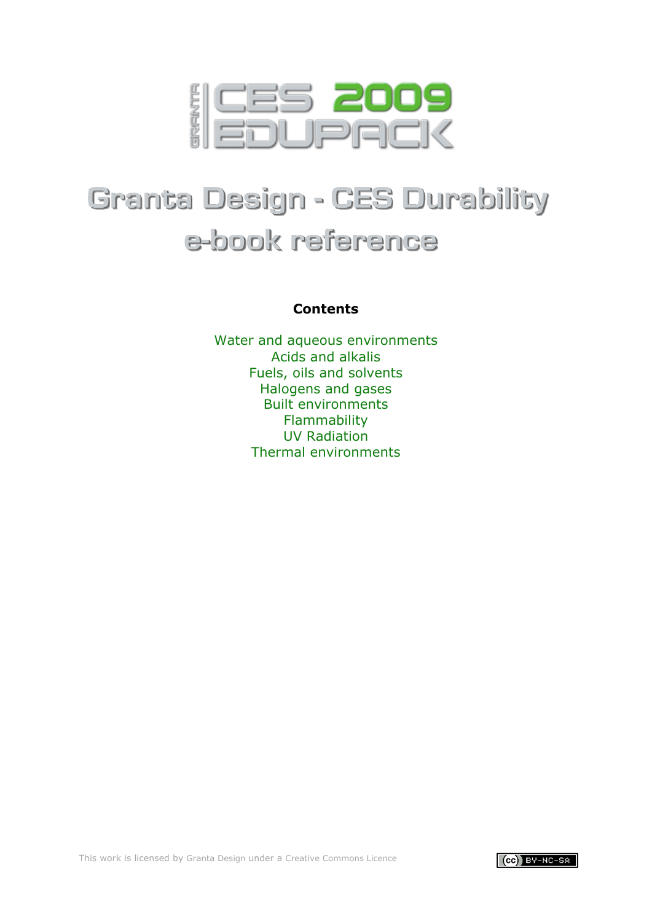

# **Granta Design - CES Durability** e-book reference

# **Contents**

[Water and aqueous environments](#page-1-0) [Acids and alkalis](#page-7-0) [Fuels, oils and solvents](#page-23-0) [Halogens and gases](#page-46-0) [Built environments](#page-53-0) [Flammability](#page-59-0) [UV Radiation](#page-62-0) [Thermal environments](#page-63-0)

This work is licensed by [Granta Design u](http://www.grantadesign.com/)nder a [Creative Commons Licence](http://creativecommons.org/licenses/by-nc-sa/2.0/uk/)

 $\vert$  (cc) BY-NC-SA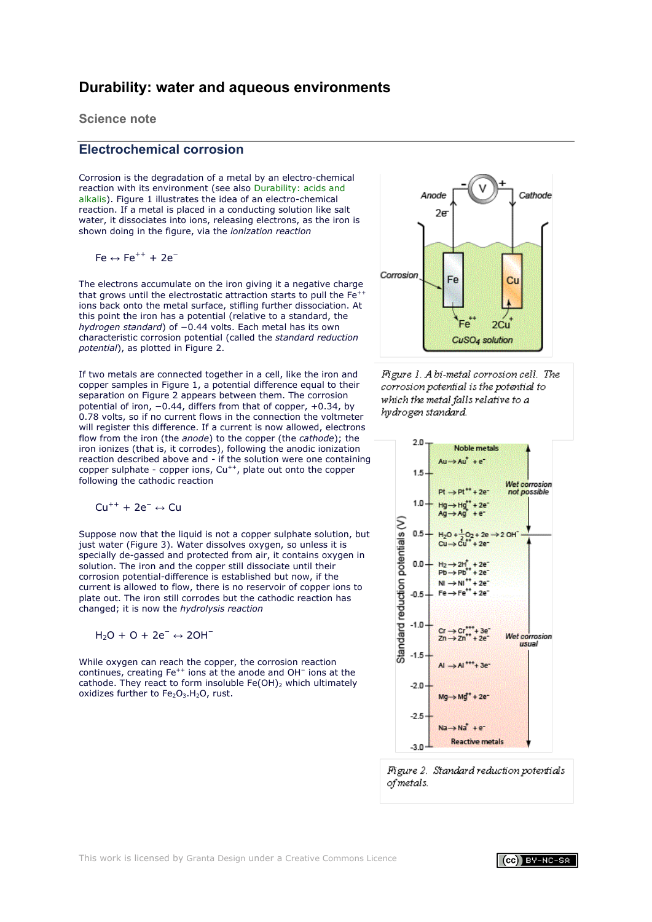# <span id="page-1-0"></span>**Durability: water and aqueous environments**

**Science note**

# <span id="page-1-1"></span>**Electrochemical corrosion**

Corrosion is the degradation of a metal by an electro-chemical reaction with its environment (see also [Durability: acids and](#page-7-0)  [alkalis\)](#page-7-0). Figure 1 illustrates the idea of an electro-chemical reaction. If a metal is placed in a conducting solution like salt water, it dissociates into ions, releasing electrons, as the iron is shown doing in the figure, via the *ionization reaction*

$$
Fe \leftrightarrow Fe^{++} + 2e^-
$$

The electrons accumulate on the iron giving it a negative charge that grows until the electrostatic attraction starts to pull the  $Fe<sup>+</sup>$ ions back onto the metal surface, stifling further dissociation. At this point the iron has a potential (relative to a standard, the *hydrogen standard*) of −0.44 volts. Each metal has its own characteristic corrosion potential (called the *standard reduction potential*), as plotted in Figure 2.

If two metals are connected together in a cell, like the iron and copper samples in Figure 1, a potential difference equal to their separation on Figure 2 appears between them. The corrosion potential of iron, −0.44, differs from that of copper, +0.34, by 0.78 volts, so if no current flows in the connection the voltmeter will register this difference. If a current is now allowed, electrons flow from the iron (the *anode*) to the copper (the *cathode*); the iron ionizes (that is, it corrodes), following the anodic ionization reaction described above and - if the solution were one containing copper sulphate - copper ions, Cu<sup>++</sup>, plate out onto the copper following the cathodic reaction

$$
Cu^{++} + 2e^- \leftrightarrow Cu
$$

Suppose now that the liquid is not a copper sulphate solution, but just water (Figure 3). Water dissolves oxygen, so unless it is specially de-gassed and protected from air, it contains oxygen in solution. The iron and the copper still dissociate until their corrosion potential-difference is established but now, if the current is allowed to flow, there is no reservoir of copper ions to plate out. The iron still corrodes but the cathodic reaction has changed; it is now the *hydrolysis reaction*

H2O + O + 2e<sup>−</sup> ↔ 2OH<sup>−</sup>

While oxygen can reach the copper, the corrosion reaction continues, creating Fe<sup>++</sup> ions at the anode and OH<sup>-</sup> ions at the cathode. They react to form insoluble  $Fe(OH)_2$  which ultimately oxidizes further to  $Fe<sub>2</sub>O<sub>3</sub>$ . H<sub>2</sub>O, rust.







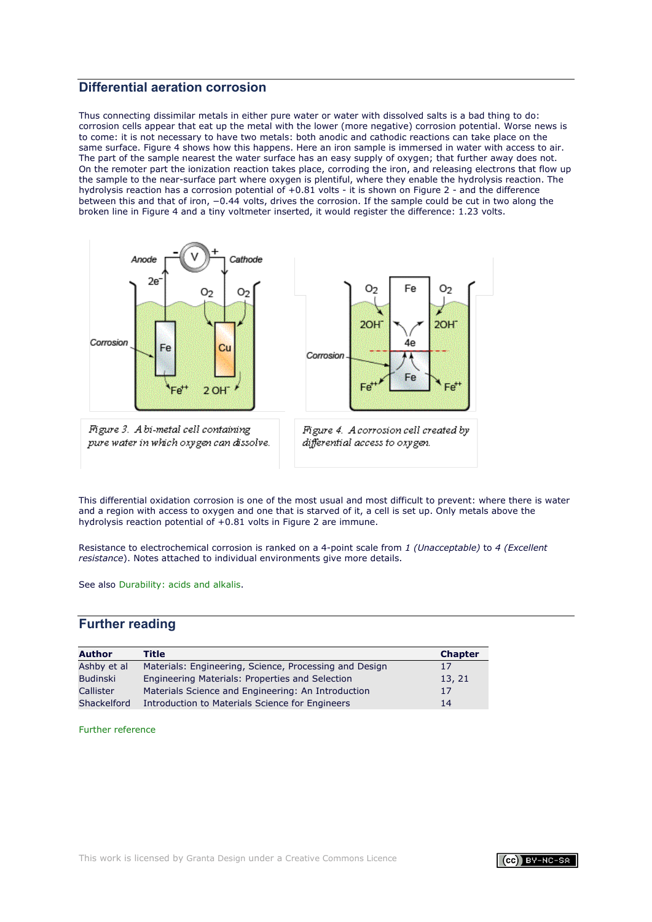# <span id="page-2-0"></span>**Differential aeration corrosion**

Thus connecting dissimilar metals in either pure water or water with dissolved salts is a bad thing to do: corrosion cells appear that eat up the metal with the lower (more negative) corrosion potential. Worse news is to come: it is not necessary to have two metals: both anodic and cathodic reactions can take place on the same surface. Figure 4 shows how this happens. Here an iron sample is immersed in water with access to air. The part of the sample nearest the water surface has an easy supply of oxygen; that further away does not. On the remoter part the ionization reaction takes place, corroding the iron, and releasing electrons that flow up the sample to the near-surface part where oxygen is plentiful, where they enable the hydrolysis reaction. The hydrolysis reaction has a corrosion potential of +0.81 volts - it is shown on Figure 2 - and the difference between this and that of iron, −0.44 volts, drives the corrosion. If the sample could be cut in two along the broken line in Figure 4 and a tiny voltmeter inserted, it would register the difference: 1.23 volts.



Figure 3. A bi-metal cell containing pure water in which oxygen can dissolve.



Figure 4. A corrosion cell created by differential access to oxygen.

This differential oxidation corrosion is one of the most usual and most difficult to prevent: where there is water and a region with access to oxygen and one that is starved of it, a cell is set up. Only metals above the hydrolysis reaction potential of +0.81 volts in Figure 2 are immune.

Resistance to electrochemical corrosion is ranked on a 4-point scale from *1 (Unacceptable)* to *4 (Excellent resistance*). Notes attached to individual environments give more details.

See also [Durability: acids and alkalis.](#page-7-0)

# **Further reading**

| <b>Author</b>   | Title                                                  | <b>Chapter</b> |
|-----------------|--------------------------------------------------------|----------------|
| Ashby et al     | Materials: Engineering, Science, Processing and Design | 17             |
| <b>Budinski</b> | Engineering Materials: Properties and Selection        | 13, 21         |
| Callister       | Materials Science and Engineering: An Introduction     | 17             |
| Shackelford     | Introduction to Materials Science for Engineers        | 14             |

[Further reference](#page-71-0) 

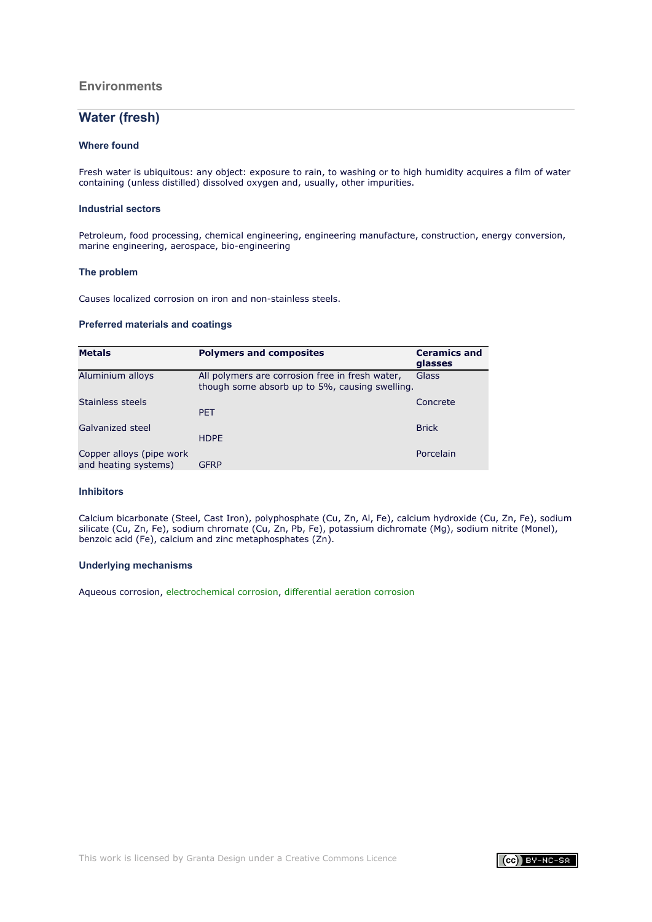# **Environments**

# **Water (fresh)**

### **Where found**

Fresh water is ubiquitous: any object: exposure to rain, to washing or to high humidity acquires a film of water containing (unless distilled) dissolved oxygen and, usually, other impurities.

### **Industrial sectors**

Petroleum, food processing, chemical engineering, engineering manufacture, construction, energy conversion, marine engineering, aerospace, bio-engineering

#### **The problem**

Causes localized corrosion on iron and non-stainless steels.

### **Preferred materials and coatings**

| <b>Metals</b>                                    | <b>Polymers and composites</b>                                                                    | <b>Ceramics and</b><br>glasses |
|--------------------------------------------------|---------------------------------------------------------------------------------------------------|--------------------------------|
| Aluminium alloys                                 | All polymers are corrosion free in fresh water,<br>though some absorb up to 5%, causing swelling. | <b>Glass</b>                   |
| Stainless steels                                 | <b>PET</b>                                                                                        | Concrete                       |
| Galvanized steel                                 | <b>HDPE</b>                                                                                       | <b>Brick</b>                   |
| Copper alloys (pipe work<br>and heating systems) | <b>GFRP</b>                                                                                       | Porcelain                      |

#### **Inhibitors**

Calcium bicarbonate (Steel, Cast Iron), polyphosphate (Cu, Zn, Al, Fe), calcium hydroxide (Cu, Zn, Fe), sodium silicate (Cu, Zn, Fe), sodium chromate (Cu, Zn, Pb, Fe), potassium dichromate (Mg), sodium nitrite (Monel), benzoic acid (Fe), calcium and zinc metaphosphates (Zn).

#### **Underlying mechanisms**

Aqueous corrosion, [electrochemical corrosion,](#page-1-1) [differential aeration corrosion](#page-2-0)

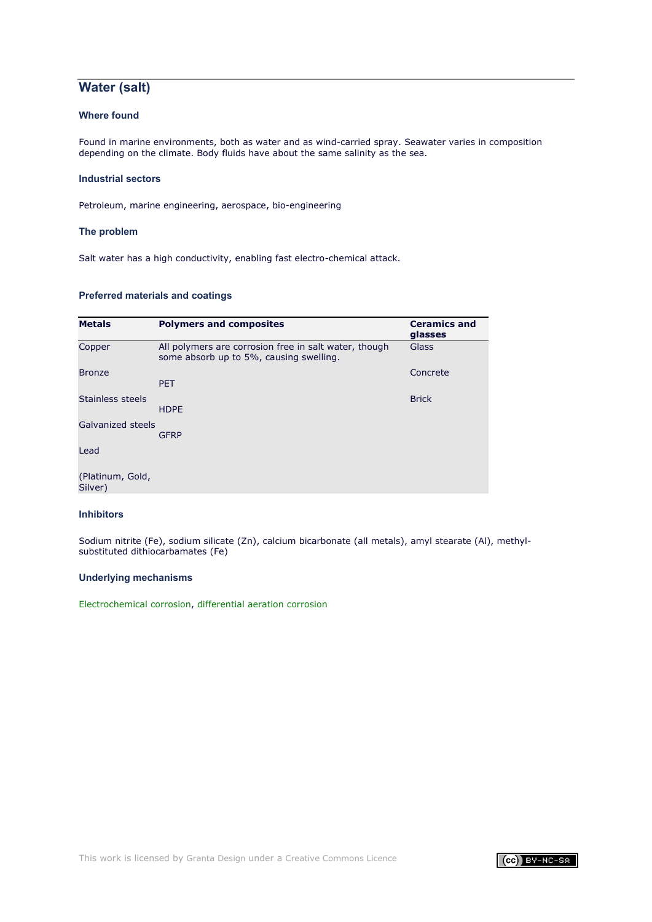# **Water (salt)**

# **Where found**

Found in marine environments, both as water and as wind-carried spray. Seawater varies in composition depending on the climate. Body fluids have about the same salinity as the sea.

### **Industrial sectors**

Petroleum, marine engineering, aerospace, bio-engineering

### **The problem**

Salt water has a high conductivity, enabling fast electro-chemical attack.

### **Preferred materials and coatings**

| <b>Metals</b>               | <b>Polymers and composites</b>                                                                   | <b>Ceramics and</b><br>glasses |
|-----------------------------|--------------------------------------------------------------------------------------------------|--------------------------------|
| Copper                      | All polymers are corrosion free in salt water, though<br>some absorb up to 5%, causing swelling. | Glass                          |
| <b>Bronze</b>               | <b>PET</b>                                                                                       | Concrete                       |
| Stainless steels            | <b>HDPE</b>                                                                                      | <b>Brick</b>                   |
| Galvanized steels           | <b>GFRP</b>                                                                                      |                                |
| Lead                        |                                                                                                  |                                |
| (Platinum, Gold,<br>Silver) |                                                                                                  |                                |

# **Inhibitors**

Sodium nitrite (Fe), sodium silicate (Zn), calcium bicarbonate (all metals), amyl stearate (Al), methylsubstituted dithiocarbamates (Fe)

#### **Underlying mechanisms**

[Electrochemical corrosion,](#page-1-1) [differential aeration corrosion](#page-2-0)

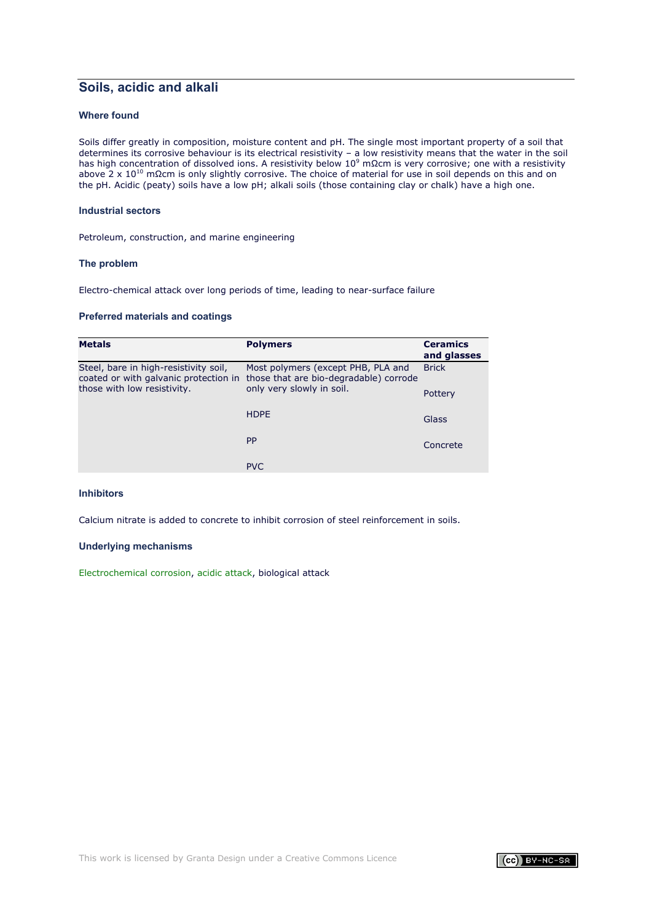# **Soils, acidic and alkali**

# **Where found**

Soils differ greatly in composition, moisture content and pH. The single most important property of a soil that determines its corrosive behaviour is its electrical resistivity – a low resistivity means that the water in the soil has high concentration of dissolved ions. A resistivity below 10<sup>9</sup> mΩcm is very corrosive; one with a resistivity below 10<sup>9</sup> mΩcm is very corrosive; one with a resistivity above 2 x 10<sup>10</sup> mΩcm is only slightly corrosive. The choice of material for use in soil depends on this and on the pH. Acidic (peaty) soils have a low pH; alkali soils (those containing clay or chalk) have a high one.

### **Industrial sectors**

Petroleum, construction, and marine engineering

#### **The problem**

Electro-chemical attack over long periods of time, leading to near-surface failure

#### **Preferred materials and coatings**

| <b>Metals</b>                                                                  | <b>Polymers</b>                                                              | <b>Ceramics</b><br>and glasses |
|--------------------------------------------------------------------------------|------------------------------------------------------------------------------|--------------------------------|
| Steel, bare in high-resistivity soil,<br>coated or with galvanic protection in | Most polymers (except PHB, PLA and<br>those that are bio-degradable) corrode | <b>Brick</b>                   |
| those with low resistivity.                                                    | only very slowly in soil.                                                    | Pottery                        |
|                                                                                | <b>HDPF</b>                                                                  | Glass                          |
|                                                                                | <b>PP</b>                                                                    | Concrete                       |
|                                                                                | <b>PVC</b>                                                                   |                                |

### **Inhibitors**

Calcium nitrate is added to concrete to inhibit corrosion of steel reinforcement in soils.

### **Underlying mechanisms**

[Electrochemical corrosion,](#page-1-1) [acidic attack,](#page-7-1) biological attack

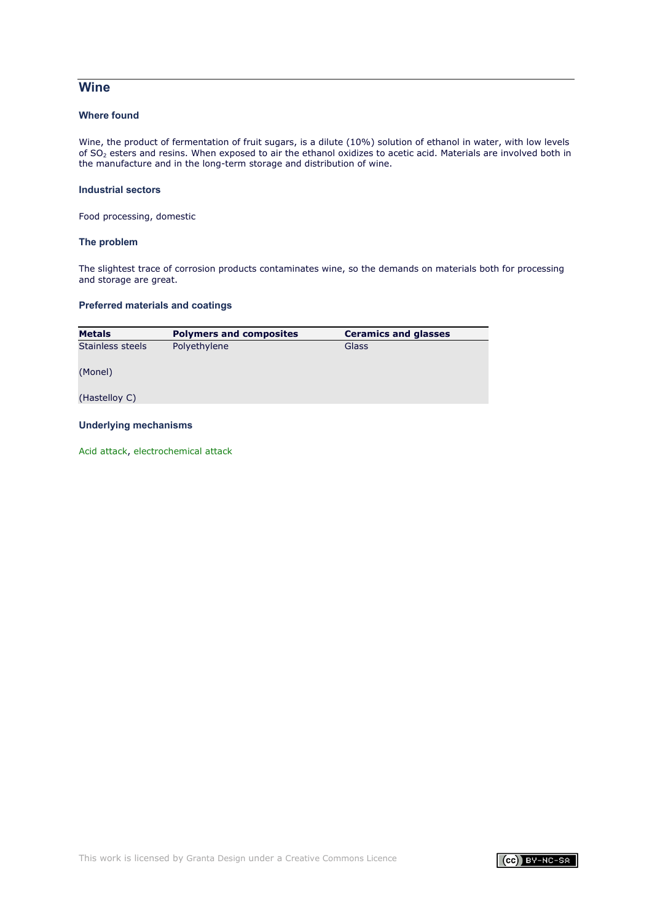# **Wine**

# **Where found**

Wine, the product of fermentation of fruit sugars, is a dilute (10%) solution of ethanol in water, with low levels of SO2 esters and resins. When exposed to air the ethanol oxidizes to acetic acid. Materials are involved both in the manufacture and in the long-term storage and distribution of wine.

### **Industrial sectors**

Food processing, domestic

#### **The problem**

The slightest trace of corrosion products contaminates wine, so the demands on materials both for processing and storage are great.

# **Preferred materials and coatings**

| <b>Metals</b>    | <b>Polymers and composites</b> | <b>Ceramics and glasses</b> |
|------------------|--------------------------------|-----------------------------|
| Stainless steels | Polyethylene                   | Glass                       |
| (Monel)          |                                |                             |
| (Hastelloy C)    |                                |                             |
|                  |                                |                             |

# **Underlying mechanisms**

[Acid attack,](#page-7-1) [electrochemical attack](#page-1-1)

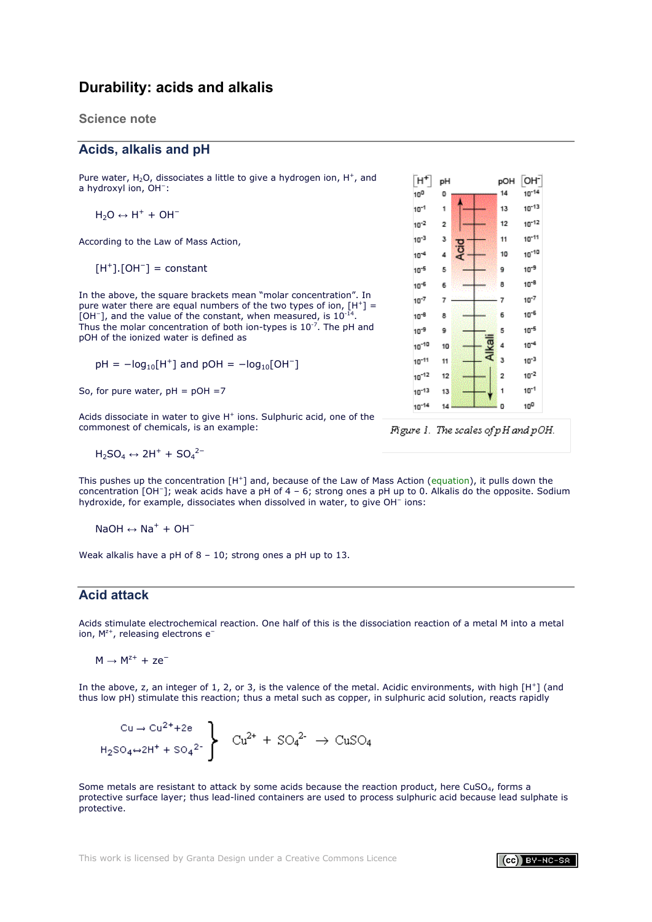# <span id="page-7-0"></span>**Durability: acids and alkalis**

# **Science note**

# **Acids, alkalis and pH**

Pure water,  $H_2O$ , dissociates a little to give a hydrogen ion,  $H^+$ , and a hydroxyl ion, OH<sup>−</sup>:

$$
H_2O \leftrightarrow H^+ + OH^-
$$

<span id="page-7-2"></span>According to the Law of Mass Action,

 $[H^+]$ .[OH<sup>-</sup>] = constant

In the above, the square brackets mean "molar concentration". In pure water there are equal numbers of the two types of ion,  $[H^+] =$ [OH−], and the value of the constant, when measured, is 10-<sup>14</sup>. Thus the molar concentration of both ion-types is  $10^{-7}$ . The pH and pOH of the ionized water is defined as

 $pH = -log_{10}[H^+]$  and  $pOH = -log_{10}[OH^-]$ 

So, for pure water,  $pH = pOH = 7$ 

Acids dissociate in water to give  $H^+$  ions. Sulphuric acid, one of the commonest of chemicals, is an example:

 $H_2SO_4 \leftrightarrow 2H^+ + SO_4{}^{2-}$ 

This pushes up the concentration [H+] and, because of the Law of Mass Action [\(equation\)](#page-7-2), it pulls down the concentration [OH−]; weak acids have a pH of 4 – 6; strong ones a pH up to 0. Alkalis do the opposite. Sodium hydroxide, for example, dissociates when dissolved in water, to give OH<sup>−</sup> ions:

NaOH  $\leftrightarrow$  Na<sup>+</sup> + OH<sup>-</sup>

Weak alkalis have a pH of 8 – 10; strong ones a pH up to 13.

# <span id="page-7-1"></span>**Acid attack**

Acids stimulate electrochemical reaction. One half of this is the dissociation reaction of a metal M into a metal ion, M<sup>z+</sup>, releasing electrons e<sup>-</sup>

 $M \rightarrow M^{z+} + ze^-$ 

In the above, z, an integer of 1, 2, or 3, is the valence of the metal. Acidic environments, with high [H+] (and thus low pH) stimulate this reaction; thus a metal such as copper, in sulphuric acid solution, reacts rapidly

$$
C u \to Cu^{2+} + 2e
$$
  
H<sub>2</sub>SO<sub>4</sub>~2H<sup>+</sup> + SO<sub>4</sub><sup>2-</sup>  $\left\{\n \begin{array}{l}\n Cu^{2+} + SO_4^{2-} \to CuSO_4 \\
\end{array}\n\right.$ 

Some metals are resistant to attack by some acids because the reaction product, here CuSO<sub>4</sub>, forms a protective surface layer; thus lead-lined containers are used to process sulphuric acid because lead sulphate is protective.



Figure 1. The scales of pH and pOH.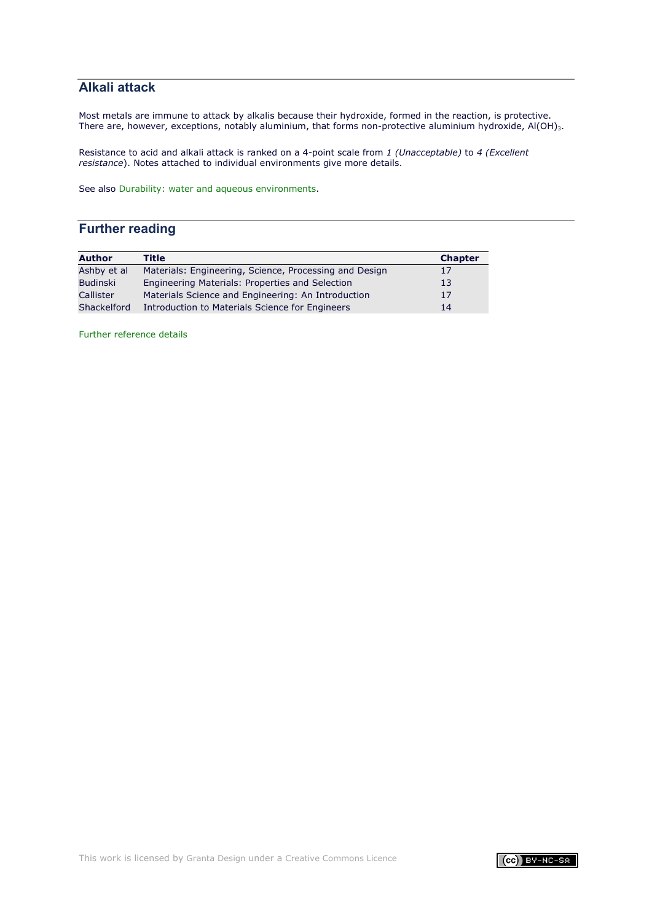# <span id="page-8-0"></span>**Alkali attack**

Most metals are immune to attack by alkalis because their hydroxide, formed in the reaction, is protective. There are, however, exceptions, notably aluminium, that forms non-protective aluminium hydroxide, Al(OH)<sub>3</sub>.

Resistance to acid and alkali attack is ranked on a 4-point scale from *1 (Unacceptable)* to *4 (Excellent resistance*). Notes attached to individual environments give more details.

See also [Durability: water and aqueous environments.](#page-1-0)

# **Further reading**

| <b>Author</b>   | Title                                                  | <b>Chapter</b> |
|-----------------|--------------------------------------------------------|----------------|
| Ashby et al     | Materials: Engineering, Science, Processing and Design | 17             |
| <b>Budinski</b> | Engineering Materials: Properties and Selection        | 13             |
| Callister       | Materials Science and Engineering: An Introduction     | 17             |
| Shackelford     | Introduction to Materials Science for Engineers        | 14             |

[Further reference details](#page-71-0)

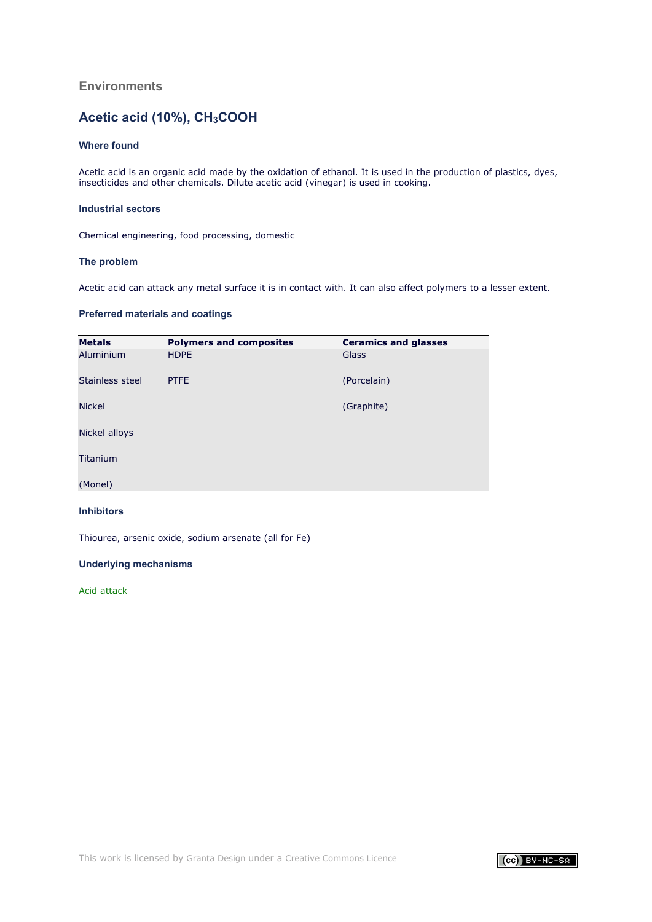# Acetic acid (10%), CH<sub>3</sub>COOH

### **Where found**

Acetic acid is an organic acid made by the oxidation of ethanol. It is used in the production of plastics, dyes, insecticides and other chemicals. Dilute acetic acid (vinegar) is used in cooking.

### **Industrial sectors**

Chemical engineering, food processing, domestic

### **The problem**

Acetic acid can attack any metal surface it is in contact with. It can also affect polymers to a lesser extent.

# **Preferred materials and coatings**

| <b>Metals</b>   | <b>Polymers and composites</b> | <b>Ceramics and glasses</b> |
|-----------------|--------------------------------|-----------------------------|
| Aluminium       | <b>HDPE</b>                    | Glass                       |
| Stainless steel | <b>PTFE</b>                    | (Porcelain)                 |
| <b>Nickel</b>   |                                | (Graphite)                  |
| Nickel alloys   |                                |                             |
| Titanium        |                                |                             |
| (Monel)         |                                |                             |

# **Inhibitors**

Thiourea, arsenic oxide, sodium arsenate (all for Fe)

### **Underlying mechanisms**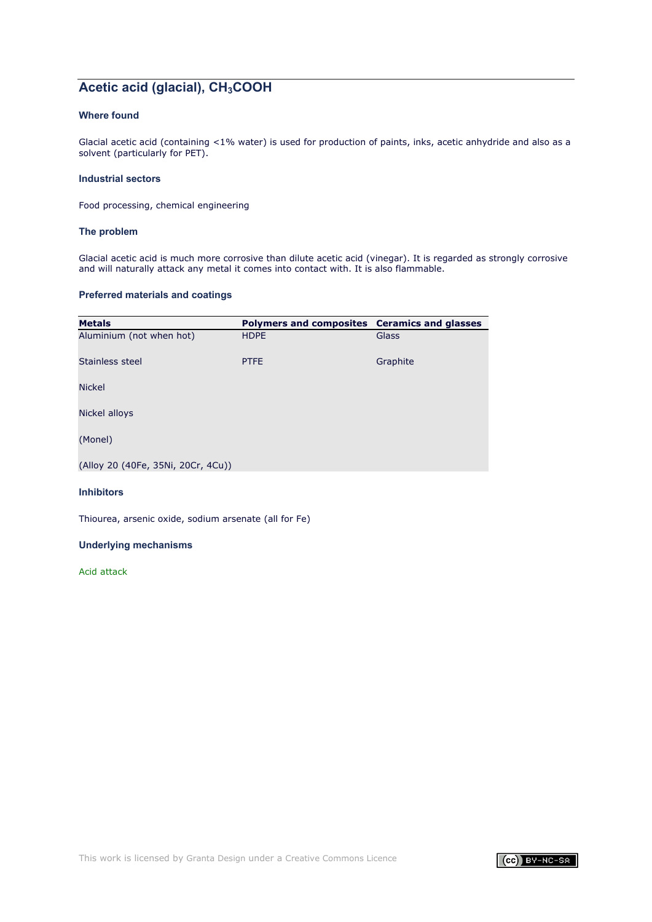# **Acetic acid (glacial), CH<sub>3</sub>COOH**

# **Where found**

Glacial acetic acid (containing <1% water) is used for production of paints, inks, acetic anhydride and also as a solvent (particularly for PET).

### **Industrial sectors**

Food processing, chemical engineering

### **The problem**

Glacial acetic acid is much more corrosive than dilute acetic acid (vinegar). It is regarded as strongly corrosive and will naturally attack any metal it comes into contact with. It is also flammable.

### **Preferred materials and coatings**

| <b>Metals</b>                      | Polymers and composites Ceramics and glasses |          |
|------------------------------------|----------------------------------------------|----------|
| Aluminium (not when hot)           | <b>HDPE</b>                                  | Glass    |
| Stainless steel                    | <b>PTFE</b>                                  | Graphite |
| <b>Nickel</b>                      |                                              |          |
| Nickel alloys                      |                                              |          |
| (Monel)                            |                                              |          |
| (Alloy 20 (40Fe, 35Ni, 20Cr, 4Cu)) |                                              |          |

#### **Inhibitors**

Thiourea, arsenic oxide, sodium arsenate (all for Fe)

# **Underlying mechanisms**

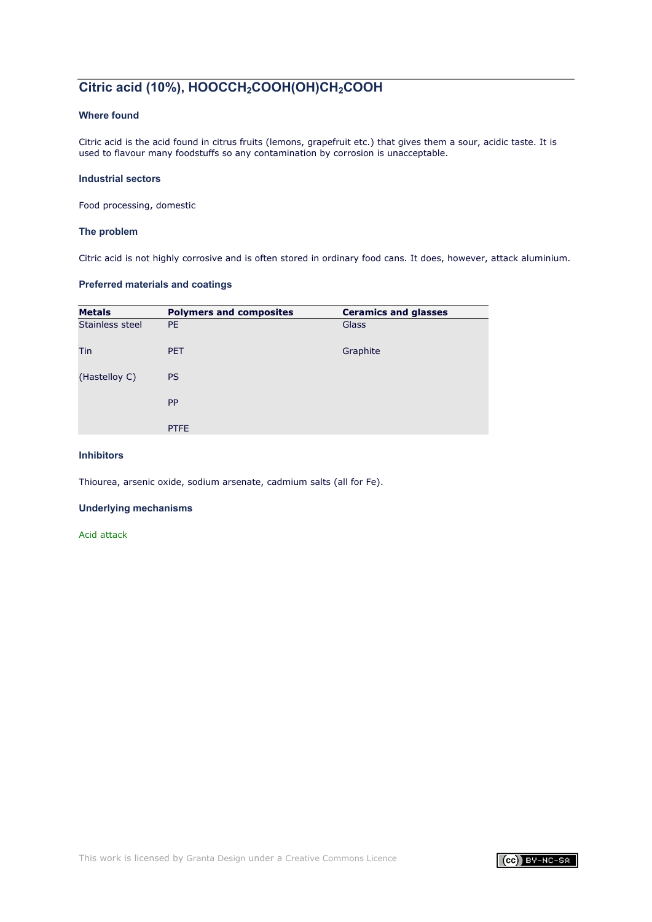# **Citric acid (10%), HOOCCH2COOH(OH)CH2COOH**

# **Where found**

Citric acid is the acid found in citrus fruits (lemons, grapefruit etc.) that gives them a sour, acidic taste. It is used to flavour many foodstuffs so any contamination by corrosion is unacceptable.

### **Industrial sectors**

Food processing, domestic

### **The problem**

Citric acid is not highly corrosive and is often stored in ordinary food cans. It does, however, attack aluminium.

# **Preferred materials and coatings**

| <b>Metals</b>   | <b>Polymers and composites</b> | <b>Ceramics and glasses</b> |
|-----------------|--------------------------------|-----------------------------|
| Stainless steel | <b>PE</b>                      | Glass                       |
| Tin             | <b>PET</b>                     | Graphite                    |
| (Hastelloy C)   | <b>PS</b>                      |                             |
|                 | PP                             |                             |
|                 | <b>PTFE</b>                    |                             |

### **Inhibitors**

Thiourea, arsenic oxide, sodium arsenate, cadmium salts (all for Fe).

### **Underlying mechanisms**

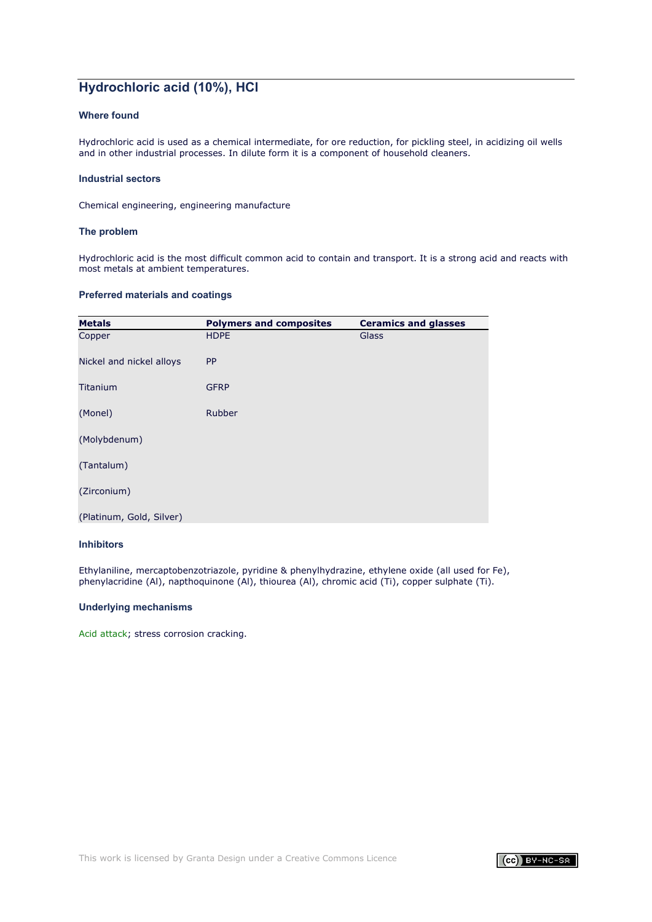# **Hydrochloric acid (10%), HCl**

# **Where found**

Hydrochloric acid is used as a chemical intermediate, for ore reduction, for pickling steel, in acidizing oil wells and in other industrial processes. In dilute form it is a component of household cleaners.

### **Industrial sectors**

Chemical engineering, engineering manufacture

### **The problem**

Hydrochloric acid is the most difficult common acid to contain and transport. It is a strong acid and reacts with most metals at ambient temperatures.

### **Preferred materials and coatings**

| <b>Metals</b>            | <b>Polymers and composites</b> | <b>Ceramics and glasses</b> |
|--------------------------|--------------------------------|-----------------------------|
| Copper                   | <b>HDPE</b>                    | Glass                       |
| Nickel and nickel alloys | <b>PP</b>                      |                             |
| Titanium                 | <b>GFRP</b>                    |                             |
| (Monel)                  | Rubber                         |                             |
| (Molybdenum)             |                                |                             |
| (Tantalum)               |                                |                             |
| (Zirconium)              |                                |                             |
| (Platinum, Gold, Silver) |                                |                             |

### **Inhibitors**

Ethylaniline, mercaptobenzotriazole, pyridine & phenylhydrazine, ethylene oxide (all used for Fe), phenylacridine (Al), napthoquinone (Al), thiourea (Al), chromic acid (Ti), copper sulphate (Ti).

### **Underlying mechanisms**

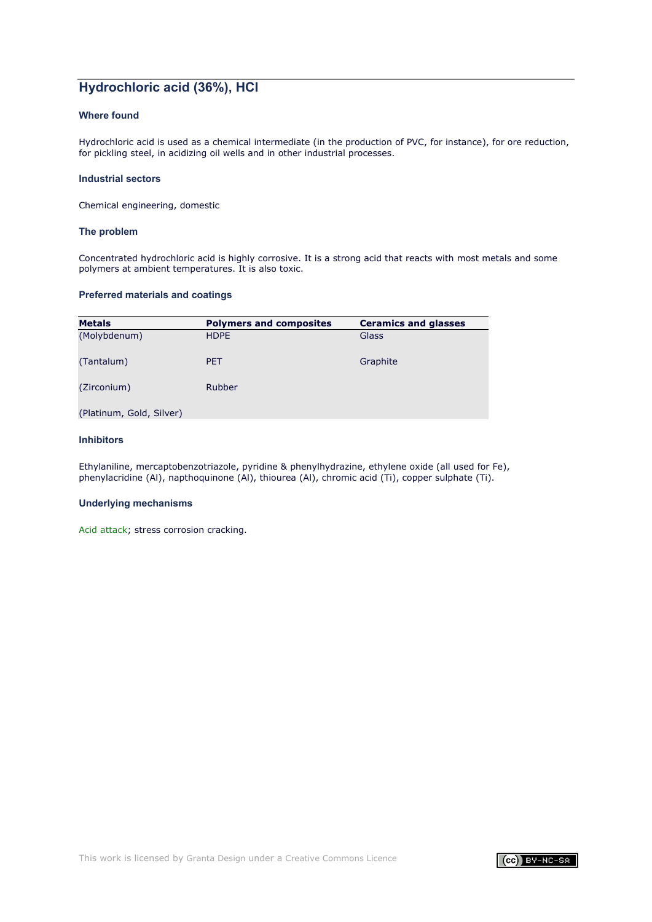# **Hydrochloric acid (36%), HCl**

# **Where found**

Hydrochloric acid is used as a chemical intermediate (in the production of PVC, for instance), for ore reduction, for pickling steel, in acidizing oil wells and in other industrial processes.

### **Industrial sectors**

Chemical engineering, domestic

### **The problem**

Concentrated hydrochloric acid is highly corrosive. It is a strong acid that reacts with most metals and some polymers at ambient temperatures. It is also toxic.

### **Preferred materials and coatings**

| <b>Metals</b>            | <b>Polymers and composites</b> | <b>Ceramics and glasses</b> |
|--------------------------|--------------------------------|-----------------------------|
| (Molybdenum)             | <b>HDPE</b>                    | Glass                       |
| (Tantalum)               | <b>PET</b>                     | Graphite                    |
| (Zirconium)              | Rubber                         |                             |
| (Platinum, Gold, Silver) |                                |                             |

### **Inhibitors**

Ethylaniline, mercaptobenzotriazole, pyridine & phenylhydrazine, ethylene oxide (all used for Fe), phenylacridine (Al), napthoquinone (Al), thiourea (Al), chromic acid (Ti), copper sulphate (Ti).

#### **Underlying mechanisms**

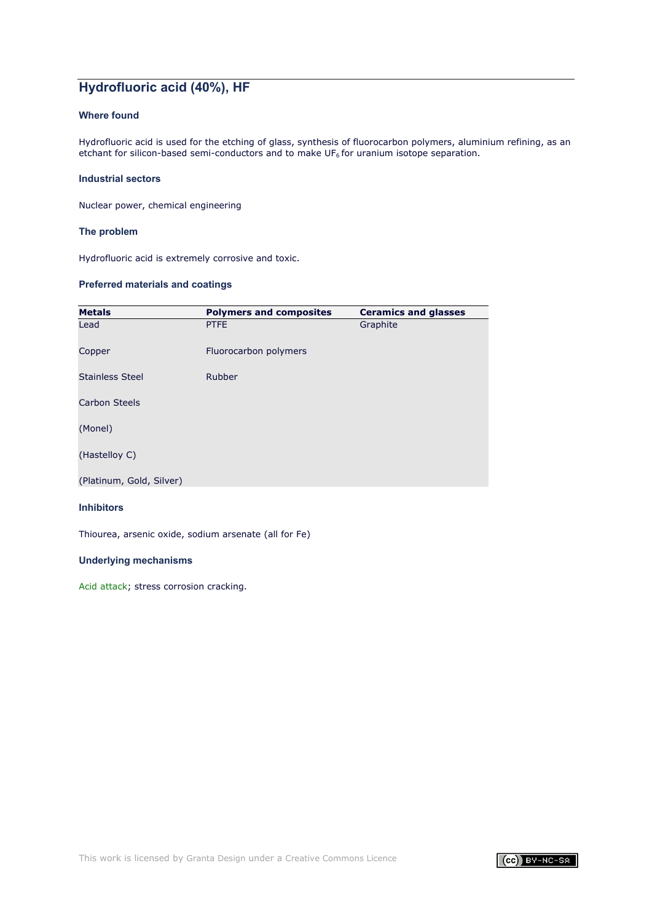# **Hydrofluoric acid (40%), HF**

# **Where found**

Hydrofluoric acid is used for the etching of glass, synthesis of fluorocarbon polymers, aluminium refining, as an etchant for silicon-based semi-conductors and to make  $UF<sub>6</sub>$  for uranium isotope separation.

### **Industrial sectors**

Nuclear power, chemical engineering

### **The problem**

Hydrofluoric acid is extremely corrosive and toxic.

# **Preferred materials and coatings**

| <b>Metals</b>            | <b>Polymers and composites</b> | <b>Ceramics and glasses</b> |
|--------------------------|--------------------------------|-----------------------------|
| Lead                     | <b>PTFE</b>                    | Graphite                    |
| Copper                   | Fluorocarbon polymers          |                             |
| <b>Stainless Steel</b>   | Rubber                         |                             |
| <b>Carbon Steels</b>     |                                |                             |
| (Monel)                  |                                |                             |
| (Hastelloy C)            |                                |                             |
| (Platinum, Gold, Silver) |                                |                             |

#### **Inhibitors**

Thiourea, arsenic oxide, sodium arsenate (all for Fe)

# **Underlying mechanisms**

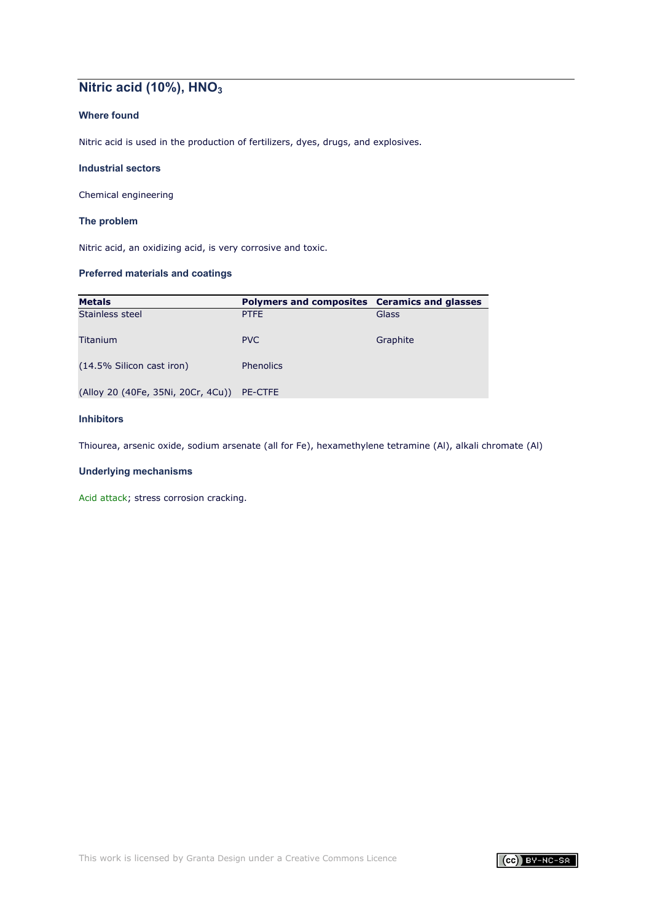# **Nitric acid (10%), HNO3**

# **Where found**

Nitric acid is used in the production of fertilizers, dyes, drugs, and explosives.

### **Industrial sectors**

Chemical engineering

### **The problem**

Nitric acid, an oxidizing acid, is very corrosive and toxic.

# **Preferred materials and coatings**

| <b>Metals</b>                              | Polymers and composites Ceramics and glasses |          |
|--------------------------------------------|----------------------------------------------|----------|
| Stainless steel                            | <b>PTFE</b>                                  | Glass    |
| Titanium                                   | <b>PVC</b>                                   | Graphite |
| (14.5% Silicon cast iron)                  | <b>Phenolics</b>                             |          |
| (Alloy 20 (40Fe, 35Ni, 20Cr, 4Cu)) PE-CTFE |                                              |          |

# **Inhibitors**

Thiourea, arsenic oxide, sodium arsenate (all for Fe), hexamethylene tetramine (Al), alkali chromate (Al)

# **Underlying mechanisms**

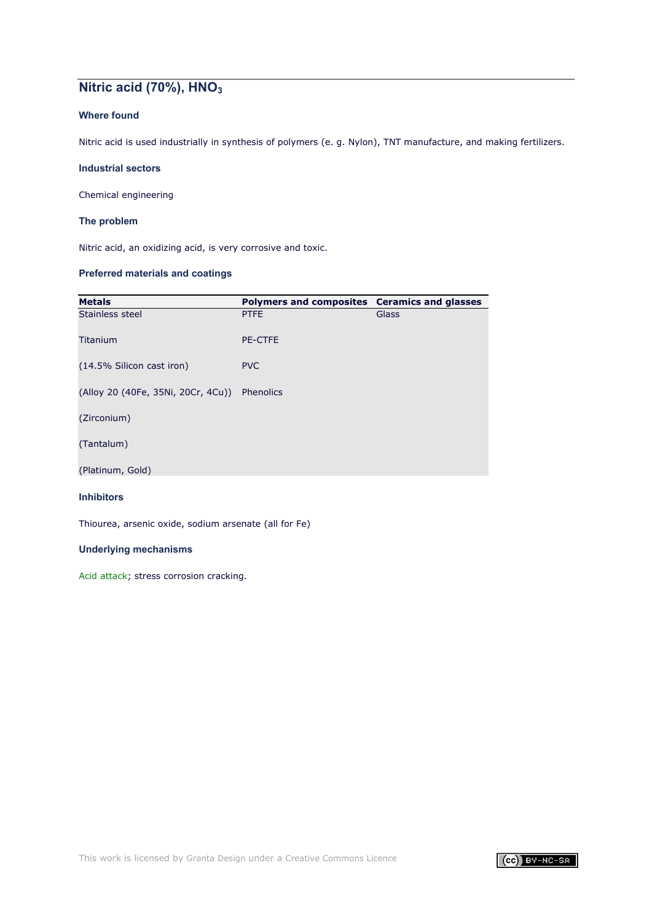# **Nitric acid (70%), HNO3**

# **Where found**

Nitric acid is used industrially in synthesis of polymers (e. g. Nylon), TNT manufacture, and making fertilizers.

### **Industrial sectors**

Chemical engineering

### **The problem**

Nitric acid, an oxidizing acid, is very corrosive and toxic.

### **Preferred materials and coatings**

| <b>Metals</b>                      | Polymers and composites Ceramics and glasses |       |
|------------------------------------|----------------------------------------------|-------|
| Stainless steel                    | <b>PTFE</b>                                  | Glass |
| Titanium                           | <b>PE-CTFE</b>                               |       |
| (14.5% Silicon cast iron)          | <b>PVC</b>                                   |       |
| (Alloy 20 (40Fe, 35Ni, 20Cr, 4Cu)) | Phenolics                                    |       |
| (Zirconium)                        |                                              |       |
| (Tantalum)                         |                                              |       |
| (Platinum, Gold)                   |                                              |       |

# **Inhibitors**

Thiourea, arsenic oxide, sodium arsenate (all for Fe)

### **Underlying mechanisms**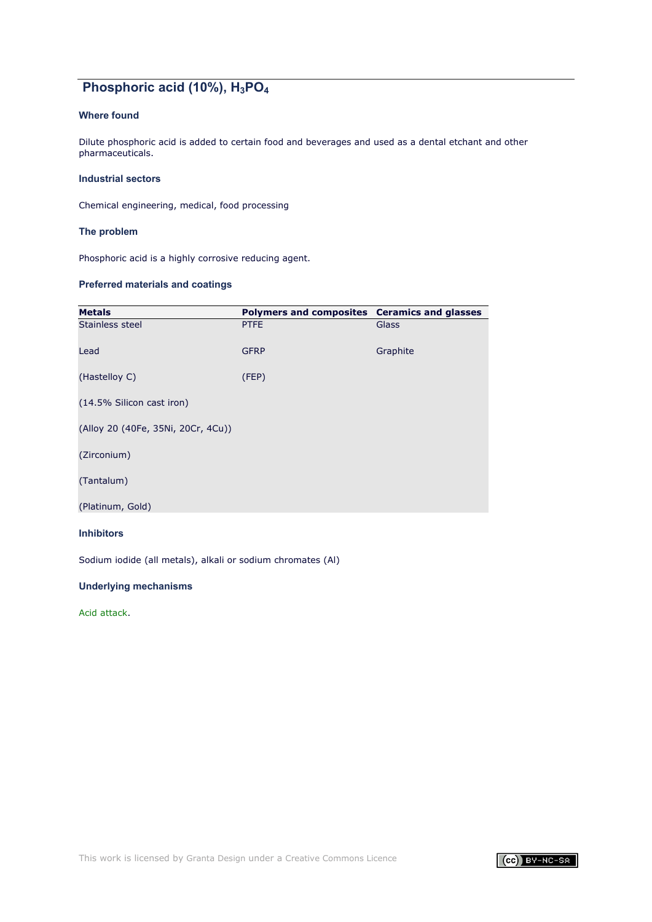# **Phosphoric acid (10%), H3PO4**

# **Where found**

Dilute phosphoric acid is added to certain food and beverages and used as a dental etchant and other pharmaceuticals.

### **Industrial sectors**

Chemical engineering, medical, food processing

### **The problem**

Phosphoric acid is a highly corrosive reducing agent.

# **Preferred materials and coatings**

| <b>Metals</b>                      | Polymers and composites Ceramics and glasses |              |
|------------------------------------|----------------------------------------------|--------------|
| Stainless steel                    | <b>PTFE</b>                                  | <b>Glass</b> |
| Lead                               | <b>GFRP</b>                                  | Graphite     |
| (Hastelloy C)                      | (FEP)                                        |              |
| (14.5% Silicon cast iron)          |                                              |              |
| (Alloy 20 (40Fe, 35Ni, 20Cr, 4Cu)) |                                              |              |
| (Zirconium)                        |                                              |              |
| (Tantalum)                         |                                              |              |
| (Platinum, Gold)                   |                                              |              |

# **Inhibitors**

Sodium iodide (all metals), alkali or sodium chromates (Al)

### **Underlying mechanisms**

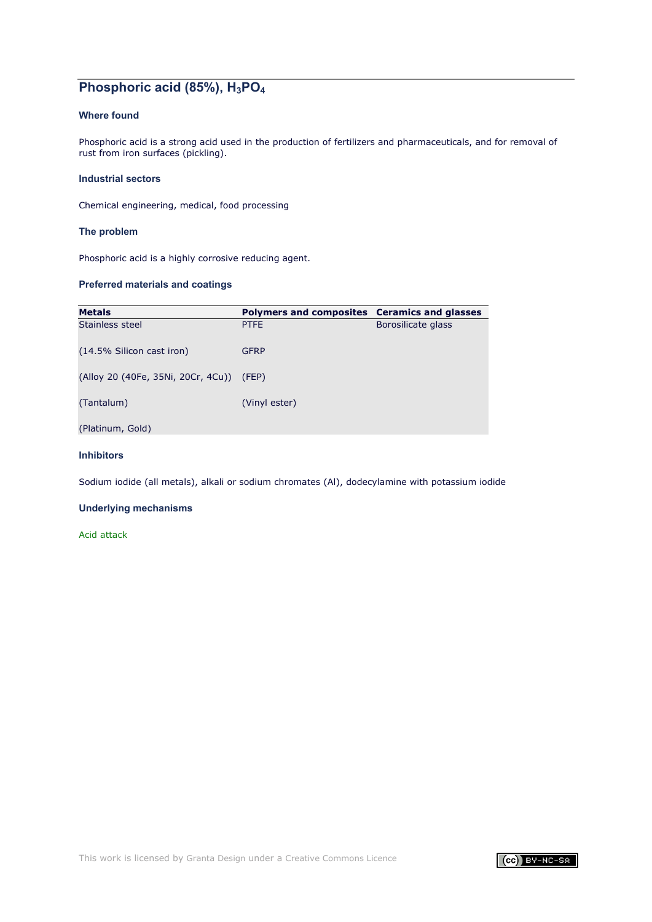# **Phosphoric acid (85%), H3PO4**

# **Where found**

Phosphoric acid is a strong acid used in the production of fertilizers and pharmaceuticals, and for removal of rust from iron surfaces (pickling).

### **Industrial sectors**

Chemical engineering, medical, food processing

### **The problem**

Phosphoric acid is a highly corrosive reducing agent.

# **Preferred materials and coatings**

| <b>Metals</b>                            | Polymers and composites Ceramics and glasses |                    |
|------------------------------------------|----------------------------------------------|--------------------|
| Stainless steel                          | <b>PTFE</b>                                  | Borosilicate glass |
| (14.5% Silicon cast iron)                | <b>GFRP</b>                                  |                    |
| (Alloy 20 (40Fe, 35Ni, 20Cr, 4Cu)) (FEP) |                                              |                    |
| (Tantalum)                               | (Vinyl ester)                                |                    |
| (Platinum, Gold)                         |                                              |                    |

### **Inhibitors**

Sodium iodide (all metals), alkali or sodium chromates (Al), dodecylamine with potassium iodide

### **Underlying mechanisms**

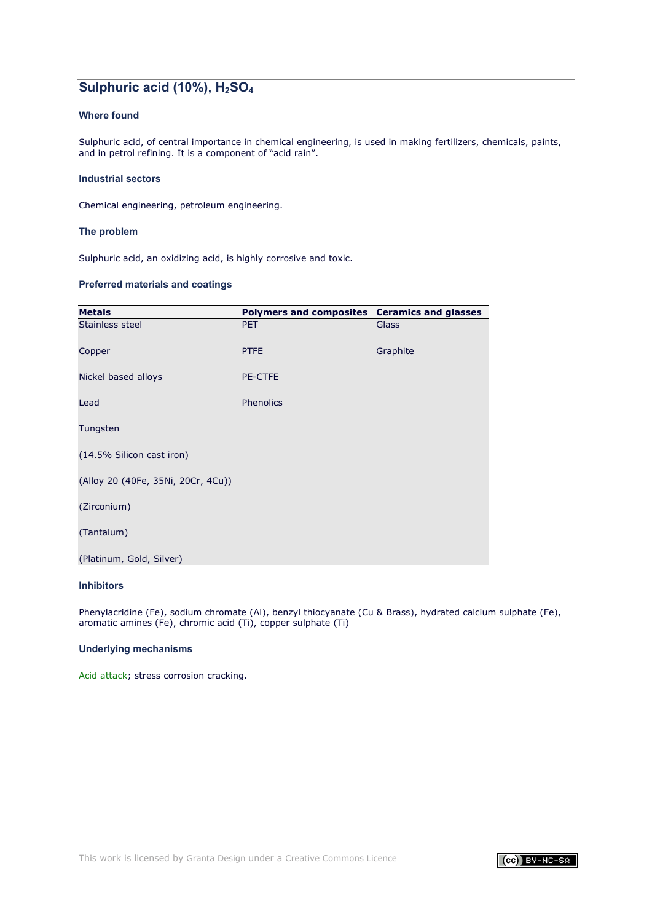# **Sulphuric acid (10%), H2SO4**

# **Where found**

Sulphuric acid, of central importance in chemical engineering, is used in making fertilizers, chemicals, paints, and in petrol refining. It is a component of "acid rain".

### **Industrial sectors**

Chemical engineering, petroleum engineering.

### **The problem**

Sulphuric acid, an oxidizing acid, is highly corrosive and toxic.

### **Preferred materials and coatings**

| <b>Metals</b>                      | Polymers and composites Ceramics and glasses |              |
|------------------------------------|----------------------------------------------|--------------|
| Stainless steel                    | <b>PET</b>                                   | <b>Glass</b> |
| Copper                             | <b>PTFE</b>                                  | Graphite     |
| Nickel based alloys                | <b>PE-CTFE</b>                               |              |
| Lead                               | Phenolics                                    |              |
| Tungsten                           |                                              |              |
| (14.5% Silicon cast iron)          |                                              |              |
| (Alloy 20 (40Fe, 35Ni, 20Cr, 4Cu)) |                                              |              |
| (Zirconium)                        |                                              |              |
| (Tantalum)                         |                                              |              |
| (Platinum, Gold, Silver)           |                                              |              |

### **Inhibitors**

Phenylacridine (Fe), sodium chromate (Al), benzyl thiocyanate (Cu & Brass), hydrated calcium sulphate (Fe), aromatic amines (Fe), chromic acid (Ti), copper sulphate (Ti)

#### **Underlying mechanisms**

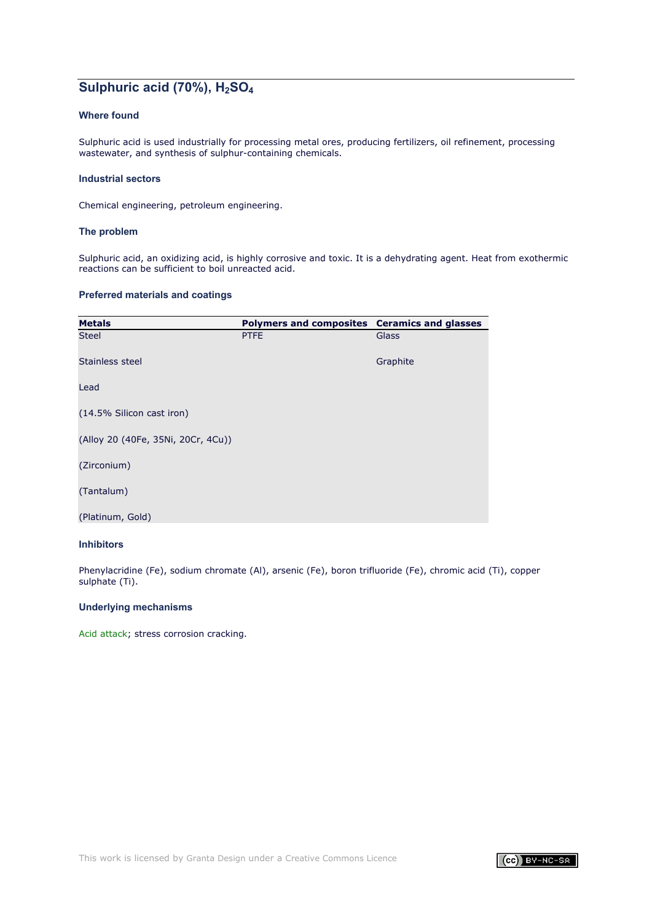# **Sulphuric acid (70%), H2SO4**

# **Where found**

Sulphuric acid is used industrially for processing metal ores, producing fertilizers, oil refinement, processing wastewater, and synthesis of sulphur-containing chemicals.

### **Industrial sectors**

Chemical engineering, petroleum engineering.

### **The problem**

Sulphuric acid, an oxidizing acid, is highly corrosive and toxic. It is a dehydrating agent. Heat from exothermic reactions can be sufficient to boil unreacted acid.

### **Preferred materials and coatings**

| <b>Metals</b>                      | Polymers and composites Ceramics and glasses |              |
|------------------------------------|----------------------------------------------|--------------|
| <b>Steel</b>                       | <b>PTFE</b>                                  | <b>Glass</b> |
| Stainless steel                    |                                              | Graphite     |
| Lead                               |                                              |              |
| (14.5% Silicon cast iron)          |                                              |              |
| (Alloy 20 (40Fe, 35Ni, 20Cr, 4Cu)) |                                              |              |
| (Zirconium)                        |                                              |              |
| (Tantalum)                         |                                              |              |
| (Platinum, Gold)                   |                                              |              |

### **Inhibitors**

Phenylacridine (Fe), sodium chromate (Al), arsenic (Fe), boron trifluoride (Fe), chromic acid (Ti), copper sulphate (Ti).

### **Underlying mechanisms**

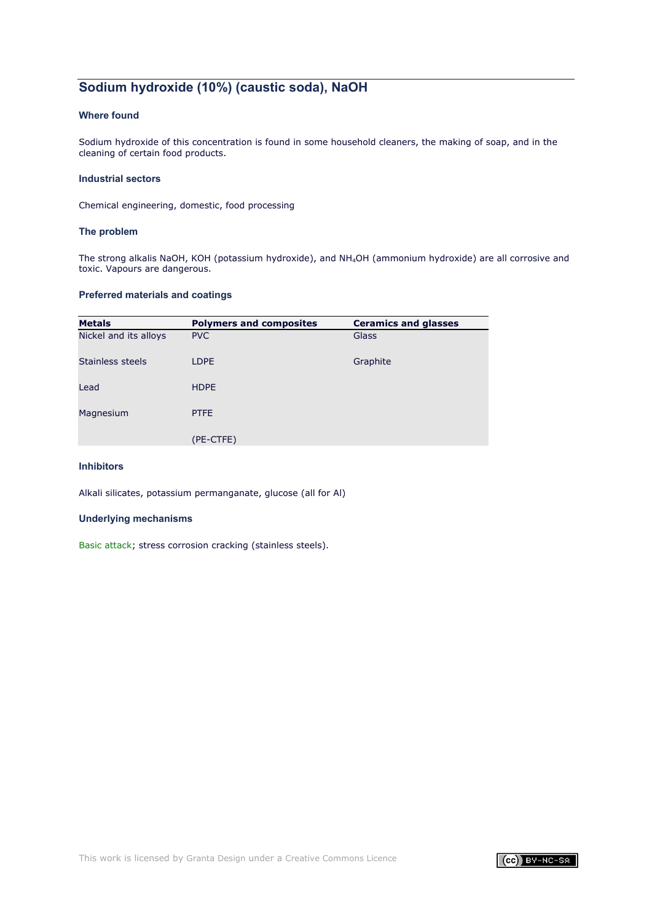# **Sodium hydroxide (10%) (caustic soda), NaOH**

# **Where found**

Sodium hydroxide of this concentration is found in some household cleaners, the making of soap, and in the cleaning of certain food products.

### **Industrial sectors**

Chemical engineering, domestic, food processing

### **The problem**

The strong alkalis NaOH, KOH (potassium hydroxide), and NH4OH (ammonium hydroxide) are all corrosive and toxic. Vapours are dangerous.

### **Preferred materials and coatings**

| <b>Metals</b>         | <b>Polymers and composites</b> | <b>Ceramics and glasses</b> |
|-----------------------|--------------------------------|-----------------------------|
| Nickel and its alloys | <b>PVC</b>                     | Glass                       |
| Stainless steels      | <b>LDPE</b>                    | Graphite                    |
| Lead                  | <b>HDPE</b>                    |                             |
| Magnesium             | <b>PTFE</b>                    |                             |
|                       | (PE-CTFE)                      |                             |

# **Inhibitors**

Alkali silicates, potassium permanganate, glucose (all for Al)

#### **Underlying mechanisms**

[Basic attack;](#page-8-0) stress corrosion cracking (stainless steels).

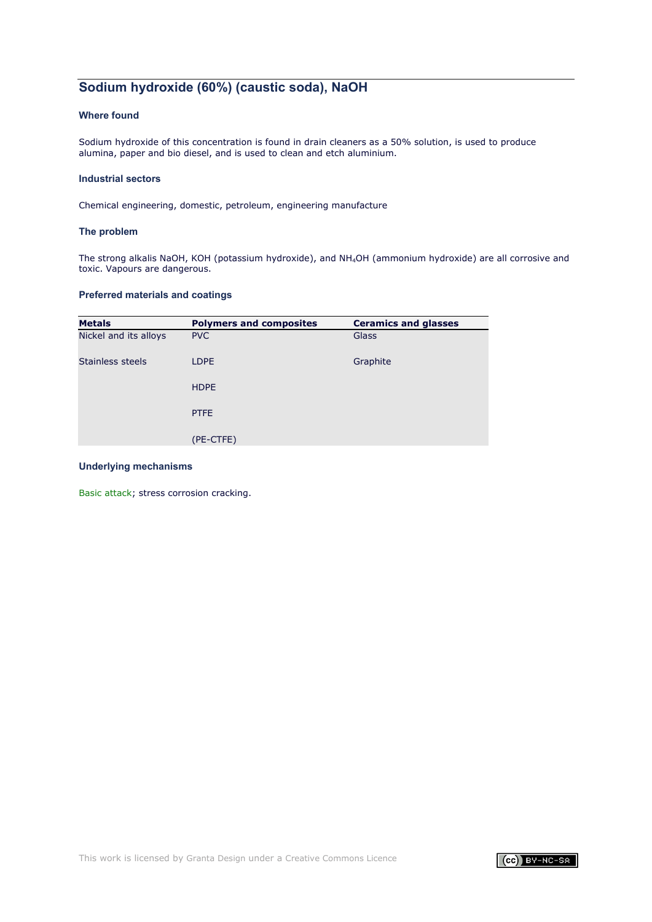# **Sodium hydroxide (60%) (caustic soda), NaOH**

# **Where found**

Sodium hydroxide of this concentration is found in drain cleaners as a 50% solution, is used to produce alumina, paper and bio diesel, and is used to clean and etch aluminium.

### **Industrial sectors**

Chemical engineering, domestic, petroleum, engineering manufacture

### **The problem**

The strong alkalis NaOH, KOH (potassium hydroxide), and NH4OH (ammonium hydroxide) are all corrosive and toxic. Vapours are dangerous.

### **Preferred materials and coatings**

| <b>Metals</b>         | <b>Polymers and composites</b> | <b>Ceramics and glasses</b> |
|-----------------------|--------------------------------|-----------------------------|
| Nickel and its alloys | <b>PVC</b>                     | Glass                       |
| Stainless steels      | LDPE                           | Graphite                    |
|                       | <b>HDPE</b>                    |                             |
|                       | <b>PTFE</b>                    |                             |
|                       | (PE-CTFE)                      |                             |

### **Underlying mechanisms**

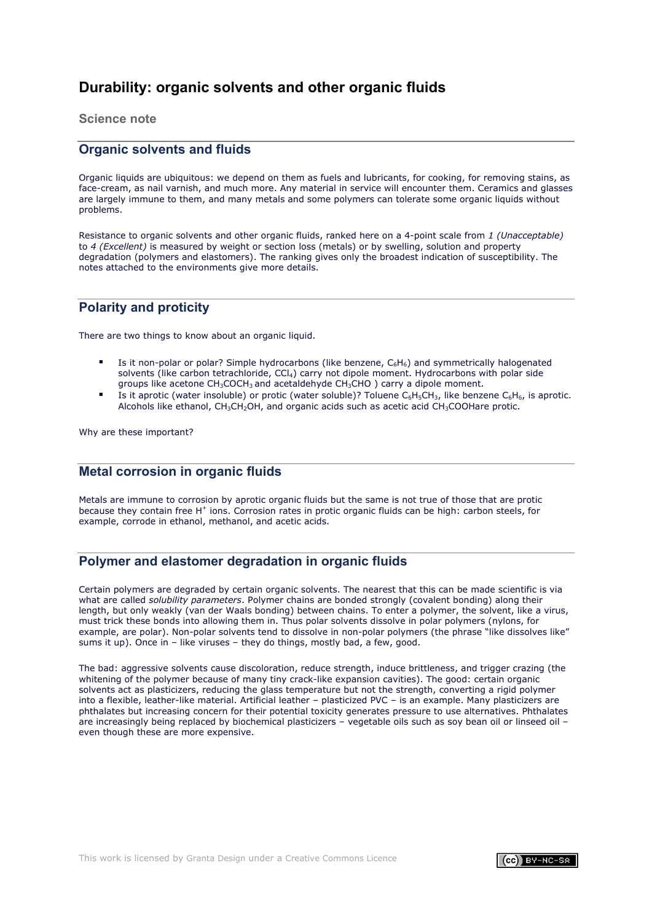# <span id="page-23-0"></span>**Durability: organic solvents and other organic fluids**

**Science note**

# <span id="page-23-1"></span>**Organic solvents and fluids**

Organic liquids are ubiquitous: we depend on them as fuels and lubricants, for cooking, for removing stains, as face-cream, as nail varnish, and much more. Any material in service will encounter them. Ceramics and glasses are largely immune to them, and many metals and some polymers can tolerate some organic liquids without problems.

Resistance to organic solvents and other organic fluids, ranked here on a 4-point scale from *1 (Unacceptable)* to *4 (Excellent)* is measured by weight or section loss (metals) or by swelling, solution and property degradation (polymers and elastomers). The ranking gives only the broadest indication of susceptibility. The notes attached to the environments give more details.

# **Polarity and proticity**

There are two things to know about an organic liquid.

- Is it non-polar or polar? Simple hydrocarbons (like benzene,  $C_6H_6$ ) and symmetrically halogenated solvents (like carbon tetrachloride, CCl<sub>4</sub>) carry not dipole moment. Hydrocarbons with polar side groups like acetone  $CH_3COCH_3$  and acetaldehyde  $CH_3CHO$ ) carry a dipole moment.
- Is it aprotic (water insoluble) or protic (water soluble)? Toluene  $C_6H_5CH_3$ , like benzene  $C_6H_6$ , is aprotic. Alcohols like ethanol, CH3CH2OH, and organic acids such as acetic acid CH3COOHare protic.

Why are these important?

# **Metal corrosion in organic fluids**

Metals are immune to corrosion by aprotic organic fluids but the same is not true of those that are protic because they contain free H<sup>+</sup> ions. Corrosion rates in protic organic fluids can be high: carbon steels, for example, corrode in ethanol, methanol, and acetic acids.

# **Polymer and elastomer degradation in organic fluids**

Certain polymers are degraded by certain organic solvents. The nearest that this can be made scientific is via what are called *solubility parameters*. Polymer chains are bonded strongly (covalent bonding) along their length, but only weakly (van der Waals bonding) between chains. To enter a polymer, the solvent, like a virus, must trick these bonds into allowing them in. Thus polar solvents dissolve in polar polymers (nylons, for example, are polar). Non-polar solvents tend to dissolve in non-polar polymers (the phrase "like dissolves like" sums it up). Once in – like viruses – they do things, mostly bad, a few, good.

The bad: aggressive solvents cause discoloration, reduce strength, induce brittleness, and trigger crazing (the whitening of the polymer because of many tiny crack-like expansion cavities). The good: certain organic solvents act as plasticizers, reducing the glass temperature but not the strength, converting a rigid polymer into a flexible, leather-like material. Artificial leather – plasticized PVC – is an example. Many plasticizers are phthalates but increasing concern for their potential toxicity generates pressure to use alternatives. Phthalates are increasingly being replaced by biochemical plasticizers – vegetable oils such as soy bean oil or linseed oil – even though these are more expensive.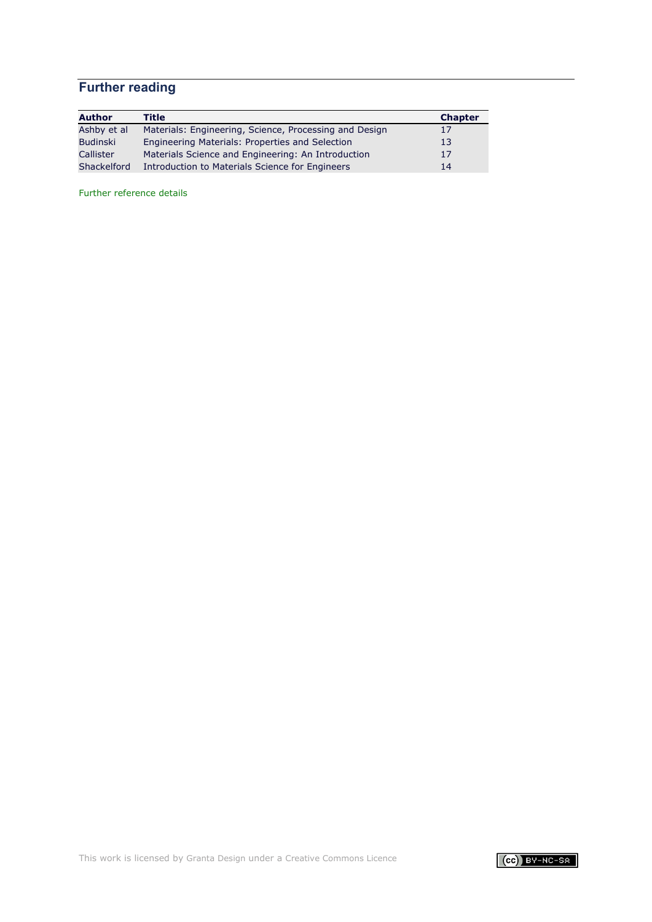# **Further reading**

| <b>Author</b> | Title                                                  | <b>Chapter</b> |
|---------------|--------------------------------------------------------|----------------|
| Ashby et al   | Materials: Engineering, Science, Processing and Design | 17             |
| Budinski      | Engineering Materials: Properties and Selection        | 13             |
| Callister     | Materials Science and Engineering: An Introduction     | 17             |
| Shackelford   | Introduction to Materials Science for Engineers        | 14             |

[Further reference details](#page-71-0)

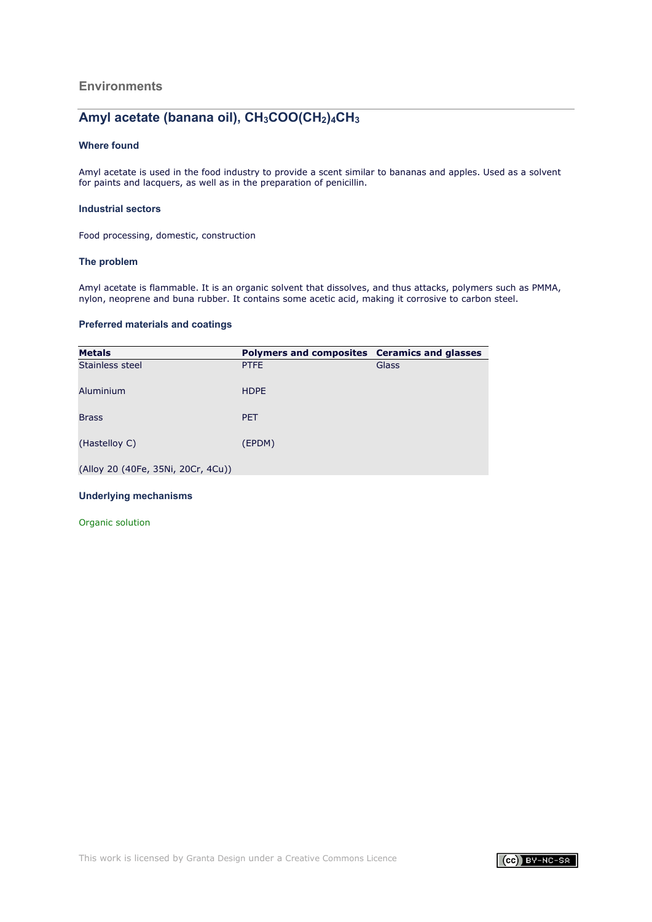# **Environments**

# Amyl acetate (banana oil), CH<sub>3</sub>COO(CH<sub>2</sub>)<sub>4</sub>CH<sub>3</sub>

### **Where found**

Amyl acetate is used in the food industry to provide a scent similar to bananas and apples. Used as a solvent for paints and lacquers, as well as in the preparation of penicillin.

### **Industrial sectors**

Food processing, domestic, construction

### **The problem**

Amyl acetate is flammable. It is an organic solvent that dissolves, and thus attacks, polymers such as PMMA, nylon, neoprene and buna rubber. It contains some acetic acid, making it corrosive to carbon steel.

#### **Preferred materials and coatings**

| <b>Metals</b>                      | Polymers and composites Ceramics and glasses |       |
|------------------------------------|----------------------------------------------|-------|
| Stainless steel                    | <b>PTFE</b>                                  | Glass |
| Aluminium                          | <b>HDPE</b>                                  |       |
| <b>Brass</b>                       | <b>PET</b>                                   |       |
| (Hastelloy C)                      | (EPDM)                                       |       |
| (Alloy 20 (40Fe, 35Ni, 20Cr, 4Cu)) |                                              |       |

### **Underlying mechanisms**

[Organic solution](#page-23-1)

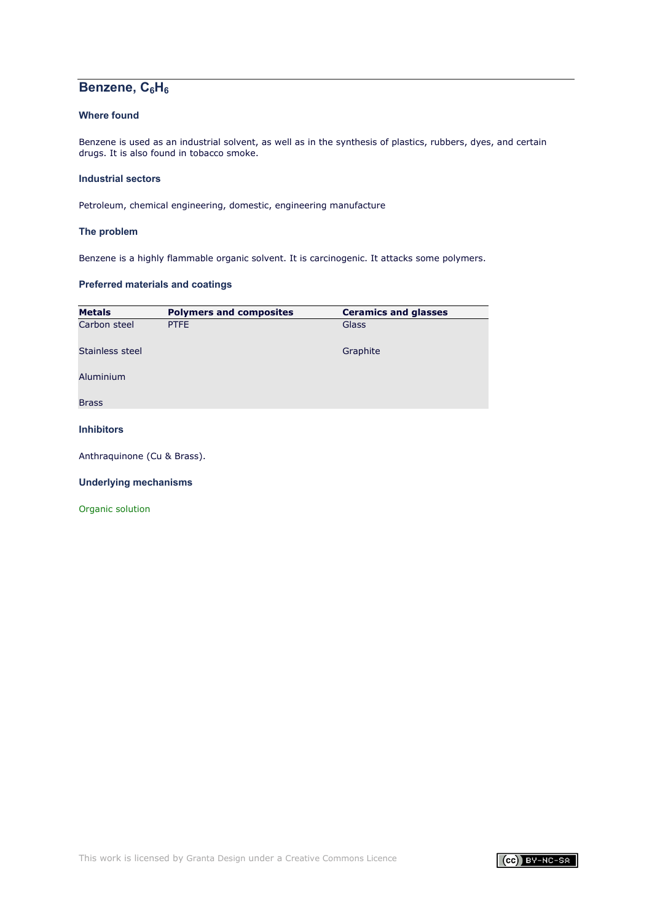# Benzene, C<sub>6</sub>H<sub>6</sub>

# **Where found**

Benzene is used as an industrial solvent, as well as in the synthesis of plastics, rubbers, dyes, and certain drugs. It is also found in tobacco smoke.

### **Industrial sectors**

Petroleum, chemical engineering, domestic, engineering manufacture

### **The problem**

Benzene is a highly flammable organic solvent. It is carcinogenic. It attacks some polymers.

# **Preferred materials and coatings**

| <b>Metals</b>     | <b>Polymers and composites</b> | <b>Ceramics and glasses</b> |
|-------------------|--------------------------------|-----------------------------|
| Carbon steel      | PTFE                           | Glass                       |
| Stainless steel   |                                | Graphite                    |
| Aluminium         |                                |                             |
| <b>Brass</b>      |                                |                             |
| <b>Inhibitors</b> |                                |                             |

Anthraquinone (Cu & Brass).

### **Underlying mechanisms**

[Organic solution](#page-23-1)

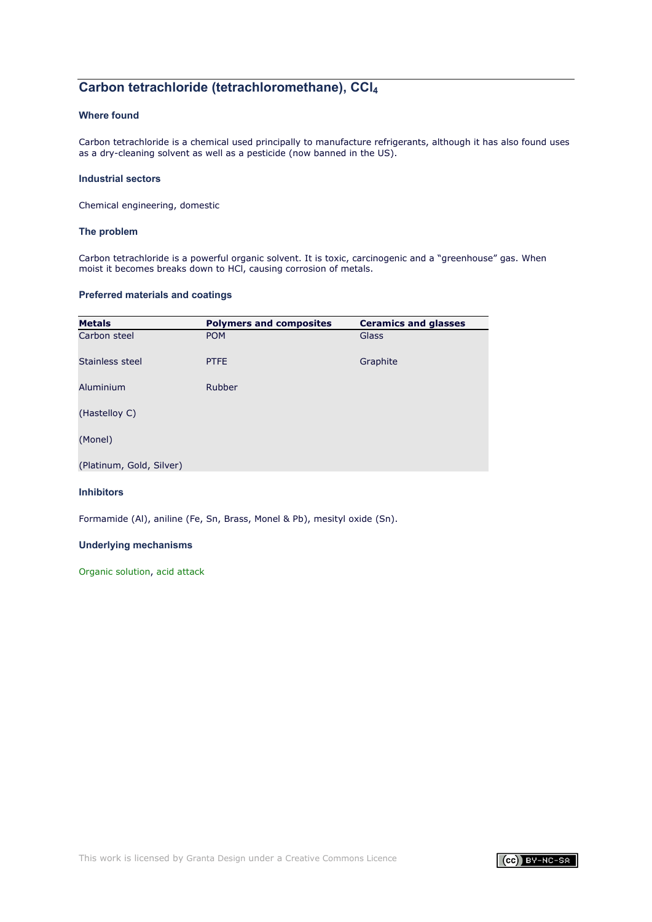# **Carbon tetrachloride (tetrachloromethane), CCl4**

# **Where found**

Carbon tetrachloride is a chemical used principally to manufacture refrigerants, although it has also found uses as a dry-cleaning solvent as well as a pesticide (now banned in the US).

### **Industrial sectors**

Chemical engineering, domestic

### **The problem**

Carbon tetrachloride is a powerful organic solvent. It is toxic, carcinogenic and a "greenhouse" gas. When moist it becomes breaks down to HCl, causing corrosion of metals.

### **Preferred materials and coatings**

| <b>Metals</b>            | <b>Polymers and composites</b> | <b>Ceramics and glasses</b> |
|--------------------------|--------------------------------|-----------------------------|
| Carbon steel             | <b>POM</b>                     | Glass                       |
| Stainless steel          | <b>PTFE</b>                    | Graphite                    |
| Aluminium                | Rubber                         |                             |
| (Hastelloy C)            |                                |                             |
| (Monel)                  |                                |                             |
| (Platinum, Gold, Silver) |                                |                             |

### **Inhibitors**

Formamide (Al), aniline (Fe, Sn, Brass, Monel & Pb), mesityl oxide (Sn).

# **Underlying mechanisms**

[Organic solution,](#page-23-1) [acid attack](#page-7-1)

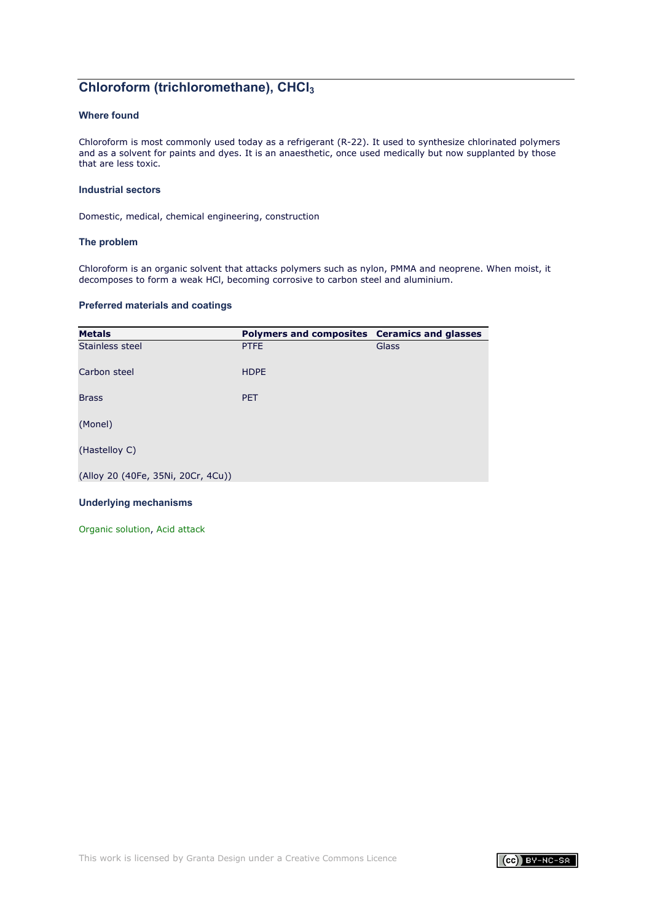# **Chloroform (trichloromethane), CHCl3**

# **Where found**

Chloroform is most commonly used today as a refrigerant (R-22). It used to synthesize chlorinated polymers and as a solvent for paints and dyes. It is an anaesthetic, once used medically but now supplanted by those that are less toxic.

### **Industrial sectors**

Domestic, medical, chemical engineering, construction

#### **The problem**

Chloroform is an organic solvent that attacks polymers such as nylon, PMMA and neoprene. When moist, it decomposes to form a weak HCl, becoming corrosive to carbon steel and aluminium.

### **Preferred materials and coatings**

| <b>Metals</b>                      | Polymers and composites Ceramics and glasses |       |
|------------------------------------|----------------------------------------------|-------|
| Stainless steel                    | <b>PTFE</b>                                  | Glass |
| Carbon steel                       | <b>HDPE</b>                                  |       |
| <b>Brass</b>                       | <b>PET</b>                                   |       |
| (Monel)                            |                                              |       |
| (Hastelloy C)                      |                                              |       |
| (Alloy 20 (40Fe, 35Ni, 20Cr, 4Cu)) |                                              |       |

### **Underlying mechanisms**

[Organic solution,](#page-23-1) [Acid attack](#page-7-1)

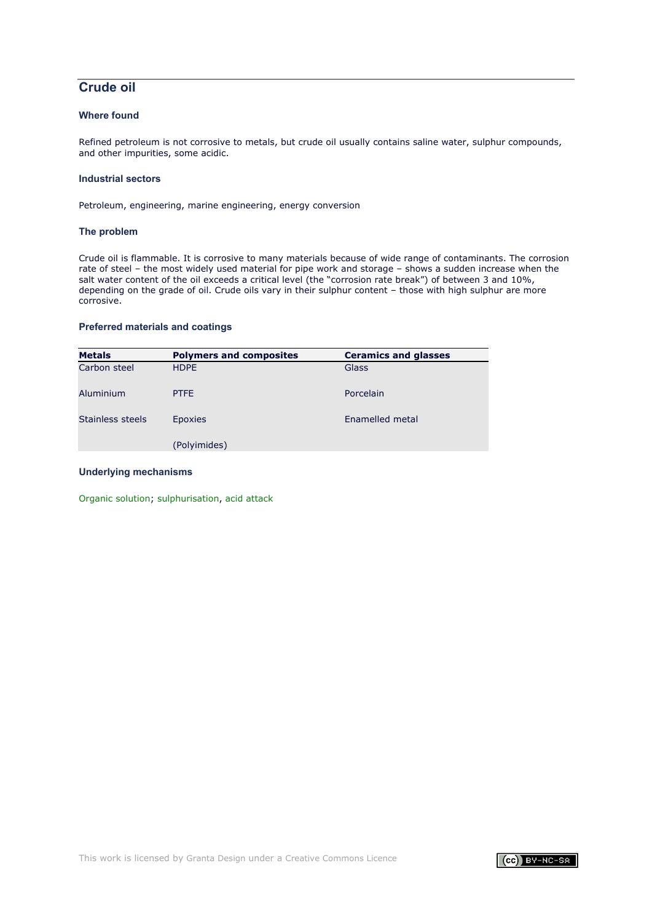# **Crude oil**

# **Where found**

Refined petroleum is not corrosive to metals, but crude oil usually contains saline water, sulphur compounds, and other impurities, some acidic.

### **Industrial sectors**

Petroleum, engineering, marine engineering, energy conversion

### **The problem**

Crude oil is flammable. It is corrosive to many materials because of wide range of contaminants. The corrosion rate of steel – the most widely used material for pipe work and storage – shows a sudden increase when the salt water content of the oil exceeds a critical level (the "corrosion rate break") of between 3 and 10%, depending on the grade of oil. Crude oils vary in their sulphur content – those with high sulphur are more corrosive.

### **Preferred materials and coatings**

| <b>Metals</b>    | <b>Polymers and composites</b> | <b>Ceramics and glasses</b> |
|------------------|--------------------------------|-----------------------------|
| Carbon steel     | <b>HDPE</b>                    | Glass                       |
| Aluminium        | <b>PTFE</b>                    | Porcelain                   |
| Stainless steels | <b>Epoxies</b>                 | Enamelled metal             |
|                  | (Polyimides)                   |                             |

### **Underlying mechanisms**

[Organic solution;](#page-23-1) [sulphurisation,](#page-47-0) [acid attack](#page-7-1)

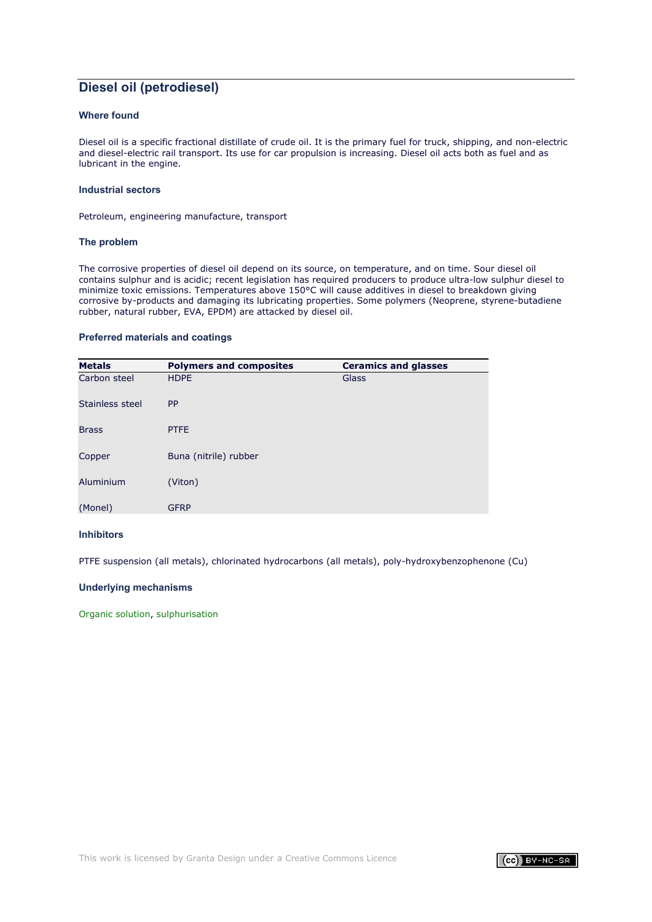# **Diesel oil (petrodiesel)**

# **Where found**

Diesel oil is a specific fractional distillate of crude oil. It is the primary fuel for truck, shipping, and non-electric and diesel-electric rail transport. Its use for car propulsion is increasing. Diesel oil acts both as fuel and as lubricant in the engine.

#### **Industrial sectors**

Petroleum, engineering manufacture, transport

#### **The problem**

The corrosive properties of diesel oil depend on its source, on temperature, and on time. Sour diesel oil contains sulphur and is acidic; recent legislation has required producers to produce ultra-low sulphur diesel to minimize toxic emissions. Temperatures above 150°C will cause additives in diesel to breakdown giving corrosive by-products and damaging its lubricating properties. Some polymers (Neoprene, styrene-butadiene rubber, natural rubber, EVA, EPDM) are attacked by diesel oil.

#### **Preferred materials and coatings**

| <b>Metals</b>   | <b>Polymers and composites</b> | <b>Ceramics and glasses</b> |
|-----------------|--------------------------------|-----------------------------|
| Carbon steel    | <b>HDPE</b>                    | Glass                       |
| Stainless steel | <b>PP</b>                      |                             |
| <b>Brass</b>    | <b>PTFE</b>                    |                             |
| Copper          | Buna (nitrile) rubber          |                             |
| Aluminium       | (Viton)                        |                             |
| (Monel)         | <b>GFRP</b>                    |                             |

### **Inhibitors**

PTFE suspension (all metals), chlorinated hydrocarbons (all metals), poly-hydroxybenzophenone (Cu)

### **Underlying mechanisms**

[Organic solution,](#page-23-1) [sulphurisation](#page-47-0)

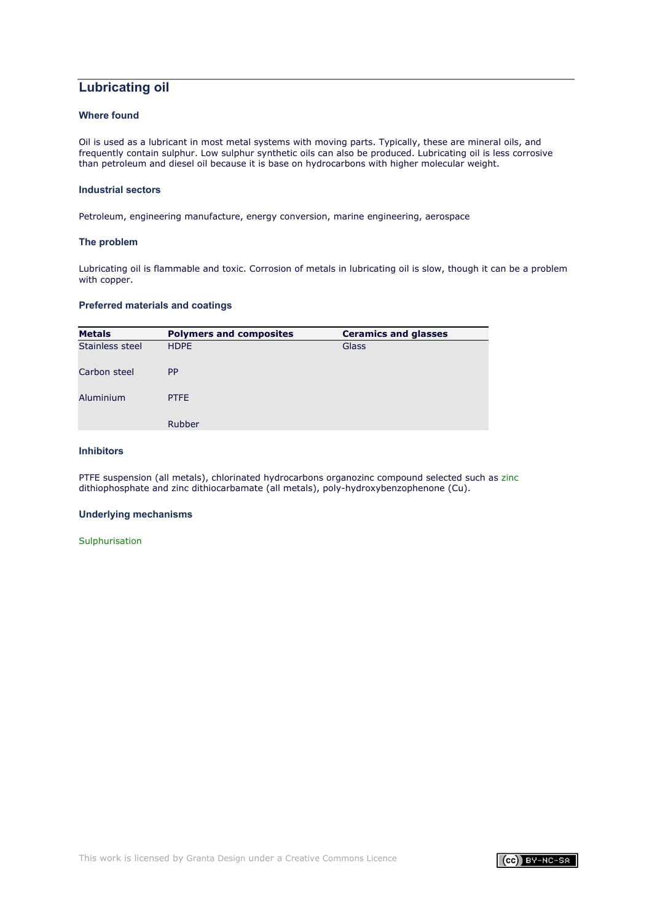# **Lubricating oil**

# **Where found**

Oil is used as a lubricant in most metal systems with moving parts. Typically, these are mineral oils, and frequently contain sulphur. Low sulphur synthetic oils can also be produced. Lubricating oil is less corrosive than petroleum and diesel oil because it is base on hydrocarbons with higher molecular weight.

#### **Industrial sectors**

Petroleum, engineering manufacture, energy conversion, marine engineering, aerospace

#### **The problem**

Lubricating oil is flammable and toxic. Corrosion of metals in lubricating oil is slow, though it can be a problem with copper.

### **Preferred materials and coatings**

| <b>Metals</b>   | <b>Polymers and composites</b> | <b>Ceramics and glasses</b> |
|-----------------|--------------------------------|-----------------------------|
| Stainless steel | <b>HDPE</b>                    | Glass                       |
| Carbon steel    | <b>PP</b>                      |                             |
| Aluminium       | <b>PTFE</b>                    |                             |
|                 | <b>Rubber</b>                  |                             |

# **Inhibitors**

PTFE suspension (all metals), chlorinated hydrocarbons organozinc compound selected such as [zinc](http://www.patentstorm.us/patents/5364545.html) dithiophosphate and zinc dithiocarbamate (all metals), poly-hydroxybenzophenone (Cu).

### **Underlying mechanisms**

**[Sulphurisation](#page-47-0)** 

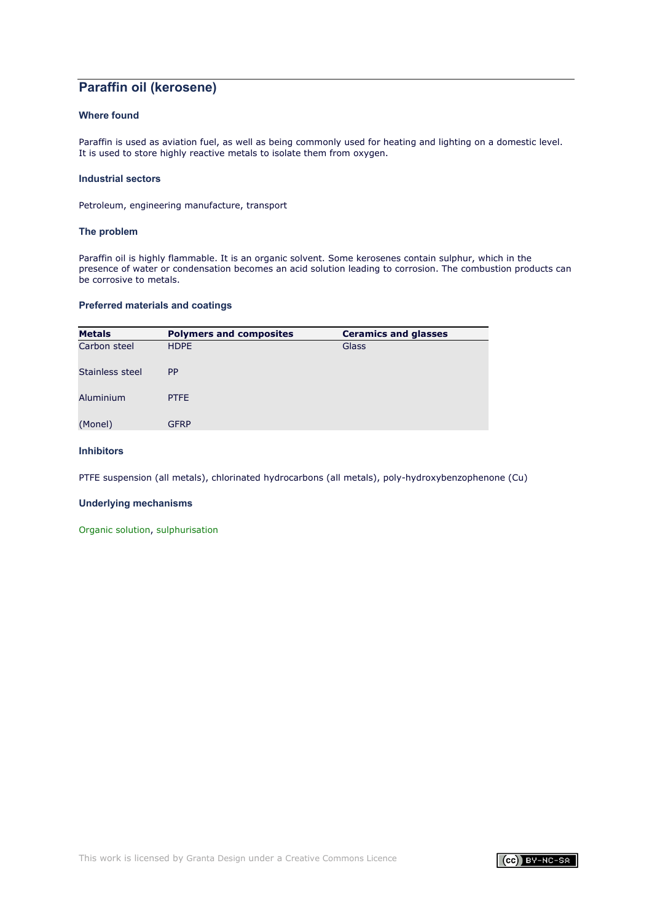# **Paraffin oil (kerosene)**

# **Where found**

Paraffin is used as aviation fuel, as well as being commonly used for heating and lighting on a domestic level. It is used to store highly reactive metals to isolate them from oxygen.

### **Industrial sectors**

Petroleum, engineering manufacture, transport

### **The problem**

Paraffin oil is highly flammable. It is an organic solvent. Some kerosenes contain sulphur, which in the presence of water or condensation becomes an acid solution leading to corrosion. The combustion products can be corrosive to metals.

### **Preferred materials and coatings**

| <b>Metals</b>   | <b>Polymers and composites</b> | <b>Ceramics and glasses</b> |
|-----------------|--------------------------------|-----------------------------|
| Carbon steel    | <b>HDPE</b>                    | Glass                       |
| Stainless steel | <b>PP</b>                      |                             |
| Aluminium       | <b>PTFE</b>                    |                             |
| (Monel)         | <b>GFRP</b>                    |                             |
|                 |                                |                             |

# **Inhibitors**

PTFE suspension (all metals), chlorinated hydrocarbons (all metals), poly-hydroxybenzophenone (Cu)

### **Underlying mechanisms**

[Organic solution,](#page-23-1) [sulphurisation](#page-47-0)

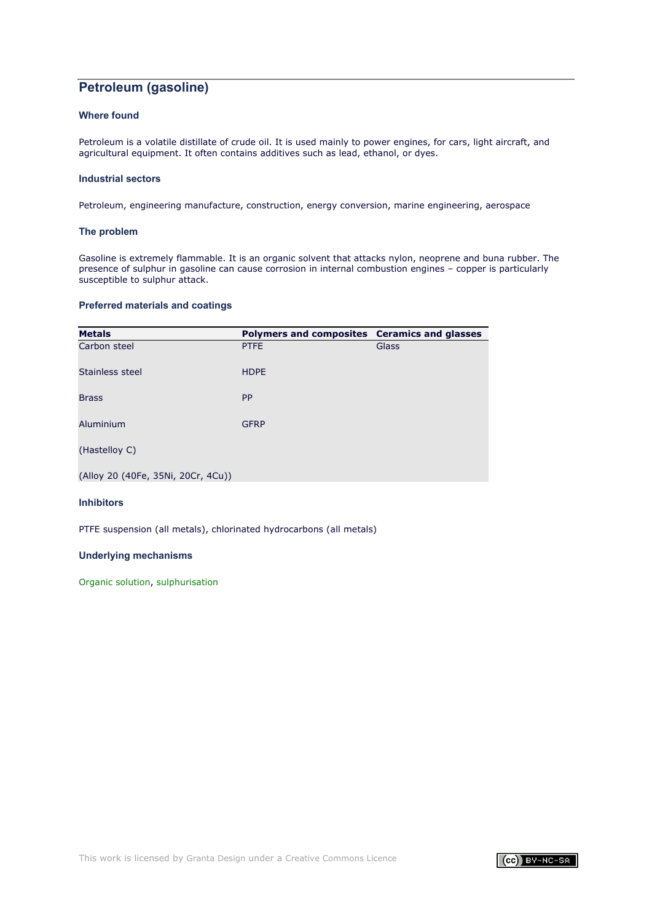# **Petroleum (gasoline)**

# **Where found**

Petroleum is a volatile distillate of crude oil. It is used mainly to power engines, for cars, light aircraft, and agricultural equipment. It often contains additives such as lead, ethanol, or dyes.

### **Industrial sectors**

Petroleum, engineering manufacture, construction, energy conversion, marine engineering, aerospace

### **The problem**

Gasoline is extremely flammable. It is an organic solvent that attacks nylon, neoprene and buna rubber. The presence of sulphur in gasoline can cause corrosion in internal combustion engines – copper is particularly susceptible to sulphur attack.

# **Preferred materials and coatings**

| <b>Metals</b>                      | Polymers and composites Ceramics and glasses |       |
|------------------------------------|----------------------------------------------|-------|
| Carbon steel                       | <b>PTFE</b>                                  | Glass |
| Stainless steel                    | <b>HDPE</b>                                  |       |
| <b>Brass</b>                       | <b>PP</b>                                    |       |
| Aluminium                          | <b>GFRP</b>                                  |       |
| (Hastelloy C)                      |                                              |       |
| (Alloy 20 (40Fe, 35Ni, 20Cr, 4Cu)) |                                              |       |

# **Inhibitors**

PTFE suspension (all metals), chlorinated hydrocarbons (all metals)

### **Underlying mechanisms**

[Organic solution,](#page-23-1) [sulphurisation](#page-47-0)

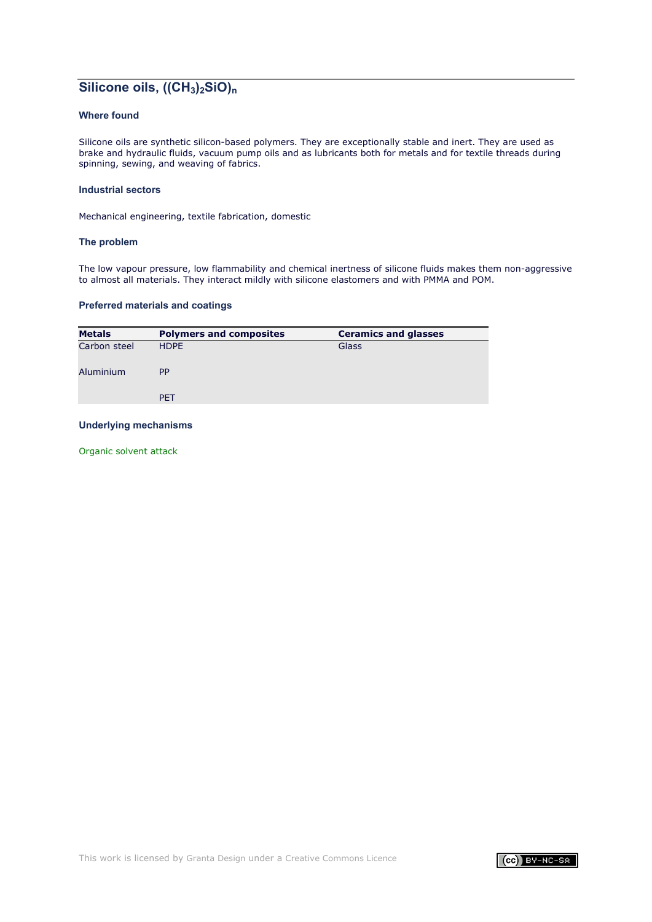# **Silicone oils, ((CH3)2SiO)n**

# **Where found**

Silicone oils are synthetic silicon-based polymers. They are exceptionally stable and inert. They are used as brake and hydraulic fluids, vacuum pump oils and as lubricants both for metals and for textile threads during spinning, sewing, and weaving of fabrics.

#### **Industrial sectors**

Mechanical engineering, textile fabrication, domestic

#### **The problem**

The low vapour pressure, low flammability and chemical inertness of silicone fluids makes them non-aggressive to almost all materials. They interact mildly with silicone elastomers and with PMMA and POM.

### **Preferred materials and coatings**

| <b>Metals</b> | <b>Polymers and composites</b> | <b>Ceramics and glasses</b> |
|---------------|--------------------------------|-----------------------------|
| Carbon steel  | <b>HDPE</b>                    | Glass                       |
| Aluminium     | <b>PP</b>                      |                             |
|               | <b>PET</b>                     |                             |

### **Underlying mechanisms**

[Organic solvent attack](#page-23-1)

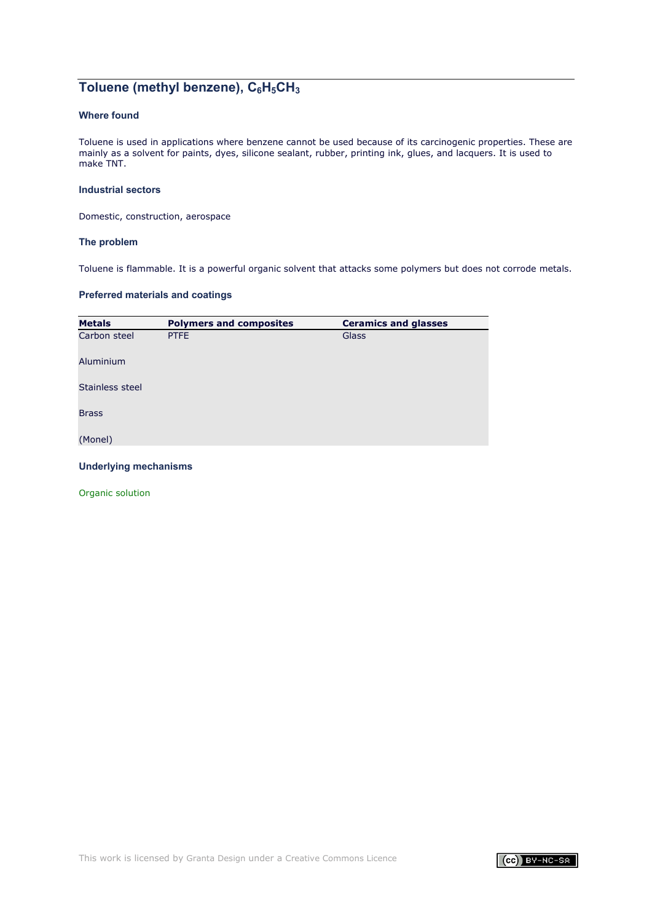# Toluene (methyl benzene), C<sub>6</sub>H<sub>5</sub>CH<sub>3</sub>

# **Where found**

Toluene is used in applications where benzene cannot be used because of its carcinogenic properties. These are mainly as a solvent for paints, dyes, silicone sealant, rubber, printing ink, glues, and lacquers. It is used to make TNT.

# **Industrial sectors**

Domestic, construction, aerospace

#### **The problem**

Toluene is flammable. It is a powerful organic solvent that attacks some polymers but does not corrode metals.

### **Preferred materials and coatings**

| <b>Metals</b>   | <b>Polymers and composites</b> | <b>Ceramics and glasses</b> |
|-----------------|--------------------------------|-----------------------------|
| Carbon steel    | PTFE                           | Glass                       |
| Aluminium       |                                |                             |
| Stainless steel |                                |                             |
| <b>Brass</b>    |                                |                             |
| (Monel)         |                                |                             |

### **Underlying mechanisms**

[Organic solution](#page-23-1)

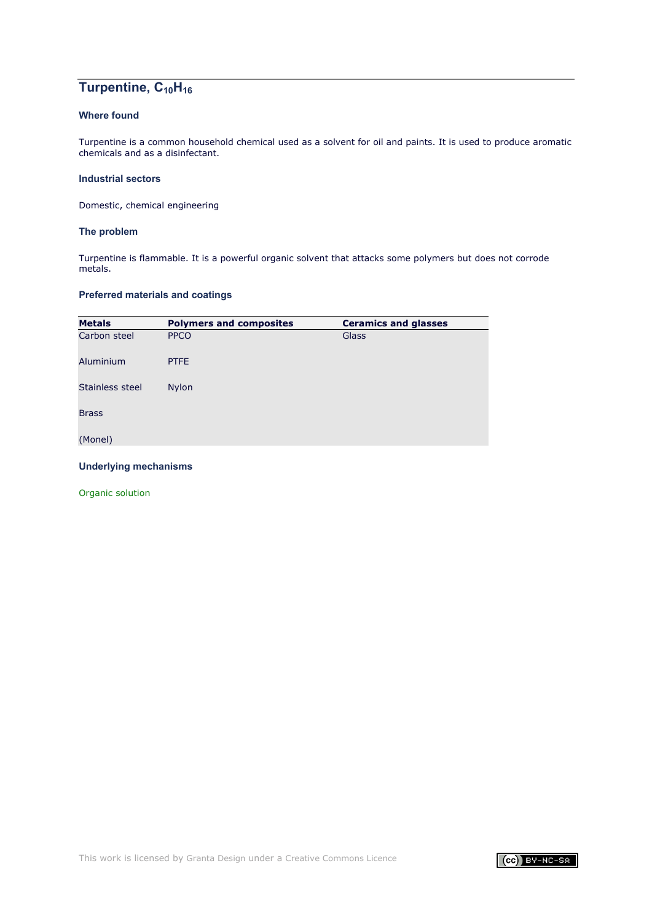# Turpentine, C<sub>10</sub>H<sub>16</sub>

# **Where found**

Turpentine is a common household chemical used as a solvent for oil and paints. It is used to produce aromatic chemicals and as a disinfectant.

### **Industrial sectors**

Domestic, chemical engineering

### **The problem**

Turpentine is flammable. It is a powerful organic solvent that attacks some polymers but does not corrode metals.

### **Preferred materials and coatings**

| <b>Metals</b>   | <b>Polymers and composites</b> | <b>Ceramics and glasses</b> |
|-----------------|--------------------------------|-----------------------------|
| Carbon steel    | <b>PPCO</b>                    | Glass                       |
| Aluminium       | <b>PTFE</b>                    |                             |
| Stainless steel | <b>Nylon</b>                   |                             |
| <b>Brass</b>    |                                |                             |
| (Monel)         |                                |                             |

### **Underlying mechanisms**

[Organic solution](#page-23-0)

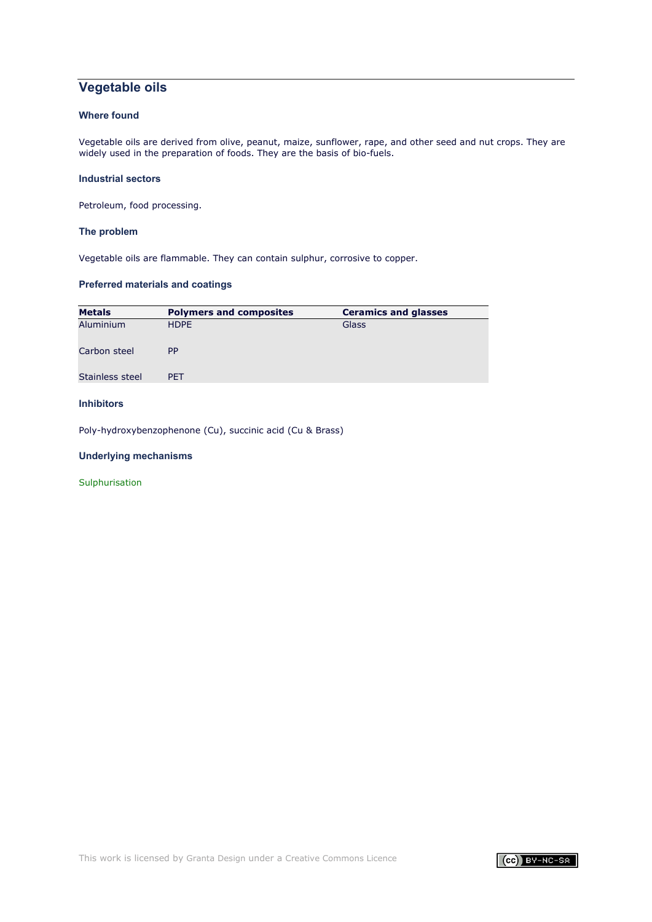# **Vegetable oils**

## **Where found**

Vegetable oils are derived from olive, peanut, maize, sunflower, rape, and other seed and nut crops. They are widely used in the preparation of foods. They are the basis of bio-fuels.

### **Industrial sectors**

Petroleum, food processing.

### **The problem**

Vegetable oils are flammable. They can contain sulphur, corrosive to copper.

# **Preferred materials and coatings**

| <b>Metals</b>    | <b>Polymers and composites</b> | <b>Ceramics and glasses</b> |
|------------------|--------------------------------|-----------------------------|
| <b>Aluminium</b> | <b>HDPE</b>                    | Glass                       |
| Carbon steel     | <b>PP</b>                      |                             |
| Stainless steel  | <b>PET</b>                     |                             |

## **Inhibitors**

Poly-hydroxybenzophenone (Cu), succinic acid (Cu & Brass)

### **Underlying mechanisms**

**[Sulphurisation](#page-47-0)** 

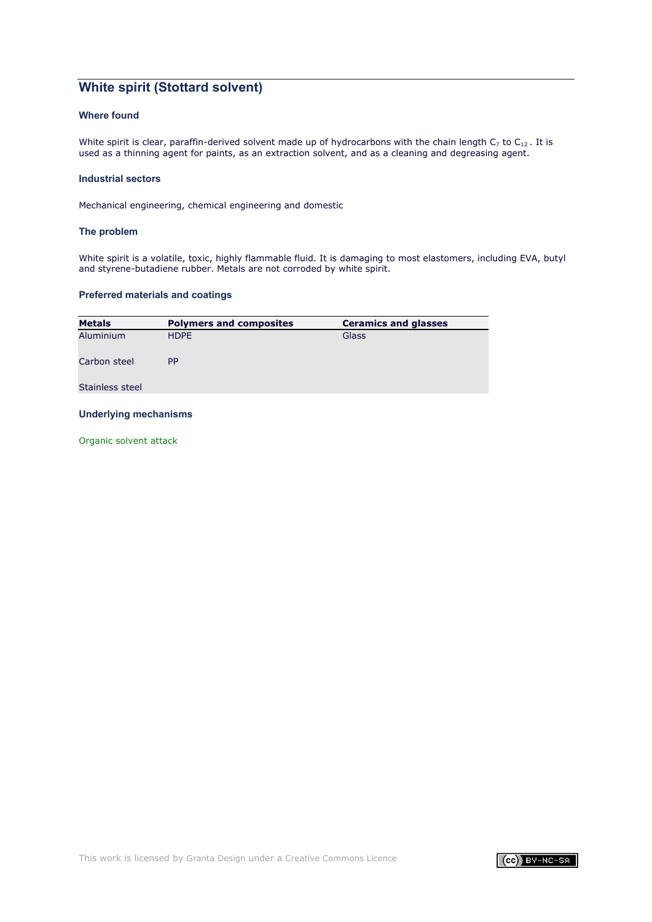# **White spirit (Stottard solvent)**

## **Where found**

White spirit is clear, paraffin-derived solvent made up of hydrocarbons with the chain length  $C_7$  to  $C_{12}$ . It is used as a thinning agent for paints, as an extraction solvent, and as a cleaning and degreasing agent.

### **Industrial sectors**

Mechanical engineering, chemical engineering and domestic

### **The problem**

White spirit is a volatile, toxic, highly flammable fluid. It is damaging to most elastomers, including EVA, butyl and styrene-butadiene rubber. Metals are not corroded by white spirit.

### **Preferred materials and coatings**

| <b>Metals</b>   | <b>Polymers and composites</b> | <b>Ceramics and glasses</b> |
|-----------------|--------------------------------|-----------------------------|
| Aluminium       | <b>HDPE</b>                    | Glass                       |
| Carbon steel    | <b>PP</b>                      |                             |
| Stainless steel |                                |                             |

### **Underlying mechanisms**

[Organic solvent attack](#page-23-0)

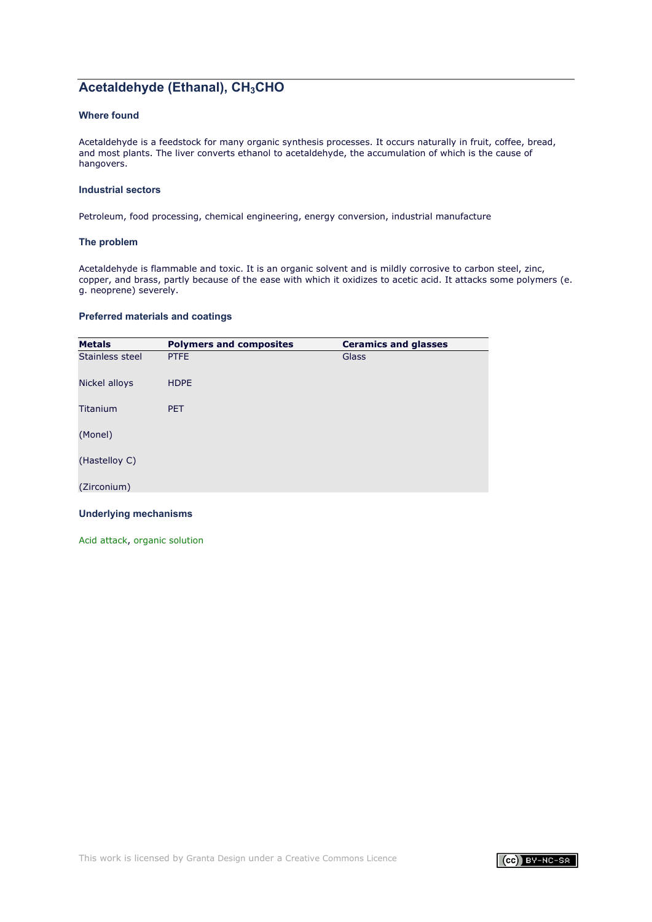# **Acetaldehyde (Ethanal), CH<sub>3</sub>CHO**

## **Where found**

Acetaldehyde is a feedstock for many organic synthesis processes. It occurs naturally in fruit, coffee, bread, and most plants. The liver converts ethanol to acetaldehyde, the accumulation of which is the cause of hangovers.

### **Industrial sectors**

Petroleum, food processing, chemical engineering, energy conversion, industrial manufacture

### **The problem**

Acetaldehyde is flammable and toxic. It is an organic solvent and is mildly corrosive to carbon steel, zinc, copper, and brass, partly because of the ease with which it oxidizes to acetic acid. It attacks some polymers (e. g. neoprene) severely.

### **Preferred materials and coatings**

| <b>Metals</b>   | <b>Polymers and composites</b> | <b>Ceramics and glasses</b> |
|-----------------|--------------------------------|-----------------------------|
| Stainless steel | <b>PTFE</b>                    | Glass                       |
| Nickel alloys   | <b>HDPE</b>                    |                             |
| Titanium        | <b>PET</b>                     |                             |
| (Monel)         |                                |                             |
| (Hastelloy C)   |                                |                             |
| (Zirconium)     |                                |                             |

### **Underlying mechanisms**

[Acid attack,](#page-7-0) [organic solution](#page-23-0)

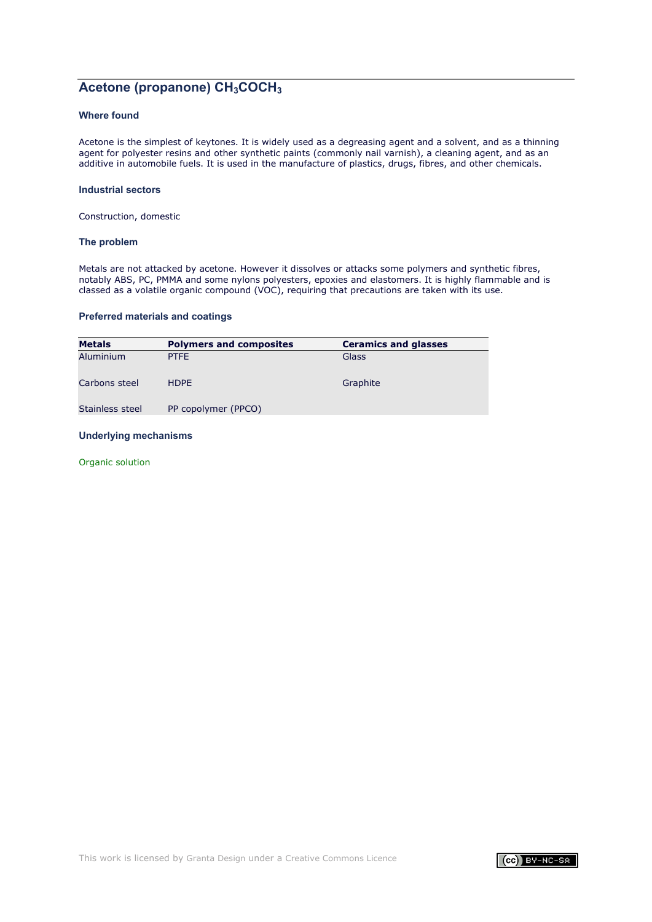# Acetone (propanone) CH<sub>3</sub>COCH<sub>3</sub>

## **Where found**

Acetone is the simplest of keytones. It is widely used as a degreasing agent and a solvent, and as a thinning agent for polyester resins and other synthetic paints (commonly nail varnish), a cleaning agent, and as an additive in automobile fuels. It is used in the manufacture of plastics, drugs, fibres, and other chemicals.

#### **Industrial sectors**

Construction, domestic

### **The problem**

Metals are not attacked by acetone. However it dissolves or attacks some polymers and synthetic fibres, notably ABS, PC, PMMA and some nylons polyesters, epoxies and elastomers. It is highly flammable and is classed as a volatile organic compound (VOC), requiring that precautions are taken with its use.

### **Preferred materials and coatings**

| <b>Metals</b>   | <b>Polymers and composites</b> | <b>Ceramics and glasses</b> |
|-----------------|--------------------------------|-----------------------------|
| Aluminium       | <b>PTFE</b>                    | Glass                       |
| Carbons steel   | <b>HDPE</b>                    | Graphite                    |
| Stainless steel | PP copolymer (PPCO)            |                             |

### **Underlying mechanisms**

[Organic solution](#page-23-0)

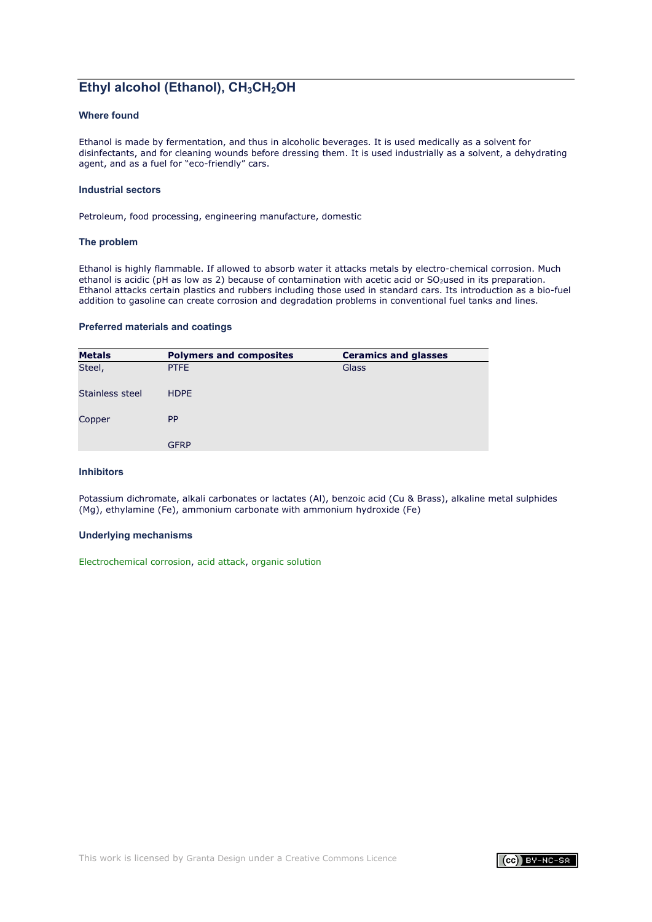# **Ethyl alcohol (Ethanol), CH<sub>3</sub>CH<sub>2</sub>OH**

### **Where found**

Ethanol is made by fermentation, and thus in alcoholic beverages. It is used medically as a solvent for disinfectants, and for cleaning wounds before dressing them. It is used industrially as a solvent, a dehydrating agent, and as a fuel for "eco-friendly" cars.

#### **Industrial sectors**

Petroleum, food processing, engineering manufacture, domestic

#### **The problem**

Ethanol is highly flammable. If allowed to absorb water it attacks metals by electro-chemical corrosion. Much ethanol is acidic (pH as low as 2) because of contamination with acetic acid or  $SO<sub>2</sub>$ used in its preparation. Ethanol attacks certain plastics and rubbers including those used in standard cars. Its introduction as a bio-fuel addition to gasoline can create corrosion and degradation problems in conventional fuel tanks and lines.

#### **Preferred materials and coatings**

| <b>Metals</b>   | <b>Polymers and composites</b> | <b>Ceramics and glasses</b> |
|-----------------|--------------------------------|-----------------------------|
| Steel,          | <b>PTFE</b>                    | Glass                       |
| Stainless steel | <b>HDPE</b>                    |                             |
| Copper          | <b>PP</b>                      |                             |
|                 | <b>GFRP</b>                    |                             |

### **Inhibitors**

Potassium dichromate, alkali carbonates or lactates (Al), benzoic acid (Cu & Brass), alkaline metal sulphides (Mg), ethylamine (Fe), ammonium carbonate with ammonium hydroxide (Fe)

#### **Underlying mechanisms**

[Electrochemical corrosion,](#page-1-0) [acid attack,](#page-7-0) [organic solution](#page-23-0)

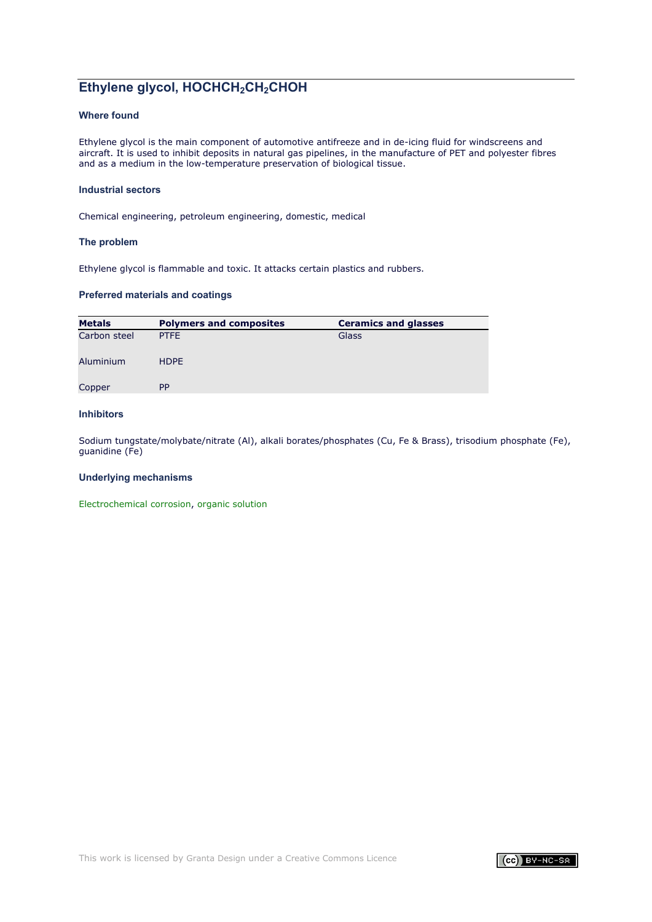# **Ethylene glycol, HOCHCH2CH2CHOH**

## **Where found**

Ethylene glycol is the main component of automotive antifreeze and in de-icing fluid for windscreens and aircraft. It is used to inhibit deposits in natural gas pipelines, in the manufacture of PET and polyester fibres and as a medium in the low-temperature preservation of biological tissue.

### **Industrial sectors**

Chemical engineering, petroleum engineering, domestic, medical

### **The problem**

Ethylene glycol is flammable and toxic. It attacks certain plastics and rubbers.

### **Preferred materials and coatings**

| <b>Polymers and composites</b> | <b>Ceramics and glasses</b> |
|--------------------------------|-----------------------------|
| <b>PTFE</b>                    | Glass                       |
| <b>HDPE</b>                    |                             |
| <b>PP</b>                      |                             |
|                                |                             |

### **Inhibitors**

Sodium tungstate/molybate/nitrate (Al), alkali borates/phosphates (Cu, Fe & Brass), trisodium phosphate (Fe), guanidine (Fe)

### **Underlying mechanisms**

[Electrochemical corrosion,](#page-1-0) [organic solution](#page-23-0)

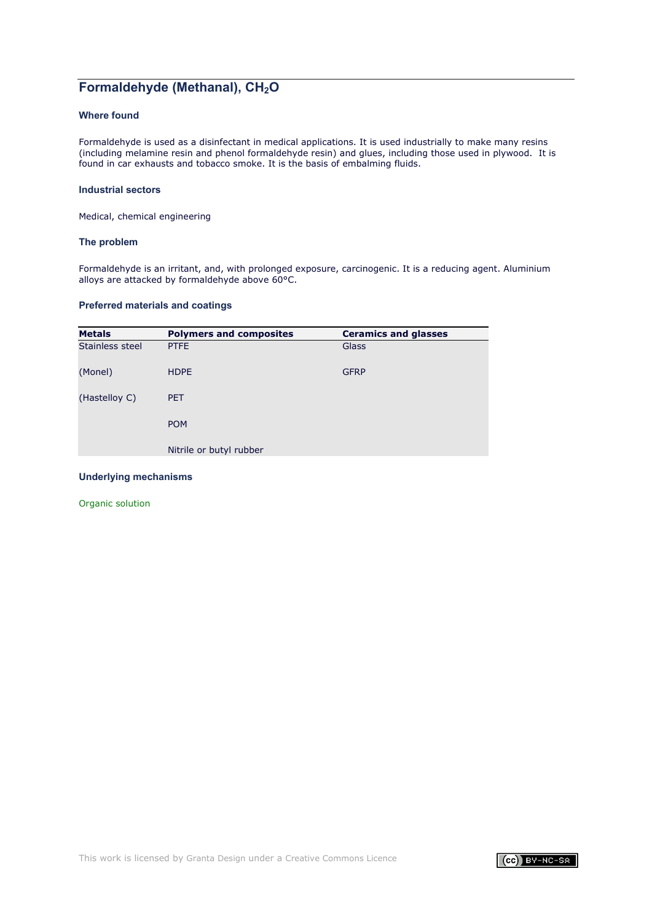# **Formaldehyde (Methanal), CH<sub>2</sub>O**

## **Where found**

Formaldehyde is used as a disinfectant in medical applications. It is used industrially to make many resins (including melamine resin and phenol formaldehyde resin) and glues, including those used in plywood. It is found in car exhausts and tobacco smoke. It is the basis of embalming fluids.

### **Industrial sectors**

Medical, chemical engineering

### **The problem**

Formaldehyde is an irritant, and, with prolonged exposure, carcinogenic. It is a reducing agent. Aluminium alloys are attacked by formaldehyde above 60°C.

### **Preferred materials and coatings**

| <b>Metals</b>   | <b>Polymers and composites</b> | <b>Ceramics and glasses</b> |
|-----------------|--------------------------------|-----------------------------|
| Stainless steel | <b>PTFE</b>                    | Glass                       |
| (Monel)         | <b>HDPE</b>                    | <b>GFRP</b>                 |
| (Hastelloy C)   | <b>PET</b>                     |                             |
|                 | <b>POM</b>                     |                             |
|                 | Nitrile or butyl rubber        |                             |

### **Underlying mechanisms**

[Organic solution](#page-23-0)

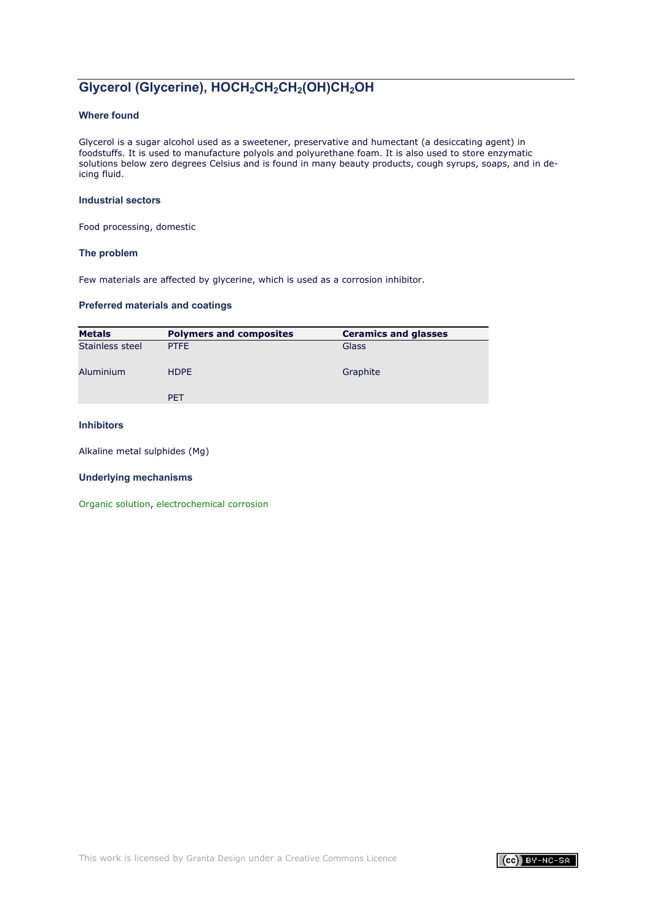# **Glycerol (Glycerine), HOCH2CH2CH2(OH)CH2OH**

## **Where found**

Glycerol is a sugar alcohol used as a sweetener, preservative and humectant (a desiccating agent) in foodstuffs. It is used to manufacture polyols and polyurethane foam. It is also used to store enzymatic solutions below zero degrees Celsius and is found in many beauty products, cough syrups, soaps, and in deicing fluid.

### **Industrial sectors**

Food processing, domestic

### **The problem**

Few materials are affected by glycerine, which is used as a corrosion inhibitor.

### **Preferred materials and coatings**

| <b>Metals</b>   | <b>Polymers and composites</b> | <b>Ceramics and glasses</b> |
|-----------------|--------------------------------|-----------------------------|
| Stainless steel | <b>PTFE</b>                    | Glass                       |
| Aluminium       | <b>HDPE</b>                    | Graphite                    |
|                 | <b>PET</b>                     |                             |

## **Inhibitors**

Alkaline metal sulphides (Mg)

### **Underlying mechanisms**

[Organic solution,](#page-23-0) [electrochemical corrosion](#page-1-0)

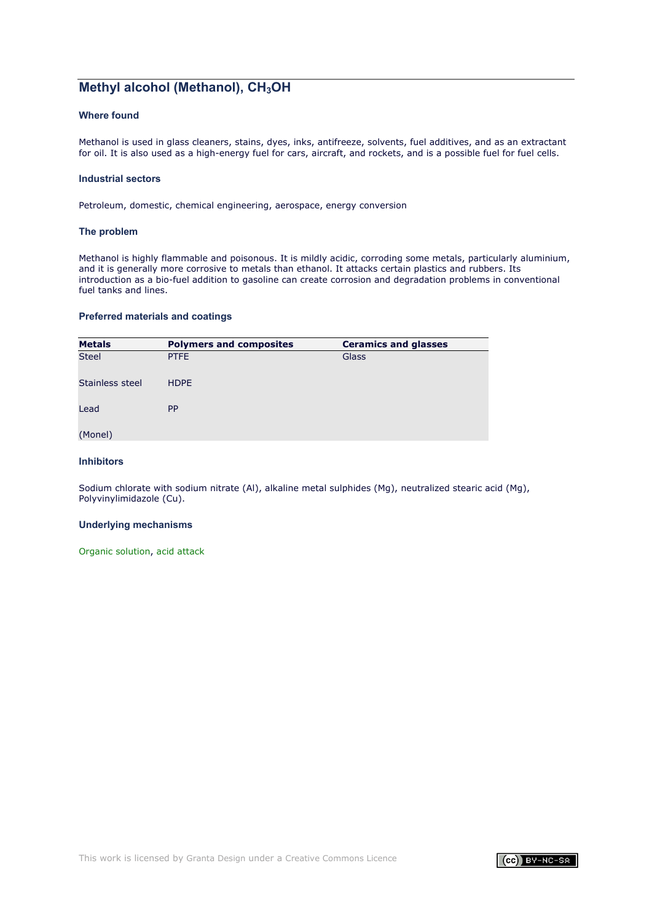# **Methyl alcohol (Methanol), CH<sub>3</sub>OH**

### **Where found**

Methanol is used in glass cleaners, stains, dyes, inks, antifreeze, solvents, fuel additives, and as an extractant for oil. It is also used as a high-energy fuel for cars, aircraft, and rockets, and is a possible fuel for fuel cells.

### **Industrial sectors**

Petroleum, domestic, chemical engineering, aerospace, energy conversion

#### **The problem**

Methanol is highly flammable and poisonous. It is mildly acidic, corroding some metals, particularly aluminium, and it is generally more corrosive to metals than ethanol. It attacks certain plastics and rubbers. Its introduction as a bio-fuel addition to gasoline can create corrosion and degradation problems in conventional fuel tanks and lines.

### **Preferred materials and coatings**

| <b>Metals</b>   | <b>Polymers and composites</b> | <b>Ceramics and glasses</b> |
|-----------------|--------------------------------|-----------------------------|
| <b>Steel</b>    | <b>PTFE</b>                    | Glass                       |
| Stainless steel | <b>HDPE</b>                    |                             |
| Lead            | <b>PP</b>                      |                             |
| (Monel)         |                                |                             |

### **Inhibitors**

Sodium chlorate with sodium nitrate (Al), alkaline metal sulphides (Mg), neutralized stearic acid (Mg), Polyvinylimidazole (Cu).

#### **Underlying mechanisms**

[Organic solution,](#page-23-0) [acid attack](#page-7-0)

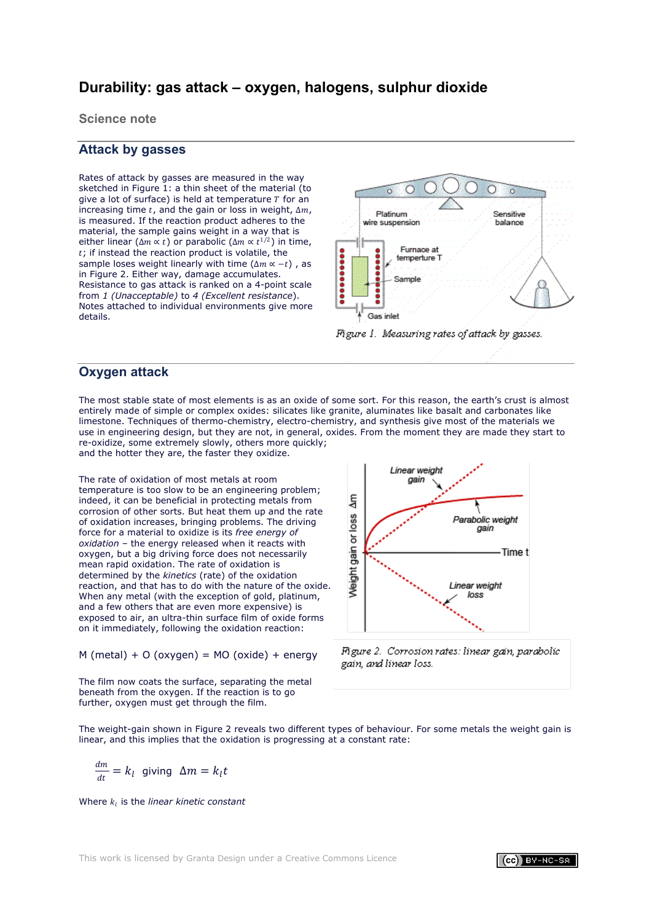# **Durability: gas attack – oxygen, halogens, sulphur dioxide**

**Science note**

# **Attack by gasses**

Rates of attack by gasses are measured in the way sketched in Figure 1: a thin sheet of the material (to give a lot of surface) is held at temperature  *for an* increasing time t, and the gain or loss in weight,  $\Delta m$ , is measured. If the reaction product adheres to the material, the sample gains weight in a way that is either linear ( $\Delta m \propto t$ ) or parabolic ( $\Delta m \propto t^{1/2}$ ) in time,  $t$ ; if instead the reaction product is volatile, the sample loses weight linearly with time ( $\Delta m \propto -t$ ), as in Figure 2. Either way, damage accumulates. Resistance to gas attack is ranked on a 4-point scale from *1 (Unacceptable)* to *4 (Excellent resistance*). Notes attached to individual environments give more details.



# <span id="page-46-0"></span>**Oxygen attack**

The most stable state of most elements is as an oxide of some sort. For this reason, the earth's crust is almost entirely made of simple or complex oxides: silicates like granite, aluminates like basalt and carbonates like limestone. Techniques of thermo-chemistry, electro-chemistry, and synthesis give most of the materials we use in engineering design, but they are not, in general, oxides. From the moment they are made they start to re-oxidize, some extremely slowly, others more quickly; and the hotter they are, the faster they oxidize.

The rate of oxidation of most metals at room temperature is too slow to be an engineering problem; indeed, it can be beneficial in protecting metals from corrosion of other sorts. But heat them up and the rate of oxidation increases, bringing problems. The driving force for a material to oxidize is its *free energy of oxidation* – the energy released when it reacts with oxygen, but a big driving force does not necessarily mean rapid oxidation. The rate of oxidation is determined by the *kinetics* (rate) of the oxidation reaction, and that has to do with the nature of the oxide. When any metal (with the exception of gold, platinum, and a few others that are even more expensive) is exposed to air, an ultra-thin surface film of oxide forms on it immediately, following the oxidation reaction:

 $M$  (metal) + O (oxygen) = MO (oxide) + energy

The film now coats the surface, separating the metal beneath from the oxygen. If the reaction is to go further, oxygen must get through the film.



Figure 2. Corrosion rates: linear gain, parabolic gain, and linear loss.

The weight-gain shown in Figure 2 reveals two different types of behaviour. For some metals the weight gain is linear, and this implies that the oxidation is progressing at a constant rate:

$$
\frac{dm}{dt} = k_l \text{ giving } \Delta m = k_l t
$$

Where  $k_i$  is the *linear kinetic constant*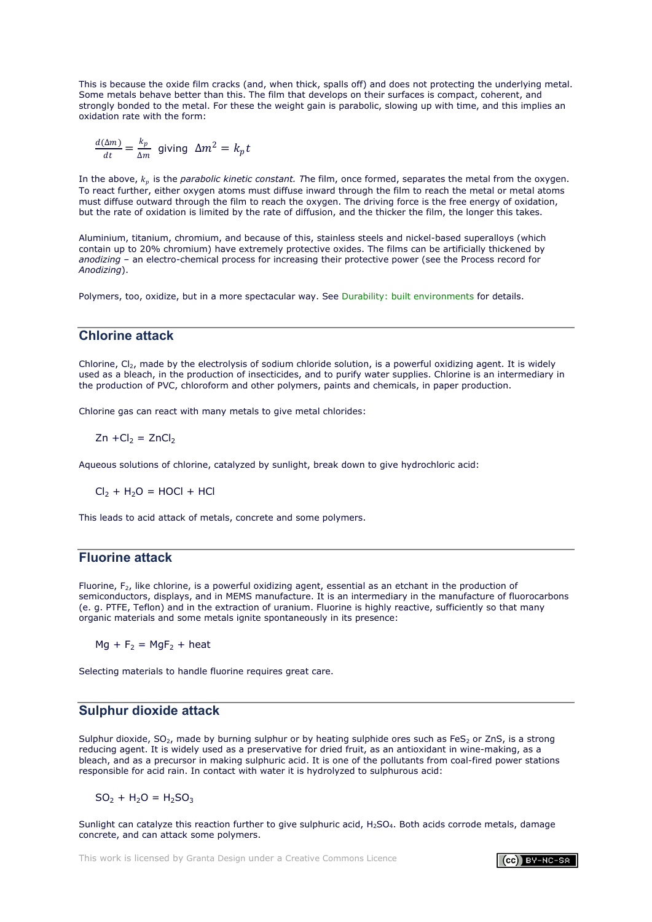This is because the oxide film cracks (and, when thick, spalls off) and does not protecting the underlying metal. Some metals behave better than this. The film that develops on their surfaces is compact, coherent, and strongly bonded to the metal. For these the weight gain is parabolic, slowing up with time, and this implies an oxidation rate with the form:

$$
\frac{d(\Delta m)}{dt} = \frac{k_p}{\Delta m} \text{ giving } \Delta m^2 = k_p t
$$

In the above,  $k_p$  is the *parabolic kinetic constant.* The film, once formed, separates the metal from the oxygen. To react further, either oxygen atoms must diffuse inward through the film to reach the metal or metal atoms must diffuse outward through the film to reach the oxygen. The driving force is the free energy of oxidation, but the rate of oxidation is limited by the rate of diffusion, and the thicker the film, the longer this takes.

Aluminium, titanium, chromium, and because of this, stainless steels and nickel-based superalloys (which contain up to 20% chromium) have extremely protective oxides. The films can be artificially thickened by *anodizing* – an electro-chemical process for increasing their protective power (see the Process record for *Anodizing*).

Polymers, too, oxidize, but in a more spectacular way. See [Durability: built environments](#page-53-0) for details.

# <span id="page-47-1"></span>**Chlorine attack**

Chlorine, Cl<sub>2</sub>, made by the electrolysis of sodium chloride solution, is a powerful oxidizing agent. It is widely used as a bleach, in the production of insecticides, and to purify water supplies. Chlorine is an intermediary in the production of PVC, chloroform and other polymers, paints and chemicals, in paper production.

Chlorine gas can react with many metals to give metal chlorides:

$$
Zn + Cl_2 = ZnCl_2
$$

Aqueous solutions of chlorine, catalyzed by sunlight, break down to give hydrochloric acid:

 $Cl<sub>2</sub> + H<sub>2</sub>O = HOCl + HCl$ 

This leads to acid attack of metals, concrete and some polymers.

# <span id="page-47-2"></span>**Fluorine attack**

Fluorine,  $F<sub>2</sub>$ , like chlorine, is a powerful oxidizing agent, essential as an etchant in the production of semiconductors, displays, and in MEMS manufacture. It is an intermediary in the manufacture of fluorocarbons (e. g. PTFE, Teflon) and in the extraction of uranium. Fluorine is highly reactive, sufficiently so that many organic materials and some metals ignite spontaneously in its presence:

 $Ma + F_2 = MaF_2 + heat$ 

Selecting materials to handle fluorine requires great care.

# <span id="page-47-0"></span>**Sulphur dioxide attack**

Sulphur dioxide,  $SO<sub>2</sub>$ , made by burning sulphur or by heating sulphide ores such as FeS<sub>2</sub> or ZnS, is a strong reducing agent. It is widely used as a preservative for dried fruit, as an antioxidant in wine-making, as a bleach, and as a precursor in making sulphuric acid. It is one of the pollutants from coal-fired power stations responsible for acid rain. In contact with water it is hydrolyzed to sulphurous acid:

$$
SO_2 + H_2O = H_2SO_3
$$

Sunlight can catalyze this reaction further to give sulphuric acid,  $H_2SO_4$ . Both acids corrode metals, damage concrete, and can attack some polymers.

This work is licensed by [Granta Design u](http://www.grantadesign.com/)nder a [Creative Commons Licence](http://creativecommons.org/licenses/by-nc-sa/2.0/uk/)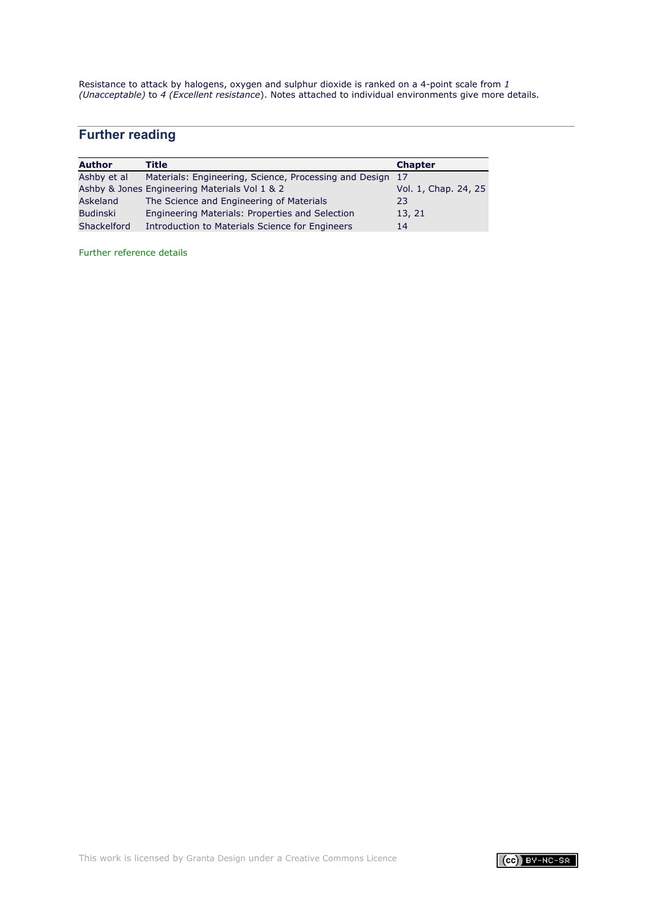Resistance to attack by halogens, oxygen and sulphur dioxide is ranked on a 4-point scale from *1 (Unacceptable)* to *4 (Excellent resistance*). Notes attached to individual environments give more details.

# **Further reading**

| <b>Author</b>   | Title                                                  | <b>Chapter</b>       |
|-----------------|--------------------------------------------------------|----------------------|
| Ashby et al     | Materials: Engineering, Science, Processing and Design | -17                  |
|                 | Ashby & Jones Engineering Materials Vol 1 & 2          | Vol. 1, Chap. 24, 25 |
| Askeland        | The Science and Engineering of Materials               | 23                   |
| <b>Budinski</b> | Engineering Materials: Properties and Selection        | 13, 21               |
| Shackelford     | Introduction to Materials Science for Engineers        | 14                   |

[Further reference details](#page-71-0)

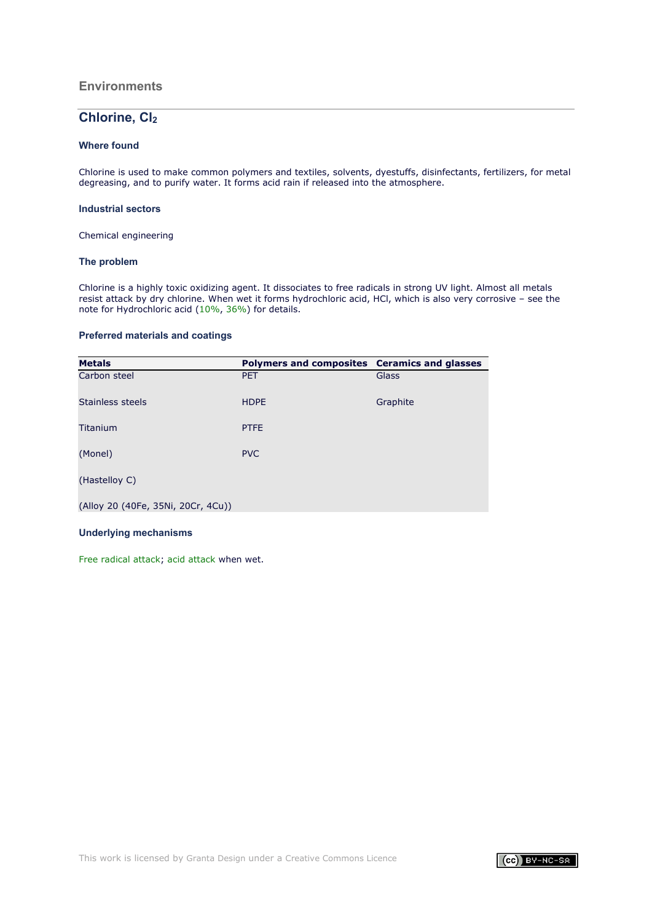## **Environments**

# Chlorine, Cl<sub>2</sub>

### **Where found**

Chlorine is used to make common polymers and textiles, solvents, dyestuffs, disinfectants, fertilizers, for metal degreasing, and to purify water. It forms acid rain if released into the atmosphere.

### **Industrial sectors**

Chemical engineering

### **The problem**

Chlorine is a highly toxic oxidizing agent. It dissociates to free radicals in strong UV light. Almost all metals resist attack by dry chlorine. When wet it forms hydrochloric acid, HCl, which is also very corrosive – see the note for Hydrochloric acid (10[%,](#page-11-0) [36%](#page-12-0)) for details.

### **Preferred materials and coatings**

| <b>Metals</b>                      | Polymers and composites Ceramics and glasses |          |
|------------------------------------|----------------------------------------------|----------|
| Carbon steel                       | <b>PET</b>                                   | Glass    |
| Stainless steels                   | <b>HDPE</b>                                  | Graphite |
| Titanium                           | <b>PTFE</b>                                  |          |
| (Monel)                            | <b>PVC</b>                                   |          |
| (Hastelloy C)                      |                                              |          |
| (Alloy 20 (40Fe, 35Ni, 20Cr, 4Cu)) |                                              |          |

# **Underlying mechanisms**

[Free radical attack;](#page-47-1) [acid attack](#page-7-0) when wet.

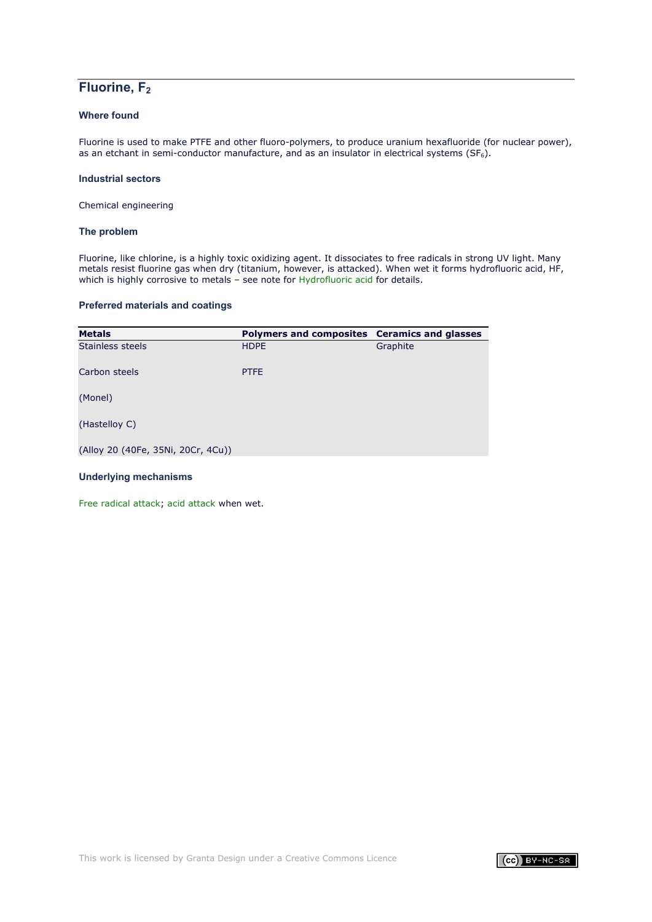# **Fluorine, F2**

# **Where found**

Fluorine is used to make PTFE and other fluoro-polymers, to produce uranium hexafluoride (for nuclear power), as an etchant in semi-conductor manufacture, and as an insulator in electrical systems (SF $_6$ ).

### **Industrial sectors**

Chemical engineering

## **The problem**

Fluorine, like chlorine, is a highly toxic oxidizing agent. It dissociates to free radicals in strong UV light. Many metals resist fluorine gas when dry (titanium, however, is attacked). When wet it forms hydrofluoric acid, HF, which is highly corrosive to metals – see note for [Hydrofluoric acid](#page-13-0) for details.

# **Preferred materials and coatings**

| <b>Metals</b>                      | Polymers and composites Ceramics and glasses |          |
|------------------------------------|----------------------------------------------|----------|
| Stainless steels                   | <b>HDPE</b>                                  | Graphite |
| Carbon steels                      | <b>PTFE</b>                                  |          |
| (Monel)                            |                                              |          |
| (Hastelloy C)                      |                                              |          |
| (Alloy 20 (40Fe, 35Ni, 20Cr, 4Cu)) |                                              |          |
|                                    |                                              |          |

## **Underlying mechanisms**

[Free radical attack;](#page-47-2) [acid attack](#page-7-0) when wet.

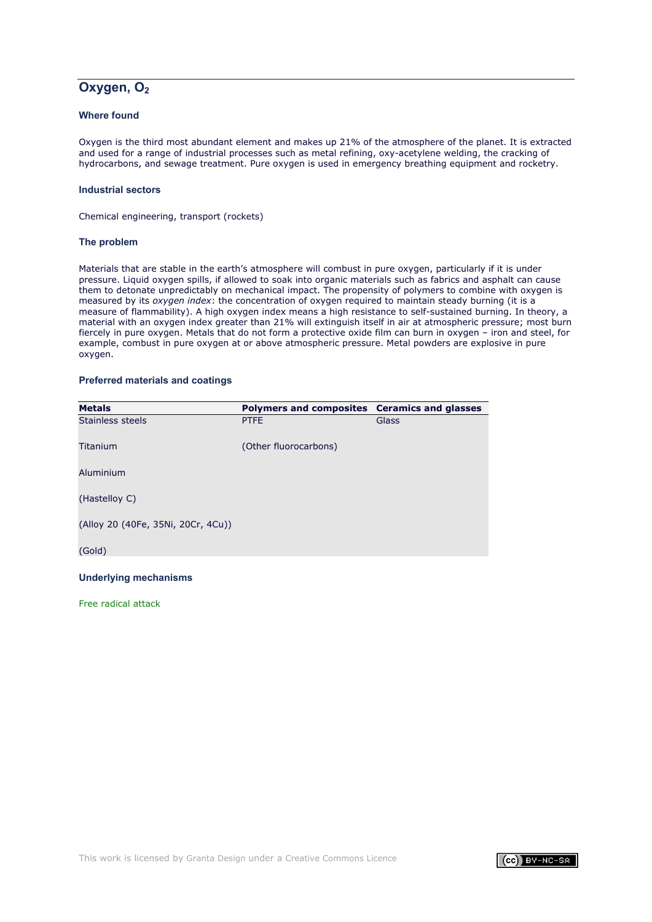# Oxygen, O<sub>2</sub>

# **Where found**

Oxygen is the third most abundant element and makes up 21% of the atmosphere of the planet. It is extracted and used for a range of industrial processes such as metal refining, oxy-acetylene welding, the cracking of hydrocarbons, and sewage treatment. Pure oxygen is used in emergency breathing equipment and rocketry.

### **Industrial sectors**

Chemical engineering, transport (rockets)

### **The problem**

Materials that are stable in the earth's atmosphere will combust in pure oxygen, particularly if it is under pressure. Liquid oxygen spills, if allowed to soak into organic materials such as fabrics and asphalt can cause them to detonate unpredictably on mechanical impact. The propensity of polymers to combine with oxygen is measured by its *oxygen index*: the concentration of oxygen required to maintain steady burning (it is a measure of flammability). A high oxygen index means a high resistance to self-sustained burning. In theory, a material with an oxygen index greater than 21% will extinguish itself in air at atmospheric pressure; most burn fiercely in pure oxygen. Metals that do not form a protective oxide film can burn in oxygen – iron and steel, for example, combust in pure oxygen at or above atmospheric pressure. Metal powders are explosive in pure oxygen.

### **Preferred materials and coatings**

| <b>Metals</b>                      | Polymers and composites Ceramics and glasses |       |
|------------------------------------|----------------------------------------------|-------|
| Stainless steels                   | <b>PTFE</b>                                  | Glass |
| Titanium                           | (Other fluorocarbons)                        |       |
| Aluminium                          |                                              |       |
| (Hastelloy C)                      |                                              |       |
| (Alloy 20 (40Fe, 35Ni, 20Cr, 4Cu)) |                                              |       |
| (Gold)                             |                                              |       |

#### **Underlying mechanisms**

[Free radical attack](#page-46-0)

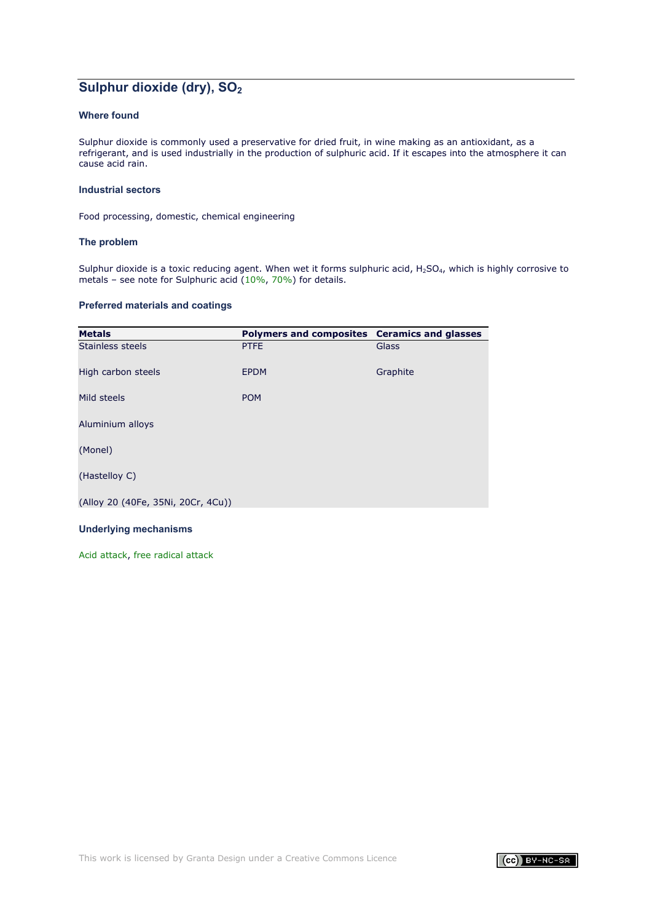# **Sulphur dioxide (dry), SO<sub>2</sub>**

## **Where found**

Sulphur dioxide is commonly used a preservative for dried fruit, in wine making as an antioxidant, as a refrigerant, and is used industrially in the production of sulphuric acid. If it escapes into the atmosphere it can cause acid rain.

### **Industrial sectors**

Food processing, domestic, chemical engineering

### **The problem**

Sulphur dioxide is a toxic reducing agent. When wet it forms sulphuric acid,  $H_2SO_4$ , which is highly corrosive to metals – see note for Sulphuric acid ([10%](#page-18-0), [70%](#page-19-0)) for details.

### **Preferred materials and coatings**

| <b>Metals</b>                      | Polymers and composites Ceramics and glasses |          |
|------------------------------------|----------------------------------------------|----------|
| Stainless steels                   | <b>PTFE</b>                                  | Glass    |
| High carbon steels                 | <b>EPDM</b>                                  | Graphite |
| Mild steels                        | <b>POM</b>                                   |          |
| Aluminium alloys                   |                                              |          |
| (Monel)                            |                                              |          |
| (Hastelloy C)                      |                                              |          |
| (Alloy 20 (40Fe, 35Ni, 20Cr, 4Cu)) |                                              |          |

#### **Underlying mechanisms**

Acid [attack,](#page-7-0) [free radical attack](#page-47-0)

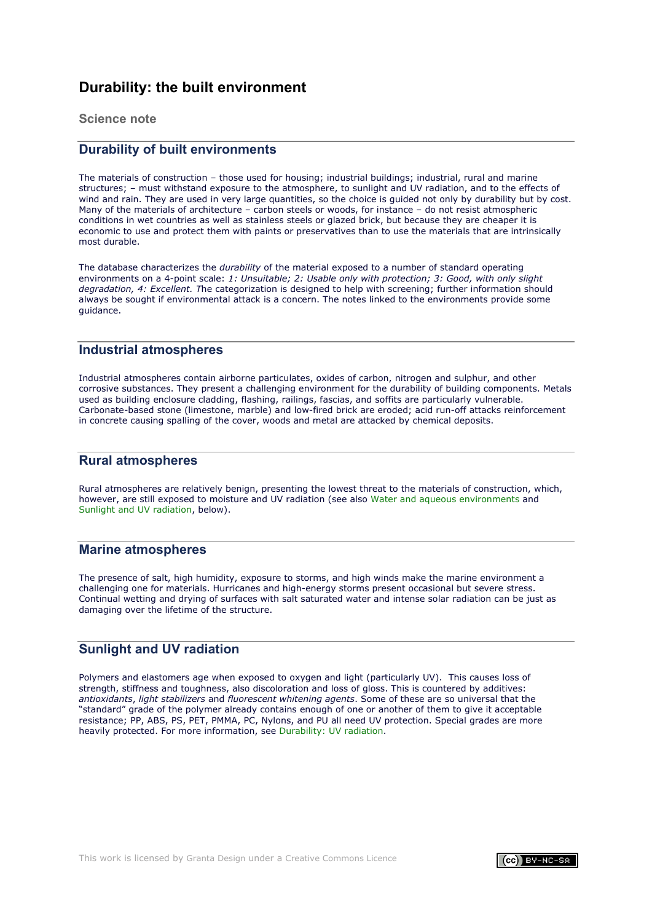# <span id="page-53-0"></span>**Durability: the built environment**

**Science note**

# **Durability of built environments**

The materials of construction – those used for housing; industrial buildings; industrial, rural and marine structures; – must withstand exposure to the atmosphere, to sunlight and UV radiation, and to the effects of wind and rain. They are used in very large quantities, so the choice is guided not only by durability but by cost. Many of the materials of architecture – carbon steels or woods, for instance – do not resist atmospheric conditions in wet countries as well as stainless steels or glazed brick, but because they are cheaper it is economic to use and protect them with paints or preservatives than to use the materials that are intrinsically most durable.

The database characterizes the *durability* of the material exposed to a number of standard operating environments on a 4-point scale: *1: Unsuitable; 2: Usable only with protection; 3: Good, with only slight degradation, 4: Excellent. T*he categorization is designed to help with screening; further information should always be sought if environmental attack is a concern. The notes linked to the environments provide some guidance.

# **Industrial atmospheres**

Industrial atmospheres contain airborne particulates, oxides of carbon, nitrogen and sulphur, and other corrosive substances. They present a challenging environment for the durability of building components. Metals used as building enclosure cladding, flashing, railings, fascias, and soffits are particularly vulnerable. Carbonate-based stone (limestone, marble) and low-fired brick are eroded; acid run-off attacks reinforcement in concrete causing spalling of the cover, woods and metal are attacked by chemical deposits.

# **Rural atmospheres**

Rural atmospheres are relatively benign, presenting the lowest threat to the materials of construction, which, however, are still exposed to moisture and UV radiation (see also [Water and aqueous environments](#page-1-1) and [Sunlight and UV radiation,](#page-53-1) below).

## **Marine atmospheres**

The presence of salt, high humidity, exposure to storms, and high winds make the marine environment a challenging one for materials. Hurricanes and high-energy storms present occasional but severe stress. Continual wetting and drying of surfaces with salt saturated water and intense solar radiation can be just as damaging over the lifetime of the structure.

# <span id="page-53-1"></span>**Sunlight and UV radiation**

Polymers and elastomers age when exposed to oxygen and light (particularly UV). This causes loss of strength, stiffness and toughness, also discoloration and loss of gloss. This is countered by additives: *antioxidants*, *light stabilizers* and *fluorescent whitening agents*. Some of these are so universal that the "standard" grade of the polymer already contains enough of one or another of them to give it acceptable resistance; PP, ABS, PS, PET, PMMA, PC, Nylons, and PU all need UV protection. Special grades are more heavily protected. For more information, see [Durability: UV radiation.](#page-62-0)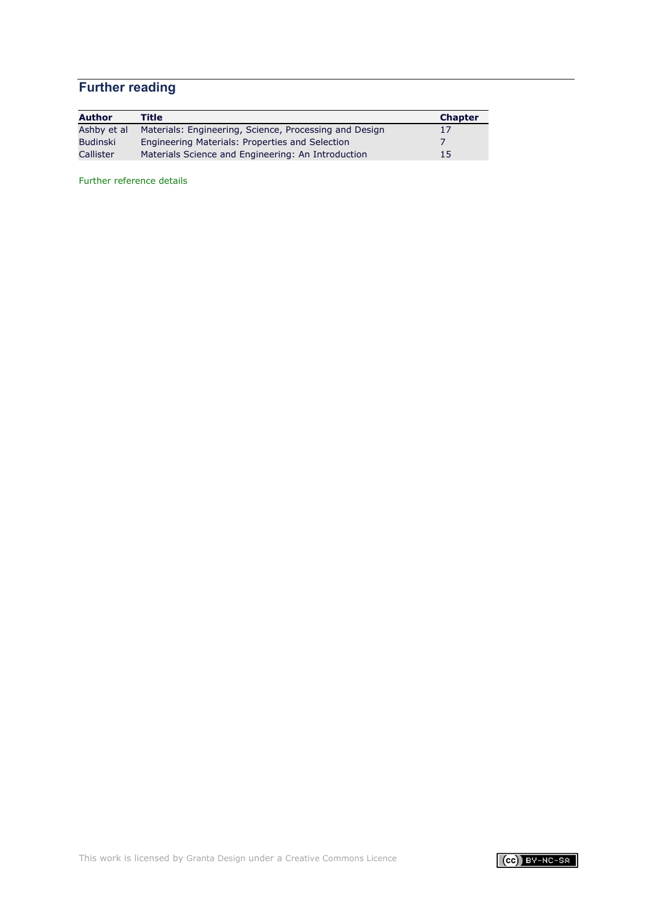# **Further reading**

| <b>Author</b> | <b>Title</b>                                           | <b>Chapter</b> |
|---------------|--------------------------------------------------------|----------------|
| Ashby et al   | Materials: Engineering, Science, Processing and Design | 17             |
| Budinski      | Engineering Materials: Properties and Selection        |                |
| Callister     | Materials Science and Engineering: An Introduction     | 15             |

[Further reference details](#page-71-0)

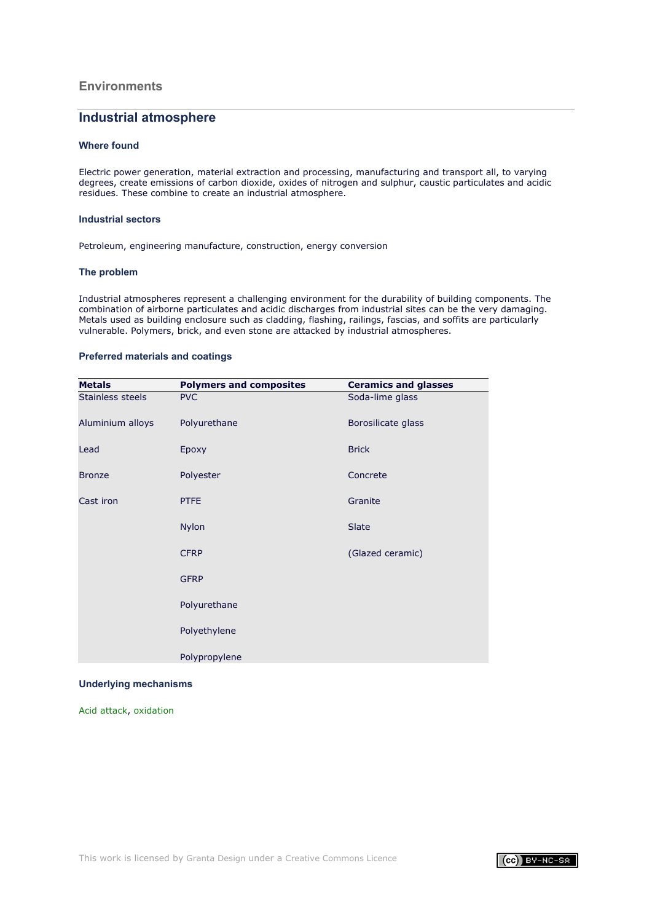## **Environments**

# **Industrial atmosphere**

### **Where found**

Electric power generation, material extraction and processing, manufacturing and transport all, to varying degrees, create emissions of carbon dioxide, oxides of nitrogen and sulphur, caustic particulates and acidic residues. These combine to create an industrial atmosphere.

### **Industrial sectors**

Petroleum, engineering manufacture, construction, energy conversion

#### **The problem**

Industrial atmospheres represent a challenging environment for the durability of building components. The combination of airborne particulates and acidic discharges from industrial sites can be the very damaging. Metals used as building enclosure such as cladding, flashing, railings, fascias, and soffits are particularly vulnerable. Polymers, brick, and even stone are attacked by industrial atmospheres.

### **Preferred materials and coatings**

| <b>Metals</b>    | <b>Polymers and composites</b> | <b>Ceramics and glasses</b> |
|------------------|--------------------------------|-----------------------------|
| Stainless steels | <b>PVC</b>                     | Soda-lime glass             |
| Aluminium alloys | Polyurethane                   | Borosilicate glass          |
| Lead             | Epoxy                          | <b>Brick</b>                |
| <b>Bronze</b>    | Polyester                      | Concrete                    |
| Cast iron        | <b>PTFE</b>                    | Granite                     |
|                  | <b>Nylon</b>                   | Slate                       |
|                  | <b>CFRP</b>                    | (Glazed ceramic)            |
|                  | <b>GFRP</b>                    |                             |
|                  | Polyurethane                   |                             |
|                  | Polyethylene                   |                             |
|                  | Polypropylene                  |                             |

#### **Underlying mechanisms**

[Acid attack,](#page-7-0) [oxidation](#page-46-0)

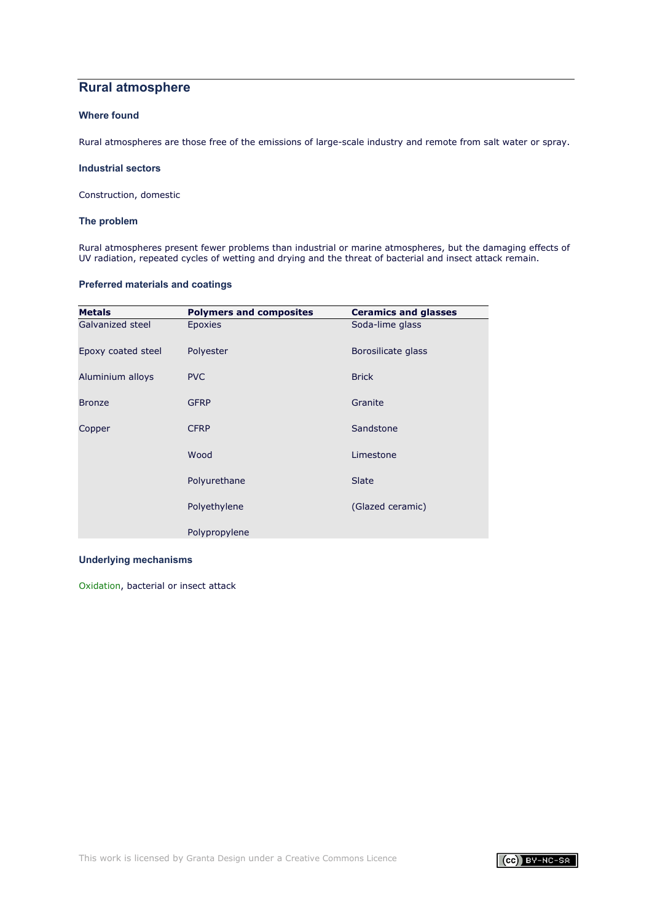# **Rural atmosphere**

# **Where found**

Rural atmospheres are those free of the emissions of large-scale industry and remote from salt water or spray.

#### **Industrial sectors**

Construction, domestic

### **The problem**

Rural atmospheres present fewer problems than industrial or marine atmospheres, but the damaging effects of UV radiation, repeated cycles of wetting and drying and the threat of bacterial and insect attack remain.

## **Preferred materials and coatings**

| <b>Metals</b>      | <b>Polymers and composites</b> | <b>Ceramics and glasses</b> |
|--------------------|--------------------------------|-----------------------------|
| Galvanized steel   | Epoxies                        | Soda-lime glass             |
| Epoxy coated steel | Polyester                      | Borosilicate glass          |
| Aluminium alloys   | <b>PVC</b>                     | <b>Brick</b>                |
| <b>Bronze</b>      | <b>GFRP</b>                    | Granite                     |
| Copper             | <b>CFRP</b>                    | Sandstone                   |
|                    | Wood                           | Limestone                   |
|                    | Polyurethane                   | Slate                       |
|                    | Polyethylene                   | (Glazed ceramic)            |
|                    | Polypropylene                  |                             |

### **Underlying mechanisms**

[Oxidation](#page-46-0), bacterial or insect attack

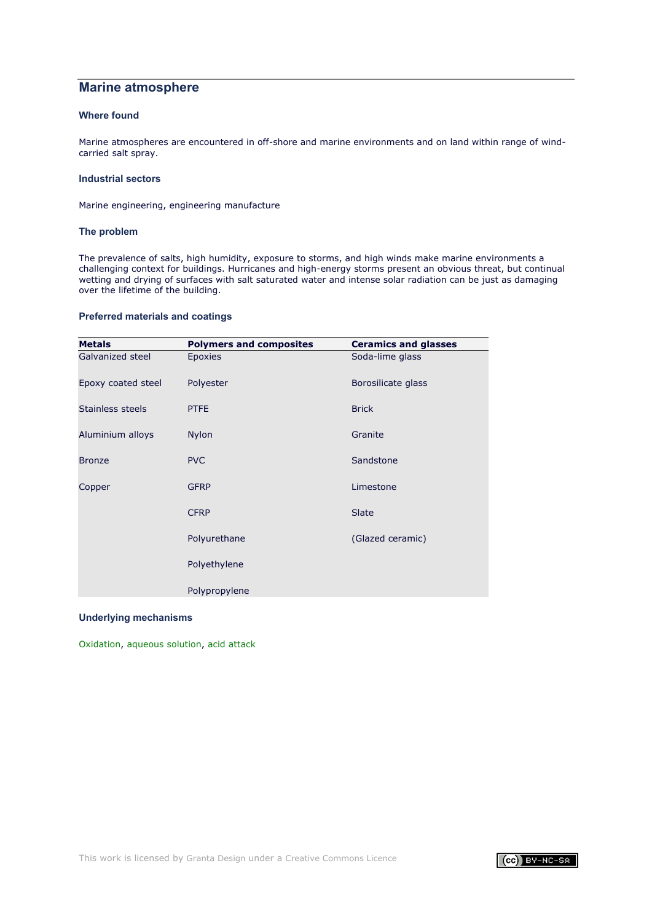# **Marine atmosphere**

## **Where found**

Marine atmospheres are encountered in off-shore and marine environments and on land within range of windcarried salt spray.

### **Industrial sectors**

Marine engineering, engineering manufacture

### **The problem**

The prevalence of salts, high humidity, exposure to storms, and high winds make marine environments a challenging context for buildings. Hurricanes and high-energy storms present an obvious threat, but continual wetting and drying of surfaces with salt saturated water and intense solar radiation can be just as damaging over the lifetime of the building.

### **Preferred materials and coatings**

| <b>Metals</b>      | <b>Polymers and composites</b> | <b>Ceramics and glasses</b> |
|--------------------|--------------------------------|-----------------------------|
| Galvanized steel   | <b>Epoxies</b>                 | Soda-lime glass             |
| Epoxy coated steel | Polyester                      | Borosilicate glass          |
| Stainless steels   | <b>PTFE</b>                    | <b>Brick</b>                |
| Aluminium alloys   | <b>Nylon</b>                   | Granite                     |
| <b>Bronze</b>      | <b>PVC</b>                     | Sandstone                   |
| Copper             | <b>GFRP</b>                    | Limestone                   |
|                    | <b>CFRP</b>                    | Slate                       |
|                    | Polyurethane                   | (Glazed ceramic)            |
|                    | Polyethylene                   |                             |
|                    | Polypropylene                  |                             |

### **Underlying mechanisms**

[Oxidation](#page-46-0), [aqueous solution,](#page-1-1) [acid attack](#page-7-0)

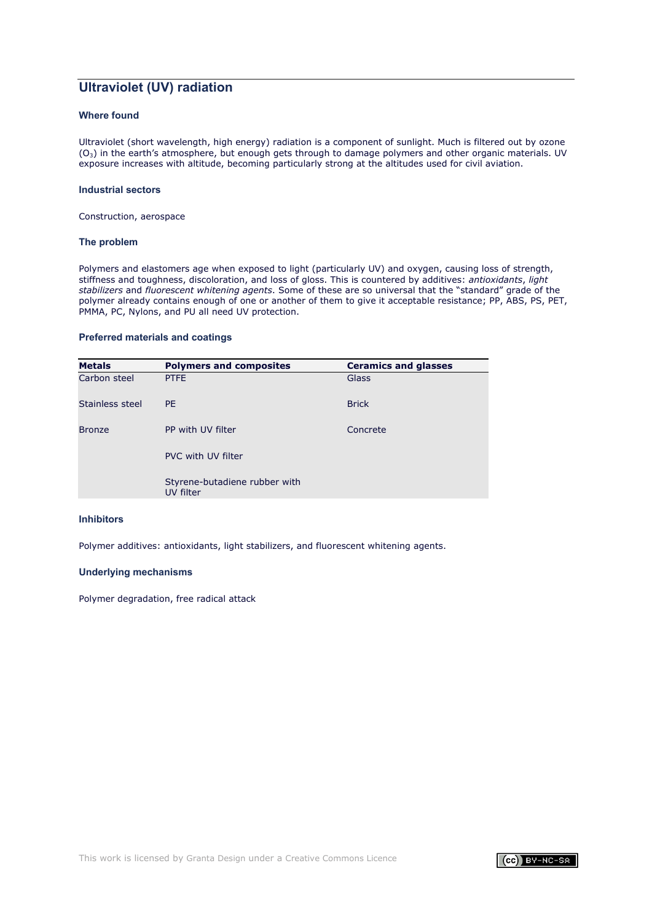# **Ultraviolet (UV) radiation**

## **Where found**

Ultraviolet (short wavelength, high energy) radiation is a component of sunlight. Much is filtered out by ozone (O3) in the earth's atmosphere, but enough gets through to damage polymers and other organic materials. UV exposure increases with altitude, becoming particularly strong at the altitudes used for civil aviation.

#### **Industrial sectors**

Construction, aerospace

#### **The problem**

Polymers and elastomers age when exposed to light (particularly UV) and oxygen, causing loss of strength, stiffness and toughness, discoloration, and loss of gloss. This is countered by additives: *antioxidants*, *light stabilizers* and *fluorescent whitening agents*. Some of these are so universal that the "standard" grade of the polymer already contains enough of one or another of them to give it acceptable resistance; PP, ABS, PS, PET, PMMA, PC, Nylons, and PU all need UV protection.

#### **Preferred materials and coatings**

| <b>Metals</b>   | <b>Polymers and composites</b>             | <b>Ceramics and glasses</b> |
|-----------------|--------------------------------------------|-----------------------------|
| Carbon steel    | <b>PTFE</b>                                | Glass                       |
| Stainless steel | PF.                                        | <b>Brick</b>                |
| <b>Bronze</b>   | PP with UV filter                          | Concrete                    |
|                 | PVC with UV filter                         |                             |
|                 | Styrene-butadiene rubber with<br>UV filter |                             |

#### **Inhibitors**

Polymer additives: antioxidants, light stabilizers, and fluorescent whitening agents.

### **Underlying mechanisms**

Polymer degradation, free radical attack

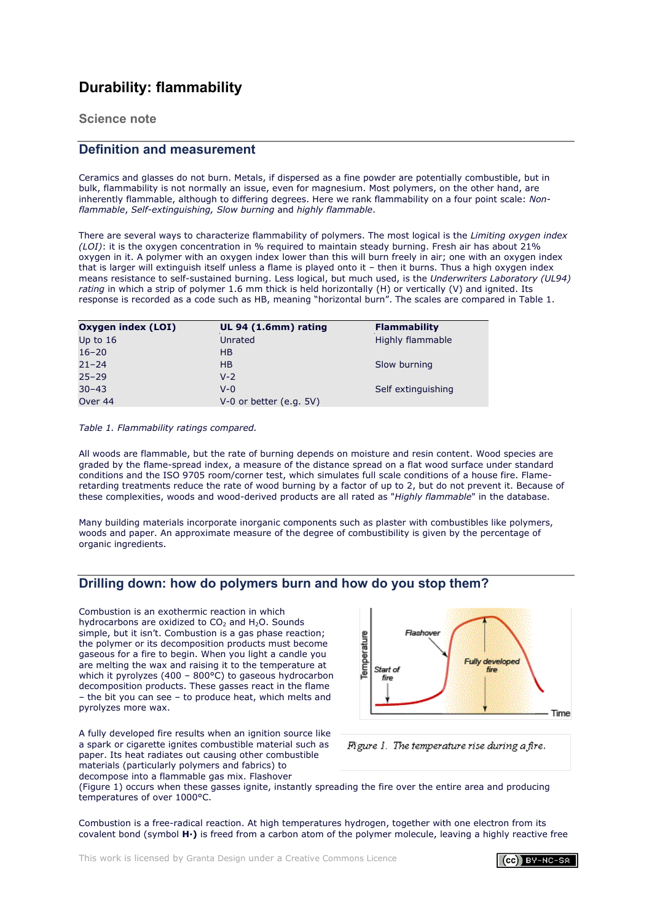# **Durability: flammability**

**Science note**

# **Definition and measurement**

Ceramics and glasses do not burn. Metals, if dispersed as a fine powder are potentially combustible, but in bulk, flammability is not normally an issue, even for magnesium. Most polymers, on the other hand, are inherently flammable, although to differing degrees. Here we rank flammability on a four point scale: *Nonflammable*, *Self-extinguishing, Slow burning* and *highly flammable*.

There are several ways to characterize flammability of polymers. The most logical is the *Limiting oxygen index (LOI)*: it is the oxygen concentration in % required to maintain steady burning. Fresh air has about 21% oxygen in it. A polymer with an oxygen index lower than this will burn freely in air; one with an oxygen index that is larger will extinguish itself unless a flame is played onto it – then it burns. Thus a high oxygen index means resistance to self-sustained burning. Less logical, but much used, is the *Underwriters Laboratory (UL94) rating* in which a strip of polymer 1.6 mm thick is held horizontally (H) or vertically (V) and ignited. Its response is recorded as a code such as HB, meaning "horizontal burn". The scales are compared in Table 1.

| Oxygen index (LOI) | UL 94 (1.6mm) rating      | <b>Flammability</b> |
|--------------------|---------------------------|---------------------|
| Up to $16$         | Unrated                   | Highly flammable    |
| $16 - 20$          | H <sub>B</sub>            |                     |
| $21 - 24$          | H <sub>B</sub>            | Slow burning        |
| $25 - 29$          | $V - 2$                   |                     |
| $30 - 43$          | $V - \Omega$              | Self extinguishing  |
| Over 44            | $V-0$ or better (e.g. 5V) |                     |

*Table 1. Flammability ratings compared.*

All woods are flammable, but the rate of burning depends on moisture and resin content. Wood species are graded by the flame-spread index, a measure of the distance spread on a flat wood surface under standard conditions and the ISO 9705 room/corner test, which simulates full scale conditions of a house fire. Flameretarding treatments reduce the rate of wood burning by a factor of up to 2, but do not prevent it. Because of these complexities, woods and wood-derived products are all rated as "*Highly flammable*" in the database.

Many building materials incorporate inorganic components such as plaster with combustibles like polymers, woods and paper. An approximate measure of the degree of combustibility is given by the percentage of organic ingredients.

# <span id="page-59-0"></span>**Drilling down: how do polymers burn and how do you stop them?**

Combustion is an exothermic reaction in which hydrocarbons are oxidized to  $CO<sub>2</sub>$  and H<sub>2</sub>O. Sounds simple, but it isn't. Combustion is a gas phase reaction; the polymer or its decomposition products must become gaseous for a fire to begin. When you light a candle you are melting the wax and raising it to the temperature at which it pyrolyzes (400 – 800°C) to gaseous hydrocarbon decomposition products. These gasses react in the flame – the bit you can see – to produce heat, which melts and pyrolyzes more wax.



A fully developed fire results when an ignition source like a spark or cigarette ignites combustible material such as paper. Its heat radiates out causing other combustible materials (particularly polymers and fabrics) to decompose into a flammable gas mix. Flashover

Figure 1. The temperature rise during a fire.

(Figure 1) occurs when these gasses ignite, instantly spreading the fire over the entire area and producing temperatures of over 1000°C.

Combustion is a free-radical reaction. At high temperatures hydrogen, together with one electron from its covalent bond (symbol **H·)** is freed from a carbon atom of the polymer molecule, leaving a highly reactive free

 $(cc)$  BY-NC-SA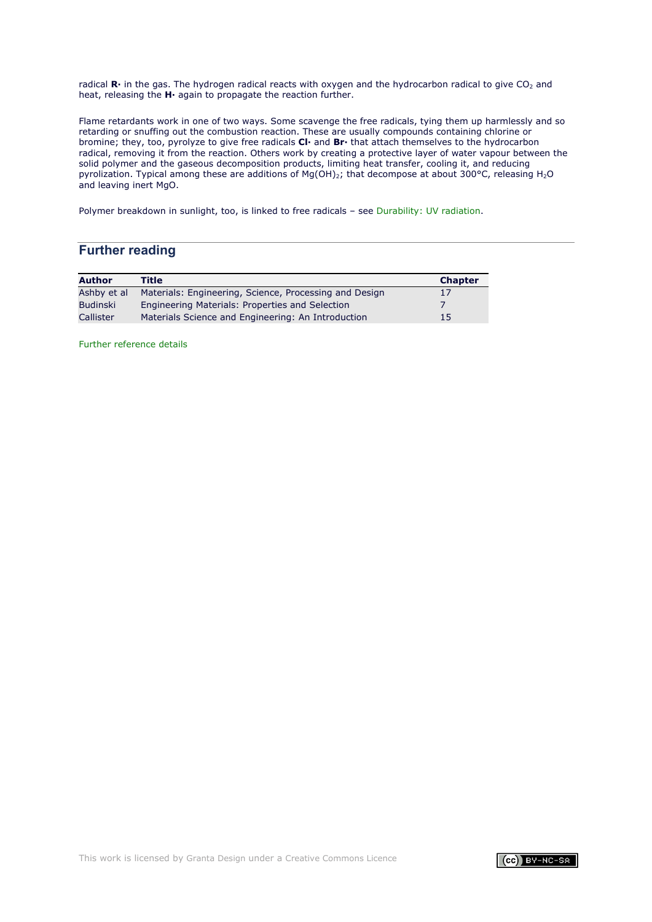radical R· in the gas. The hydrogen radical reacts with oxygen and the hydrocarbon radical to give CO<sub>2</sub> and heat, releasing the **H·** again to propagate the reaction further.

Flame retardants work in one of two ways. Some scavenge the free radicals, tying them up harmlessly and so retarding or snuffing out the combustion reaction. These are usually compounds containing chlorine or bromine; they, too, pyrolyze to give free radicals **Cl·** and **Br·** that attach themselves to the hydrocarbon radical, removing it from the reaction. Others work by creating a protective layer of water vapour between the solid polymer and the gaseous decomposition products, limiting heat transfer, cooling it, and reducing pyrolization. Typical among these are additions of Mg(OH)2; that decompose at about 300°C, releasing H2O and leaving inert MgO.

Polymer breakdown in sunlight, too, is linked to free radicals – see [Durability: UV radiation.](#page-62-0)

# **Further reading**

| <b>Author</b>   | Title                                                  | <b>Chapter</b> |
|-----------------|--------------------------------------------------------|----------------|
| Ashby et al     | Materials: Engineering, Science, Processing and Design | 17             |
| <b>Budinski</b> | Engineering Materials: Properties and Selection        |                |
| Callister       | Materials Science and Engineering: An Introduction     | 15             |

[Further reference details](#page-71-0)

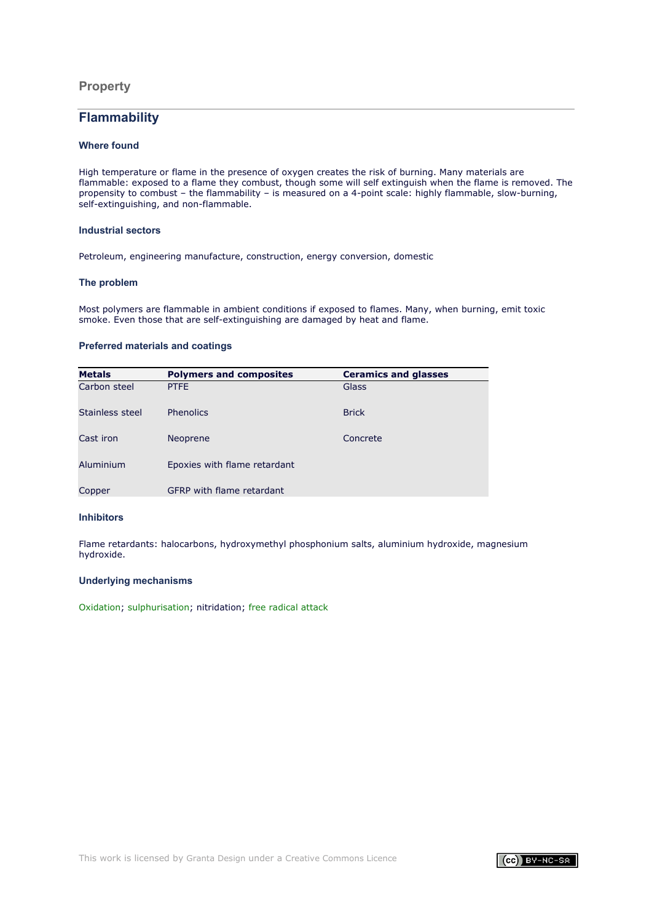## **Property**

# **Flammability**

### **Where found**

High temperature or flame in the presence of oxygen creates the risk of burning. Many materials are flammable: exposed to a flame they combust, though some will self extinguish when the flame is removed. The propensity to combust – the flammability – is measured on a 4-point scale: highly flammable, slow-burning, self-extinguishing, and non-flammable.

### **Industrial sectors**

Petroleum, engineering manufacture, construction, energy conversion, domestic

### **The problem**

Most polymers are flammable in ambient conditions if exposed to flames. Many, when burning, emit toxic smoke. Even those that are self-extinguishing are damaged by heat and flame.

### **Preferred materials and coatings**

| <b>Metals</b>   | <b>Polymers and composites</b>   | <b>Ceramics and glasses</b> |
|-----------------|----------------------------------|-----------------------------|
| Carbon steel    | <b>PTFE</b>                      | Glass                       |
| Stainless steel | <b>Phenolics</b>                 | <b>Brick</b>                |
| Cast iron       | Neoprene                         | Concrete                    |
| Aluminium       | Epoxies with flame retardant     |                             |
| Copper          | <b>GFRP</b> with flame retardant |                             |

### **Inhibitors**

Flame retardants: halocarbons, hydroxymethyl phosphonium salts, aluminium hydroxide, magnesium hydroxide.

## **Underlying mechanisms**

[Oxidation](#page-46-0); [sulphurisation;](#page-47-0) nitridation; [free radical attack](#page-59-0)

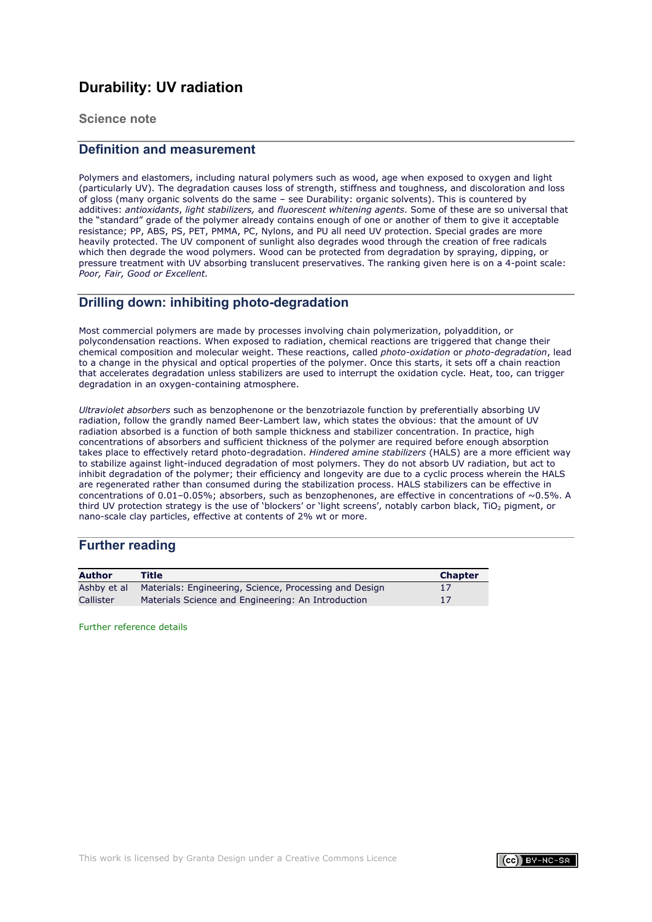# <span id="page-62-0"></span>**Durability: UV radiation**

**Science note**

# **Definition and measurement**

Polymers and elastomers, including natural polymers such as wood, age when exposed to oxygen and light (particularly UV). The degradation causes loss of strength, stiffness and toughness, and discoloration and loss of gloss (many organic solvents do the same – see Durability: organic solvents). This is countered by additives: *antioxidants*, *light stabilizers,* and *fluorescent whitening agents*. Some of these are so universal that the "standard" grade of the polymer already contains enough of one or another of them to give it acceptable resistance; PP, ABS, PS, PET, PMMA, PC, Nylons, and PU all need UV protection. Special grades are more heavily protected. The UV component of sunlight also degrades wood through the creation of free radicals which then degrade the wood polymers. Wood can be protected from degradation by spraying, dipping, or pressure treatment with UV absorbing translucent preservatives. The ranking given here is on a 4-point scale: *Poor, Fair, Good or Excellent.*

# **Drilling down: inhibiting photo-degradation**

Most commercial polymers are made by processes involving chain polymerization, polyaddition, or polycondensation reactions. When exposed to radiation, chemical reactions are triggered that change their chemical composition and molecular weight. These reactions, called *photo-oxidation* or *photo-degradation*, lead to a change in the physical and optical properties of the polymer. Once this starts, it sets off a chain reaction that accelerates degradation unless stabilizers are used to interrupt the oxidation cycle. Heat, too, can trigger degradation in an oxygen-containing atmosphere.

*Ultraviolet absorbers* such as benzophenone or the benzotriazole function by preferentially absorbing UV radiation, follow the grandly named Beer-Lambert law, which states the obvious: that the amount of UV radiation absorbed is a function of both sample thickness and stabilizer concentration. In practice, high concentrations of absorbers and sufficient thickness of the polymer are required before enough absorption takes place to effectively retard photo-degradation. *Hindered amine stabilizers* (HALS) are a more efficient way to stabilize against light-induced degradation of most polymers. They do not absorb UV radiation, but act to inhibit degradation of the polymer; their efficiency and longevity are due to a cyclic process wherein the HALS are regenerated rather than consumed during the stabilization process. HALS stabilizers can be effective in concentrations of 0.01–0.05%; absorbers, such as benzophenones, are effective in concentrations of ~0.5%. A third UV protection strategy is the use of 'blockers' or 'light screens', notably carbon black, TiO<sub>2</sub> pigment, or nano-scale clay particles, effective at contents of 2% wt or more.

# **Further reading**

| <b>Author</b> | Title                                                  | <b>Chapter</b> |
|---------------|--------------------------------------------------------|----------------|
| Ashby et al   | Materials: Engineering, Science, Processing and Design |                |
| Callister     | Materials Science and Engineering: An Introduction     | 17             |

[Further reference details](#page-71-0)

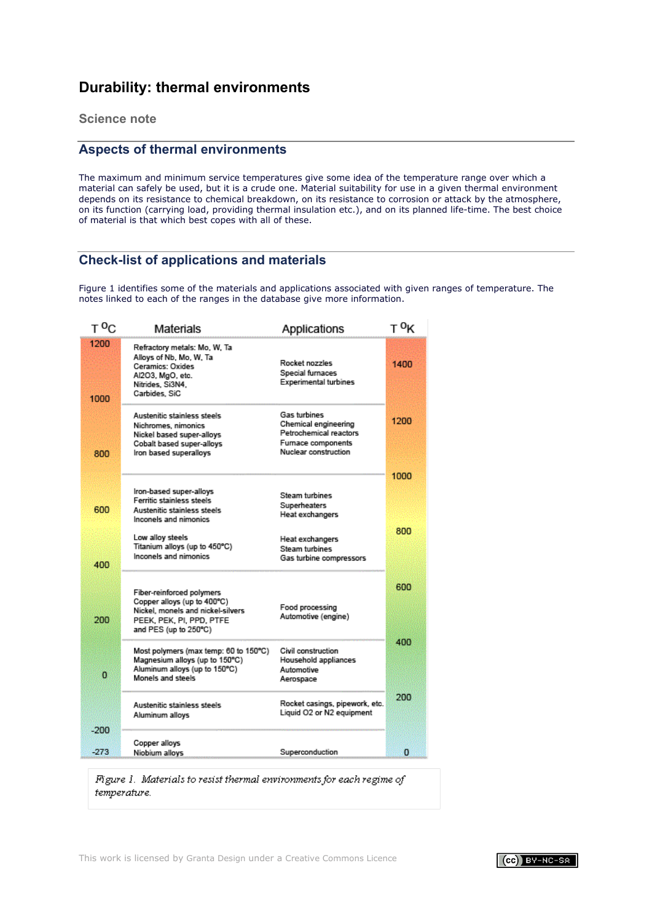# **Durability: thermal environments**

**Science note**

# **Aspects of thermal environments**

The maximum and minimum service temperatures give some idea of the temperature range over which a material can safely be used, but it is a crude one. Material suitability for use in a given thermal environment depends on its resistance to chemical breakdown, on its resistance to corrosion or attack by the atmosphere, on its function (carrying load, providing thermal insulation etc.), and on its planned life-time. The best choice of material is that which best copes with all of these.

# **Check-list of applications and materials**

Figure 1 identifies some of the materials and applications associated with given ranges of temperature. The notes linked to each of the ranges in the database give more information.

| T <sup>0</sup> C | Materials                                                                                                                                          | Applications                                                                                                 | T <sup>0</sup> K |
|------------------|----------------------------------------------------------------------------------------------------------------------------------------------------|--------------------------------------------------------------------------------------------------------------|------------------|
| 1200<br>1000     | Refractory metals: Mo, W, Ta<br>Alloys of Nb, Mo, W, Ta<br>Ceramics: Oxides<br>Al2O3, MgO, etc.<br>Nitrides, Si3N4,<br>Carbides, SiC               | Rocket nozzles<br>Special furnaces<br><b>Experimental turbines</b>                                           | 1400             |
| 800              | Austenitic stainless steels<br>Nichromes, nimonics<br>Nickel based super-alloys<br>Cobalt based super-alloys<br>Iron based superalloys             | Gas turbines<br>Chemical engineering<br>Petrochemical reactors<br>Furnace components<br>Nuclear construction | 1200             |
|                  |                                                                                                                                                    |                                                                                                              | 1000             |
| 600              | lron-based super-alloys<br>Ferritic stainless steels<br>Austenitic stainless steels<br>Inconels and nimonics                                       | Steam turbines<br>Superheaters<br>Heat exchangers                                                            |                  |
| 400              | Low alloy steels<br>Titanium alloys (up to 450°C)<br>Inconels and nimonics                                                                         | Heat exchangers<br><b>Steam turbines</b><br>Gas turbine compressors                                          | 800              |
| 200              | Fiber-reinforced polymers<br>Copper alloys (up to 400°C)<br>Nickel, monels and nickel-silvers<br>PEEK, PEK, PI, PPD, PTFE<br>and PES (up to 250°C) | Food processing<br>Automotive (engine)                                                                       | 600              |
| $\mathbf 0$      | Most polymers (max temp: 60 to 150°C)<br>Magnesium alloys (up to 150°C)<br>Aluminum alloys (up to 150°C)<br>Monels and steels                      | Civil construction<br>Household appliances<br>Automotive<br>Aerospace                                        | 400              |
| $-200$           | Austenitic stainless steels<br>Aluminum alloys                                                                                                     | Rocket casings, pipework, etc.<br>Liquid O2 or N2 equipment                                                  | 200              |
|                  | Copper alloys                                                                                                                                      |                                                                                                              |                  |
| $-273$           | Niobium alloys                                                                                                                                     | Superconduction                                                                                              | 0                |

Figure 1. Materials to resist thermal environments for each regime of temperature.

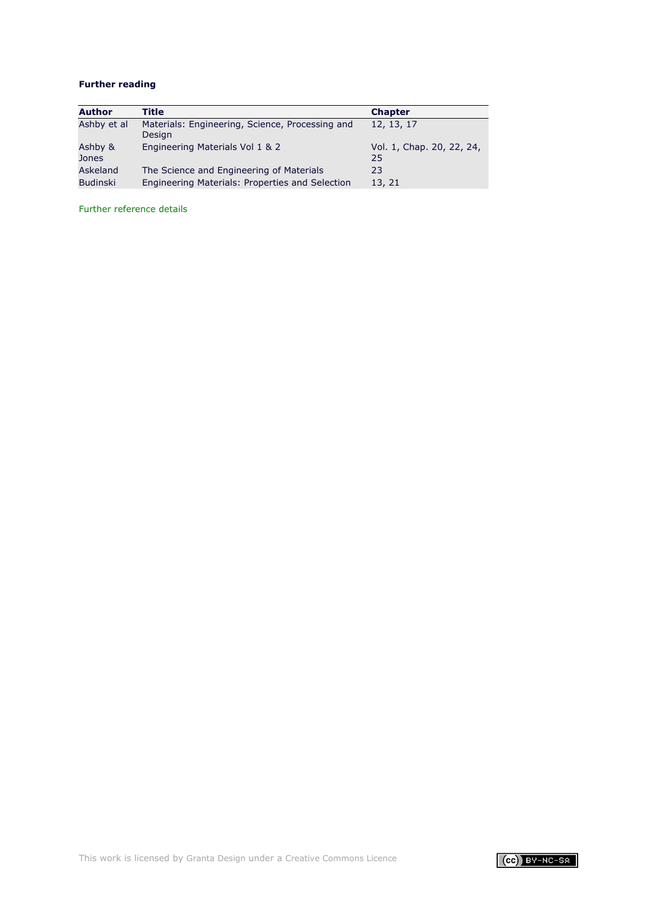# **Further reading**

| <b>Author</b>    | Title                                                     | <b>Chapter</b>                  |
|------------------|-----------------------------------------------------------|---------------------------------|
| Ashby et al      | Materials: Engineering, Science, Processing and<br>Design | 12, 13, 17                      |
| Ashby &<br>Jones | Engineering Materials Vol 1 & 2                           | Vol. 1, Chap. 20, 22, 24,<br>25 |
| Askeland         | The Science and Engineering of Materials                  | 23                              |
| <b>Budinski</b>  | Engineering Materials: Properties and Selection           | 13, 21                          |

[Further reference details](#page-71-0)

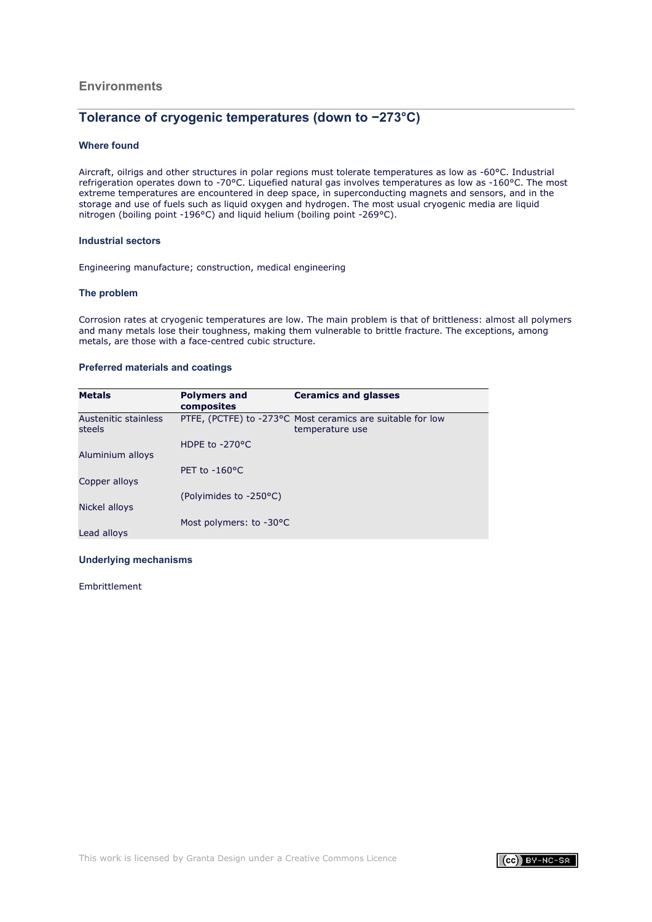## **Environments**

# **Tolerance of cryogenic temperatures (down to −273°C)**

### **Where found**

Aircraft, oilrigs and other structures in polar regions must tolerate temperatures as low as -60°C. Industrial refrigeration operates down to -70°C. Liquefied natural gas involves temperatures as low as -160°C. The most extreme temperatures are encountered in deep space, in superconducting magnets and sensors, and in the storage and use of fuels such as liquid oxygen and hydrogen. The most usual cryogenic media are liquid nitrogen (boiling point -196°C) and liquid helium (boiling point -269°C).

### **Industrial sectors**

Engineering manufacture; construction, medical engineering

#### **The problem**

Corrosion rates at cryogenic temperatures are low. The main problem is that of brittleness: almost all polymers and many metals lose their toughness, making them vulnerable to brittle fracture. The exceptions, among metals, are those with a face-centred cubic structure.

### **Preferred materials and coatings**

| <b>Metals</b>                  | <b>Polymers and</b><br>composites | <b>Ceramics and glasses</b>                                                   |
|--------------------------------|-----------------------------------|-------------------------------------------------------------------------------|
| Austenitic stainless<br>steels |                                   | PTFE, (PCTFE) to -273°C Most ceramics are suitable for low<br>temperature use |
| Aluminium alloys               | HDPE to $-270$ <sup>o</sup> C     |                                                                               |
| Copper alloys                  | PET to $-160^{\circ}$ C           |                                                                               |
| Nickel alloys                  | (Polyimides to -250°C)            |                                                                               |
| Lead alloys                    | Most polymers: to -30°C           |                                                                               |

### **Underlying mechanisms**

Embrittlement

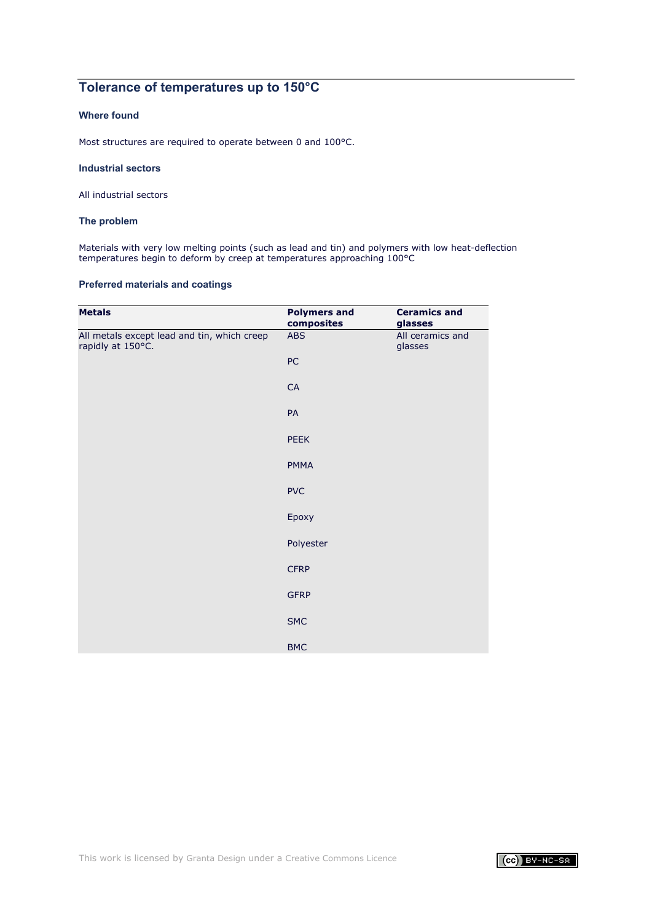# **Tolerance of temperatures up to 150°C**

# **Where found**

Most structures are required to operate between 0 and 100°C.

### **Industrial sectors**

All industrial sectors

### **The problem**

Materials with very low melting points (such as lead and tin) and polymers with low heat-deflection temperatures begin to deform by creep at temperatures approaching 100°C

# **Preferred materials and coatings**

| <b>Metals</b>                                                    | <b>Polymers and</b><br>composites | <b>Ceramics and</b><br>glasses |
|------------------------------------------------------------------|-----------------------------------|--------------------------------|
| All metals except lead and tin, which creep<br>rapidly at 150°C. | ABS                               | All ceramics and<br>glasses    |
|                                                                  | ${\sf PC}$                        |                                |
|                                                                  | ${\sf CA}$                        |                                |
|                                                                  | PA                                |                                |
|                                                                  | PEEK                              |                                |
|                                                                  | <b>PMMA</b>                       |                                |
|                                                                  | <b>PVC</b>                        |                                |
|                                                                  | Epoxy                             |                                |
|                                                                  | Polyester                         |                                |
|                                                                  | <b>CFRP</b>                       |                                |
|                                                                  | <b>GFRP</b>                       |                                |
|                                                                  | <b>SMC</b>                        |                                |
|                                                                  | <b>BMC</b>                        |                                |

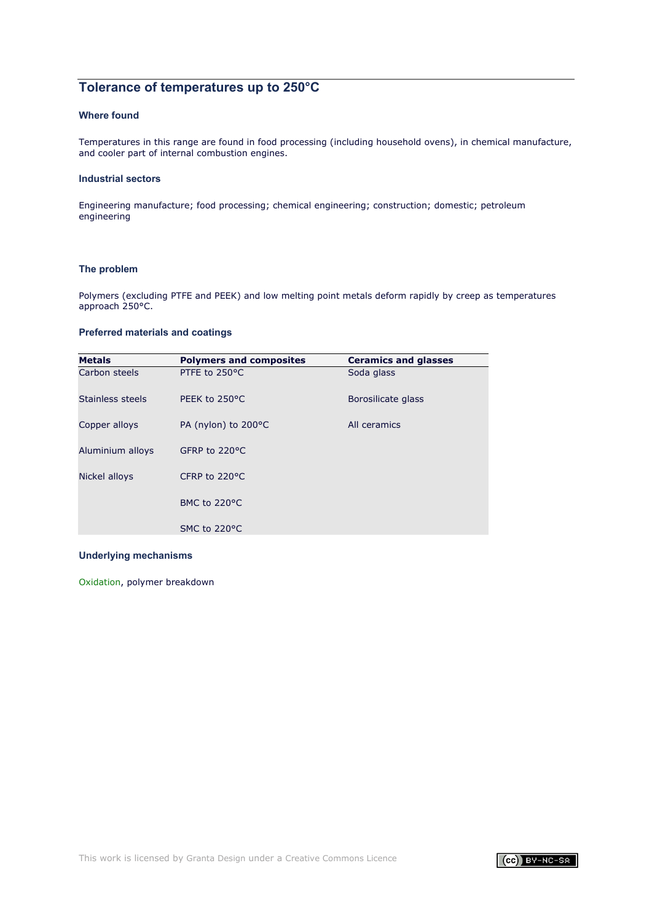# **Tolerance of temperatures up to 250°C**

# **Where found**

Temperatures in this range are found in food processing (including household ovens), in chemical manufacture, and cooler part of internal combustion engines.

### **Industrial sectors**

Engineering manufacture; food processing; chemical engineering; construction; domestic; petroleum engineering

# **The problem**

Polymers (excluding PTFE and PEEK) and low melting point metals deform rapidly by creep as temperatures approach 250°C.

### **Preferred materials and coatings**

| <b>Metals</b>    | <b>Polymers and composites</b> | <b>Ceramics and glasses</b> |
|------------------|--------------------------------|-----------------------------|
| Carbon steels    | PTFE to 250°C                  | Soda glass                  |
| Stainless steels | PEEK to 250°C                  | Borosilicate glass          |
| Copper alloys    | PA (nylon) to 200°C            | All ceramics                |
| Aluminium alloys | GFRP to 220°C                  |                             |
| Nickel alloys    | CFRP to $220^{\circ}$ C        |                             |
|                  | BMC to 220°C                   |                             |
|                  | SMC to 220°C                   |                             |

### **Underlying mechanisms**

[Oxidation](#page-46-0), polymer breakdown

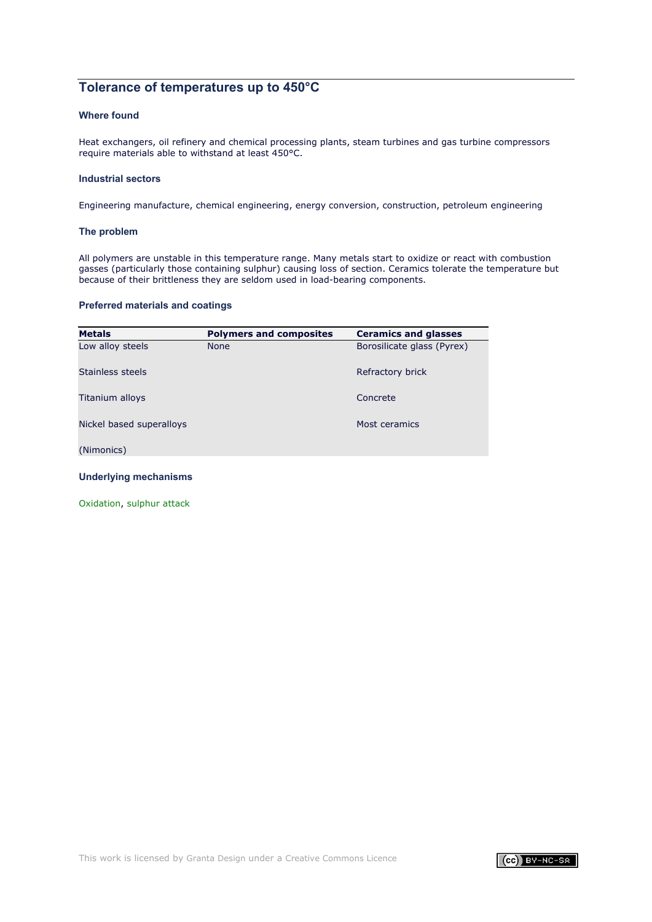# **Tolerance of temperatures up to 450°C**

### **Where found**

Heat exchangers, oil refinery and chemical processing plants, steam turbines and gas turbine compressors require materials able to withstand at least 450°C.

### **Industrial sectors**

Engineering manufacture, chemical engineering, energy conversion, construction, petroleum engineering

### **The problem**

All polymers are unstable in this temperature range. Many metals start to oxidize or react with combustion gasses (particularly those containing sulphur) causing loss of section. Ceramics tolerate the temperature but because of their brittleness they are seldom used in load-bearing components.

# **Preferred materials and coatings**

| <b>Metals</b>            | <b>Polymers and composites</b> | <b>Ceramics and glasses</b> |
|--------------------------|--------------------------------|-----------------------------|
| Low alloy steels         | <b>None</b>                    | Borosilicate glass (Pyrex)  |
| Stainless steels         |                                | Refractory brick            |
| Titanium alloys          |                                | Concrete                    |
| Nickel based superalloys |                                | Most ceramics               |
| (Nimonics)               |                                |                             |

### **Underlying mechanisms**

[Oxidation](#page-46-0), [sulphur](#page-47-0) attack

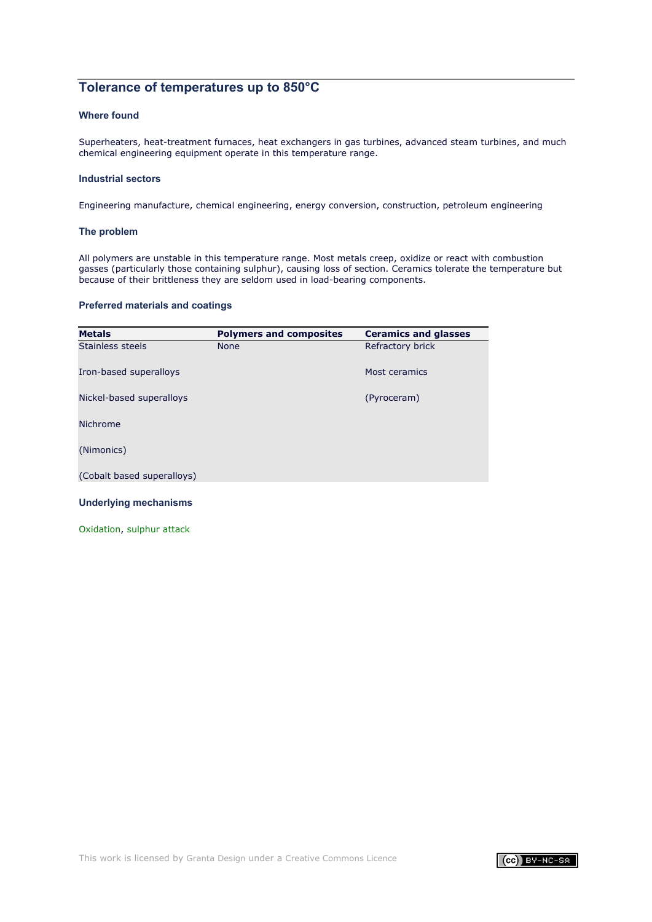# **Tolerance of temperatures up to 850°C**

## **Where found**

Superheaters, heat-treatment furnaces, heat exchangers in gas turbines, advanced steam turbines, and much chemical engineering equipment operate in this temperature range.

### **Industrial sectors**

Engineering manufacture, chemical engineering, energy conversion, construction, petroleum engineering

### **The problem**

All polymers are unstable in this temperature range. Most metals creep, oxidize or react with combustion gasses (particularly those containing sulphur), causing loss of section. Ceramics tolerate the temperature but because of their brittleness they are seldom used in load-bearing components.

# **Preferred materials and coatings**

| <b>Metals</b>              | <b>Polymers and composites</b> | <b>Ceramics and glasses</b> |
|----------------------------|--------------------------------|-----------------------------|
| Stainless steels           | <b>None</b>                    | Refractory brick            |
| Iron-based superalloys     |                                | Most ceramics               |
| Nickel-based superalloys   |                                | (Pyroceram)                 |
| <b>Nichrome</b>            |                                |                             |
| (Nimonics)                 |                                |                             |
| (Cobalt based superalloys) |                                |                             |

### **Underlying mechanisms**

[Oxidation](#page-46-0), [sulphur](#page-47-0) attack

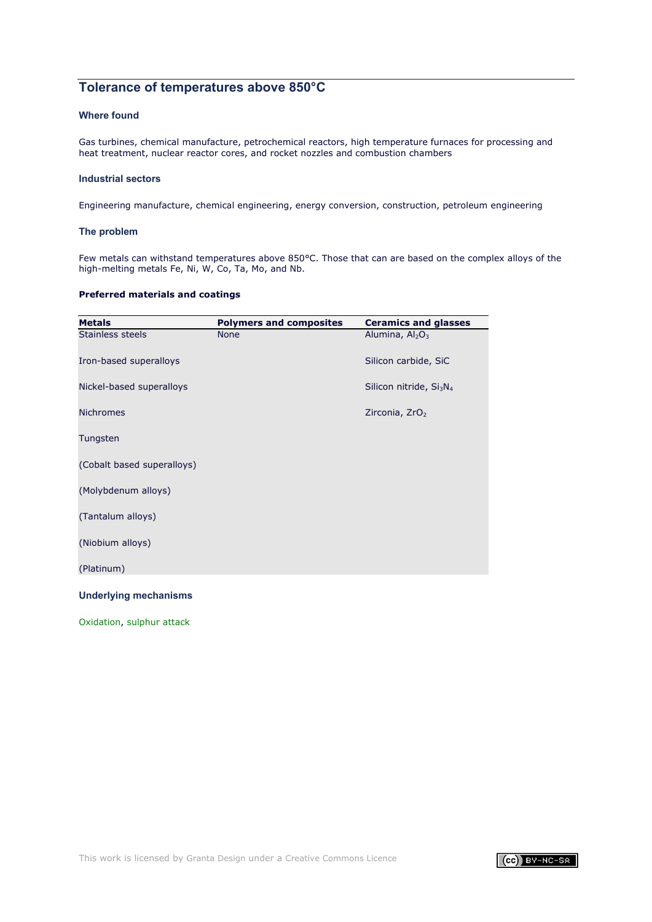# **Tolerance of temperatures above 850°C**

### **Where found**

Gas turbines, chemical manufacture, petrochemical reactors, high temperature furnaces for processing and heat treatment, nuclear reactor cores, and rocket nozzles and combustion chambers

### **Industrial sectors**

Engineering manufacture, chemical engineering, energy conversion, construction, petroleum engineering

### **The problem**

Few metals can withstand temperatures above 850°C. Those that can are based on the complex alloys of the high-melting metals Fe, Ni, W, Co, Ta, Mo, and Nb.

### **Preferred materials and coatings**

| <b>Metals</b>                | <b>Polymers and composites</b> | <b>Ceramics and glasses</b>                     |
|------------------------------|--------------------------------|-------------------------------------------------|
| Stainless steels             | <b>None</b>                    | Alumina, $Al_2O_3$                              |
| Iron-based superalloys       |                                | Silicon carbide, SiC                            |
| Nickel-based superalloys     |                                | Silicon nitride, Si <sub>3</sub> N <sub>4</sub> |
| <b>Nichromes</b>             |                                | Zirconia, ZrO <sub>2</sub>                      |
| Tungsten                     |                                |                                                 |
| (Cobalt based superalloys)   |                                |                                                 |
| (Molybdenum alloys)          |                                |                                                 |
| (Tantalum alloys)            |                                |                                                 |
| (Niobium alloys)             |                                |                                                 |
| (Platinum)                   |                                |                                                 |
| <b>Underlying mechanisms</b> |                                |                                                 |

[Oxidation](#page-46-0), [sulphur](#page-47-0) attack